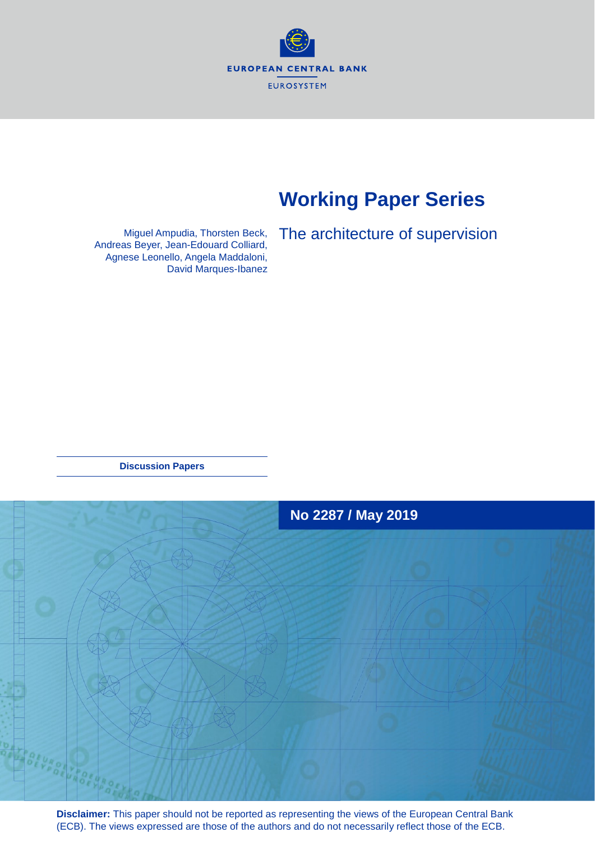**EUROPEAN CENTRAL BANK EUROSYSTEM** 

## **Working Paper Series**

Miguel Ampudia, Thorsten Beck, Andreas Beyer, Jean-Edouard Colliard, Agnese Leonello, Angela Maddaloni, David Marques-Ibanez The architecture of supervision

**Discussion Papers**



**Disclaimer:** This paper should not be reported as representing the views of the European Central Bank (ECB). The views expressed are those of the authors and do not necessarily reflect those of the ECB.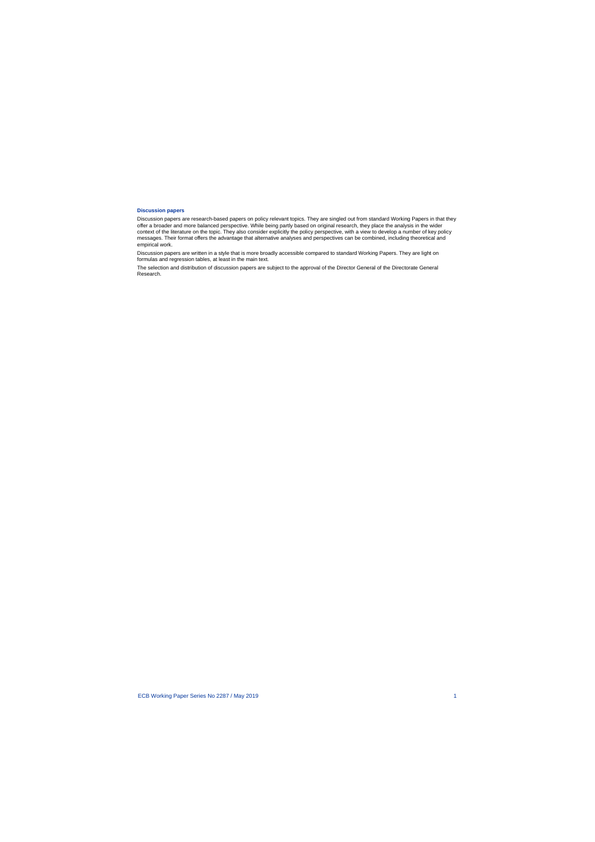#### **Discussion papers**

Discussion papers are research-based papers on policy relevant topics. They are singled out from standard Working Papers in that they offer a broader and more balanced perspective. While being partly based on original research, they place the analysis in the wider context of the literature on the topic. They also consider explicitly the policy perspective, with a view to develop a number of key policy messages. Their format offers the advantage that alternative analyses and perspectives can be combined, including theoretical and empirical work.

Discussion papers are written in a style that is more broadly accessible compared to standard Working Papers. They are light on formulas and regression tables, at least in the main text.

The selection and distribution of discussion papers are subject to the approval of the Director General of the Directorate General Research.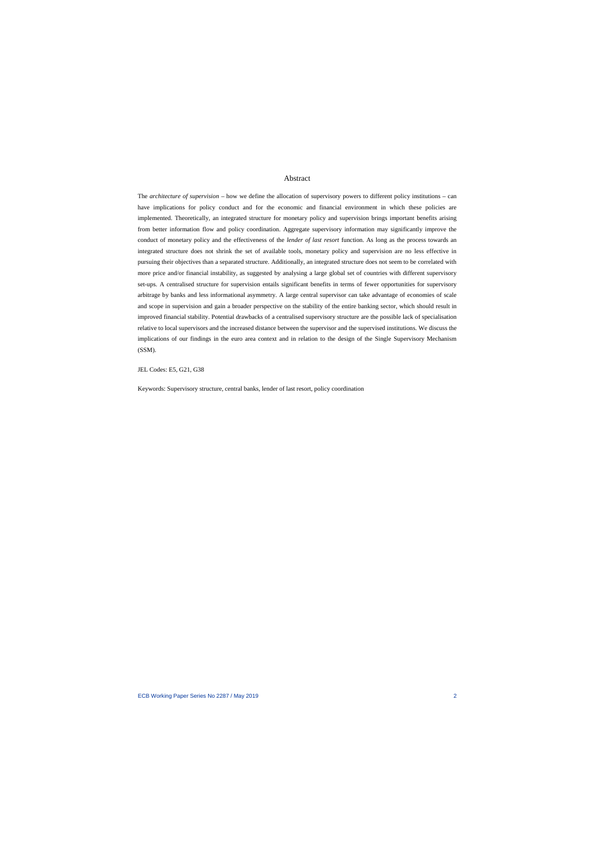#### Abstract

The *architecture of supervision* – how we define the allocation of supervisory powers to different policy institutions – can have implications for policy conduct and for the economic and financial environment in which these policies are implemented. Theoretically, an integrated structure for monetary policy and supervision brings important benefits arising from better information flow and policy coordination. Aggregate supervisory information may significantly improve the conduct of monetary policy and the effectiveness of the *lender of last resort* function. As long as the process towards an integrated structure does not shrink the set of available tools, monetary policy and supervision are no less effective in pursuing their objectives than a separated structure. Additionally, an integrated structure does not seem to be correlated with more price and/or financial instability, as suggested by analysing a large global set of countries with different supervisory set-ups. A centralised structure for supervision entails significant benefits in terms of fewer opportunities for supervisory arbitrage by banks and less informational asymmetry. A large central supervisor can take advantage of economies of scale and scope in supervision and gain a broader perspective on the stability of the entire banking sector, which should result in improved financial stability. Potential drawbacks of a centralised supervisory structure are the possible lack of specialisation relative to local supervisors and the increased distance between the supervisor and the supervised institutions. We discuss the implications of our findings in the euro area context and in relation to the design of the Single Supervisory Mechanism (SSM).

JEL Codes: E5, G21, G38

Keywords: Supervisory structure, central banks, lender of last resort, policy coordination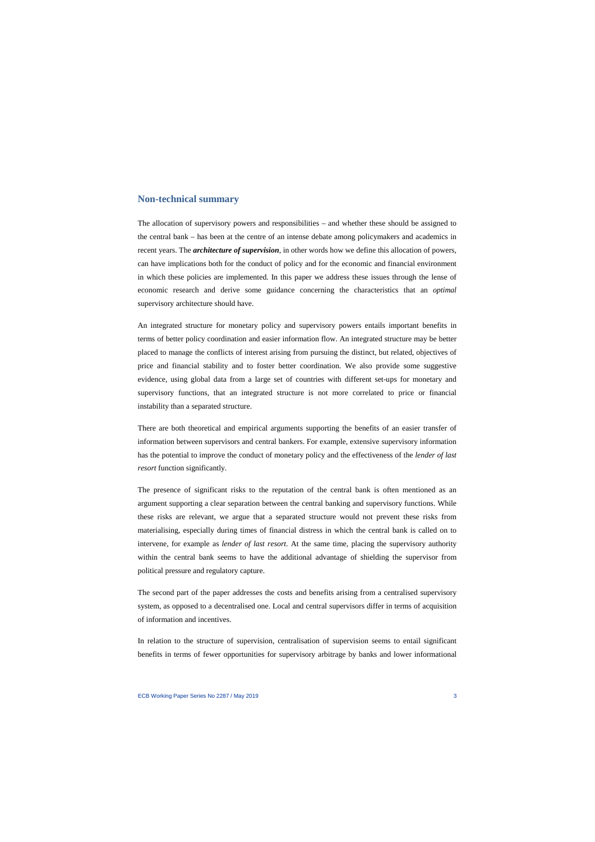## **Non-technical summary**

The allocation of supervisory powers and responsibilities – and whether these should be assigned to the central bank – has been at the centre of an intense debate among policymakers and academics in recent years. The *architecture of supervision*, in other words how we define this allocation of powers, can have implications both for the conduct of policy and for the economic and financial environment in which these policies are implemented. In this paper we address these issues through the lense of economic research and derive some guidance concerning the characteristics that an *optimal* supervisory architecture should have.

An integrated structure for monetary policy and supervisory powers entails important benefits in terms of better policy coordination and easier information flow. An integrated structure may be better placed to manage the conflicts of interest arising from pursuing the distinct, but related, objectives of price and financial stability and to foster better coordination. We also provide some suggestive evidence, using global data from a large set of countries with different set-ups for monetary and supervisory functions, that an integrated structure is not more correlated to price or financial instability than a separated structure.

There are both theoretical and empirical arguments supporting the benefits of an easier transfer of information between supervisors and central bankers. For example, extensive supervisory information has the potential to improve the conduct of monetary policy and the effectiveness of the *lender of last resort* function significantly.

The presence of significant risks to the reputation of the central bank is often mentioned as an argument supporting a clear separation between the central banking and supervisory functions. While these risks are relevant, we argue that a separated structure would not prevent these risks from materialising, especially during times of financial distress in which the central bank is called on to intervene, for example as *lender of last resort*. At the same time, placing the supervisory authority within the central bank seems to have the additional advantage of shielding the supervisor from political pressure and regulatory capture.

The second part of the paper addresses the costs and benefits arising from a centralised supervisory system, as opposed to a decentralised one. Local and central supervisors differ in terms of acquisition of information and incentives.

In relation to the structure of supervision, centralisation of supervision seems to entail significant benefits in terms of fewer opportunities for supervisory arbitrage by banks and lower informational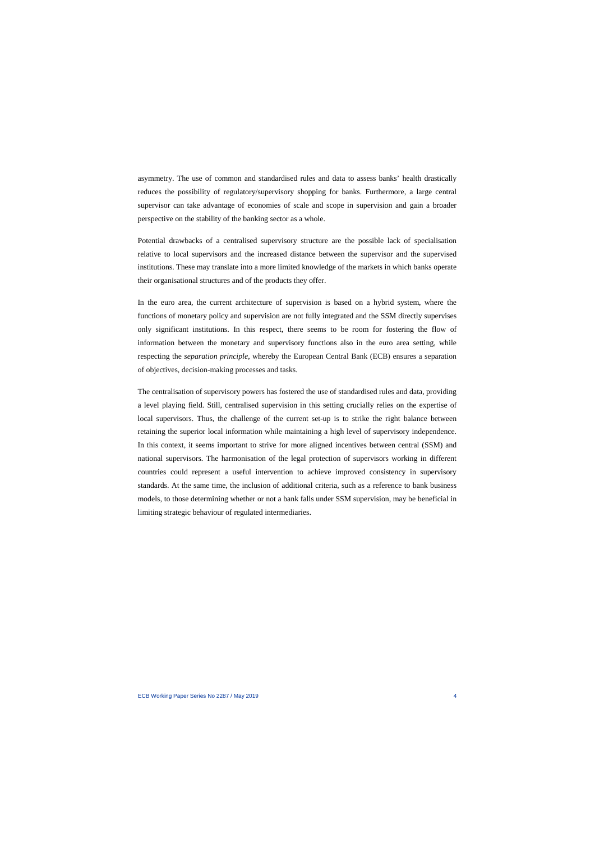asymmetry. The use of common and standardised rules and data to assess banks' health drastically reduces the possibility of regulatory/supervisory shopping for banks. Furthermore, a large central supervisor can take advantage of economies of scale and scope in supervision and gain a broader perspective on the stability of the banking sector as a whole.

Potential drawbacks of a centralised supervisory structure are the possible lack of specialisation relative to local supervisors and the increased distance between the supervisor and the supervised institutions. These may translate into a more limited knowledge of the markets in which banks operate their organisational structures and of the products they offer.

In the euro area, the current architecture of supervision is based on a hybrid system, where the functions of monetary policy and supervision are not fully integrated and the SSM directly supervises only significant institutions. In this respect, there seems to be room for fostering the flow of information between the monetary and supervisory functions also in the euro area setting, while respecting the *separation principle*, whereby the European Central Bank (ECB) ensures a separation of objectives, decision-making processes and tasks.

The centralisation of supervisory powers has fostered the use of standardised rules and data, providing a level playing field. Still, centralised supervision in this setting crucially relies on the expertise of local supervisors. Thus, the challenge of the current set-up is to strike the right balance between retaining the superior local information while maintaining a high level of supervisory independence. In this context, it seems important to strive for more aligned incentives between central (SSM) and national supervisors. The harmonisation of the legal protection of supervisors working in different countries could represent a useful intervention to achieve improved consistency in supervisory standards. At the same time, the inclusion of additional criteria, such as a reference to bank business models, to those determining whether or not a bank falls under SSM supervision, may be beneficial in limiting strategic behaviour of regulated intermediaries.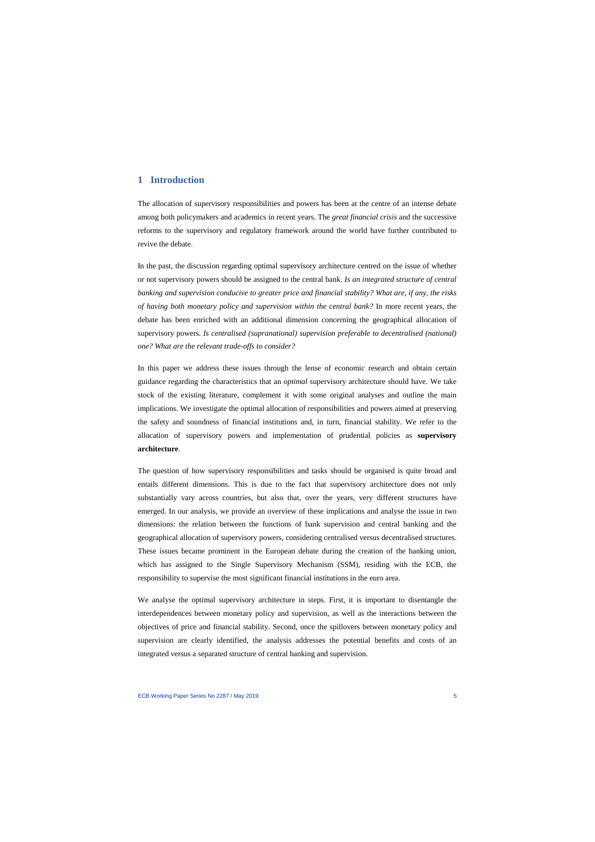## **1 Introduction**

The allocation of supervisory responsibilities and powers has been at the centre of an intense debate among both policymakers and academics in recent years. The *great financial crisis* and the successive reforms to the supervisory and regulatory framework around the world have further contributed to revive the debate.

In the past, the discussion regarding optimal supervisory architecture centred on the issue of whether or not supervisory powers should be assigned to the central bank. *Is an integrated structure of central banking and supervision conducive to greater price and financial stability? What are, if any, the risks of having both monetary policy and supervision within the central bank?* In more recent years, the debate has been enriched with an additional dimension concerning the geographical allocation of supervisory powers. *Is centralised (supranational) supervision preferable to decentralised (national) one? What are the relevant trade-offs to consider?*

In this paper we address these issues through the lense of economic research and obtain certain guidance regarding the characteristics that an *optimal* supervisory architecture should have. We take stock of the existing literature, complement it with some original analyses and outline the main implications. We investigate the optimal allocation of responsibilities and powers aimed at preserving the safety and soundness of financial institutions and, in turn, financial stability. We refer to the allocation of supervisory powers and implementation of prudential policies as **supervisory architecture**.

The question of how supervisory responsibilities and tasks should be organised is quite broad and entails different dimensions. This is due to the fact that supervisory architecture does not only substantially vary across countries, but also that, over the years, very different structures have emerged. In our analysis, we provide an overview of these implications and analyse the issue in two dimensions: the relation between the functions of bank supervision and central banking and the geographical allocation of supervisory powers, considering centralised versus decentralised structures. These issues became prominent in the European debate during the creation of the banking union, which has assigned to the Single Supervisory Mechanism (SSM), residing with the ECB, the responsibility to supervise the most significant financial institutions in the euro area.

We analyse the optimal supervisory architecture in steps. First, it is important to disentangle the interdependences between monetary policy and supervision, as well as the interactions between the objectives of price and financial stability. Second, once the spillovers between monetary policy and supervision are clearly identified, the analysis addresses the potential benefits and costs of an integrated versus a separated structure of central banking and supervision.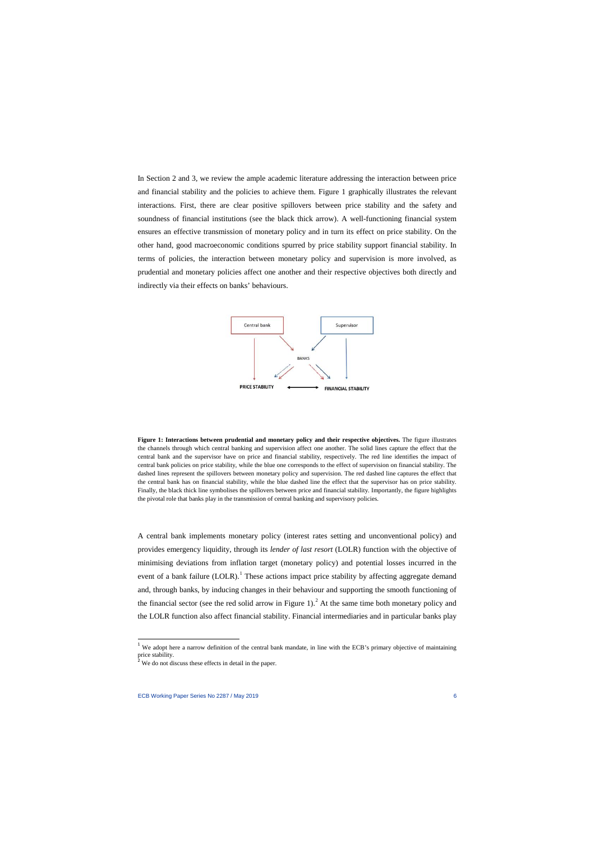In Section 2 and 3, we review the ample academic literature addressing the interaction between price and financial stability and the policies to achieve them. Figure 1 graphically illustrates the relevant interactions. First, there are clear positive spillovers between price stability and the safety and soundness of financial institutions (see the black thick arrow). A well-functioning financial system ensures an effective transmission of monetary policy and in turn its effect on price stability. On the other hand, good macroeconomic conditions spurred by price stability support financial stability. In terms of policies, the interaction between monetary policy and supervision is more involved, as prudential and monetary policies affect one another and their respective objectives both directly and indirectly via their effects on banks' behaviours.



**Figure 1: Interactions between prudential and monetary policy and their respective objectives.** The figure illustrates the channels through which central banking and supervision affect one another. The solid lines capture the effect that the central bank and the supervisor have on price and financial stability, respectively. The red line identifies the impact of central bank policies on price stability, while the blue one corresponds to the effect of supervision on financial stability. The dashed lines represent the spillovers between monetary policy and supervision. The red dashed line captures the effect that the central bank has on financial stability, while the blue dashed line the effect that the supervisor has on price stability. Finally, the black thick line symbolises the spillovers between price and financial stability. Importantly, the figure highlights the pivotal role that banks play in the transmission of central banking and supervisory policies.

A central bank implements monetary policy (interest rates setting and unconventional policy) and provides emergency liquidity, through its *lender of last resort* (LOLR) function with the objective of minimising deviations from inflation target (monetary policy) and potential losses incurred in the event of a bank failure  $(LOLR)$ .<sup>[1](#page-6-0)</sup> These actions impact price stability by affecting aggregate demand and, through banks, by inducing changes in their behaviour and supporting the smooth functioning of the financial sector (see the red solid arrow in Figure 1).<sup>[2](#page-6-1)</sup> At the same time both monetary policy and the LOLR function also affect financial stability. Financial intermediaries and in particular banks play

 $\overline{a}$ 

<sup>1</sup> We adopt here a narrow definition of the central bank mandate, in line with the ECB's primary objective of maintaining price stability.

<span id="page-6-1"></span><span id="page-6-0"></span>We do not discuss these effects in detail in the paper.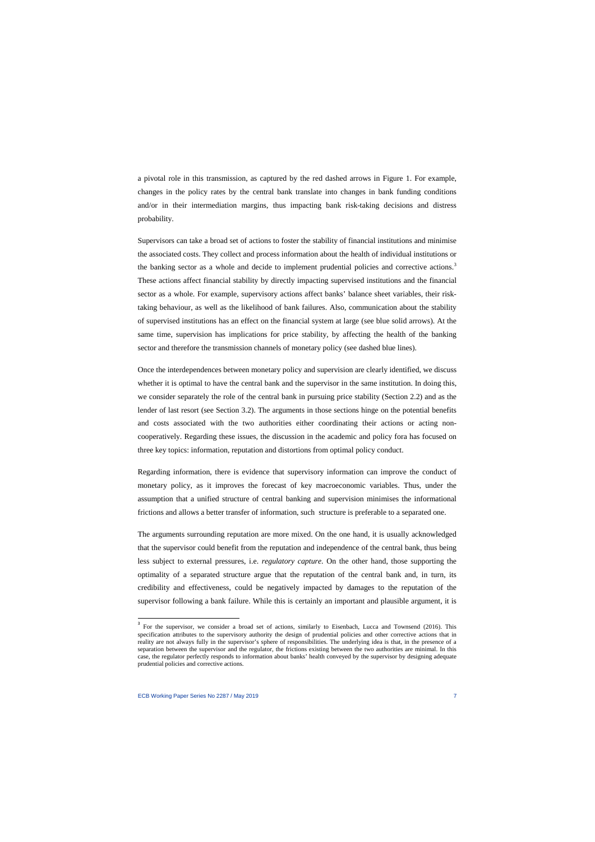a pivotal role in this transmission, as captured by the red dashed arrows in Figure 1. For example, changes in the policy rates by the central bank translate into changes in bank funding conditions and/or in their intermediation margins, thus impacting bank risk-taking decisions and distress probability.

Supervisors can take a broad set of actions to foster the stability of financial institutions and minimise the associated costs. They collect and process information about the health of individual institutions or the banking sector as a whole and decide to implement prudential policies and corrective actions.<sup>[3](#page-7-0)</sup> These actions affect financial stability by directly impacting supervised institutions and the financial sector as a whole. For example, supervisory actions affect banks' balance sheet variables, their risktaking behaviour, as well as the likelihood of bank failures. Also, communication about the stability of supervised institutions has an effect on the financial system at large (see blue solid arrows). At the same time, supervision has implications for price stability, by affecting the health of the banking sector and therefore the transmission channels of monetary policy (see dashed blue lines).

Once the interdependences between monetary policy and supervision are clearly identified, we discuss whether it is optimal to have the central bank and the supervisor in the same institution. In doing this, we consider separately the role of the central bank in pursuing price stability (Section 2.2) and as the lender of last resort (see Section 3.2). The arguments in those sections hinge on the potential benefits and costs associated with the two authorities either coordinating their actions or acting noncooperatively. Regarding these issues, the discussion in the academic and policy fora has focused on three key topics: information, reputation and distortions from optimal policy conduct.

Regarding information, there is evidence that supervisory information can improve the conduct of monetary policy, as it improves the forecast of key macroeconomic variables. Thus, under the assumption that a unified structure of central banking and supervision minimises the informational frictions and allows a better transfer of information, such structure is preferable to a separated one.

The arguments surrounding reputation are more mixed. On the one hand, it is usually acknowledged that the supervisor could benefit from the reputation and independence of the central bank, thus being less subject to external pressures, i.e. *regulatory capture*. On the other hand, those supporting the optimality of a separated structure argue that the reputation of the central bank and, in turn, its credibility and effectiveness, could be negatively impacted by damages to the reputation of the supervisor following a bank failure. While this is certainly an important and plausible argument, it is

l

<span id="page-7-0"></span><sup>&</sup>lt;sup>3</sup> For the supervisor, we consider a broad set of actions, similarly to Eisenbach, Lucca and Townsend (2016). This specification attributes to the supervisory authority the design of prudential policies and other corrective actions that in reality are not always fully in the supervisor's sphere of responsibilities. The underlying idea is that, in the presence of a separation between the supervisor and the regulator, the frictions existing between the two authorities are minimal. In this case, the regulator perfectly responds to information about banks' health conveyed by the supervisor by designing adequate prudential policies and corrective actions.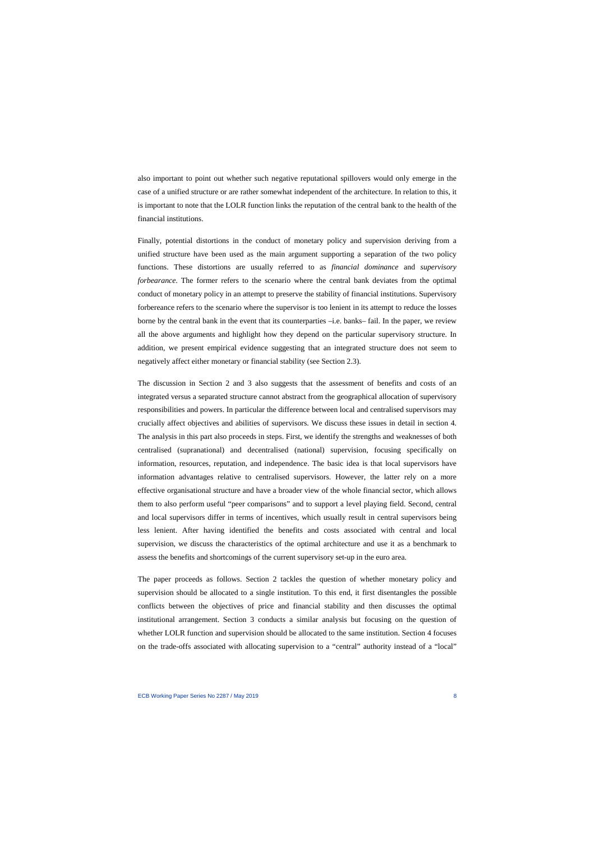also important to point out whether such negative reputational spillovers would only emerge in the case of a unified structure or are rather somewhat independent of the architecture. In relation to this, it is important to note that the LOLR function links the reputation of the central bank to the health of the financial institutions.

Finally, potential distortions in the conduct of monetary policy and supervision deriving from a unified structure have been used as the main argument supporting a separation of the two policy functions. These distortions are usually referred to as *financial dominance* and *supervisory forbearance*. The former refers to the scenario where the central bank deviates from the optimal conduct of monetary policy in an attempt to preserve the stability of financial institutions. Supervisory forbereance refers to the scenario where the supervisor is too lenient in its attempt to reduce the losses borne by the central bank in the event that its counterparties –i.e. banks– fail. In the paper, we review all the above arguments and highlight how they depend on the particular supervisory structure. In addition, we present empirical evidence suggesting that an integrated structure does not seem to negatively affect either monetary or financial stability (see Section 2.3).

The discussion in Section 2 and 3 also suggests that the assessment of benefits and costs of an integrated versus a separated structure cannot abstract from the geographical allocation of supervisory responsibilities and powers. In particular the difference between local and centralised supervisors may crucially affect objectives and abilities of supervisors. We discuss these issues in detail in section 4. The analysis in this part also proceeds in steps. First, we identify the strengths and weaknesses of both centralised (supranational) and decentralised (national) supervision, focusing specifically on information, resources, reputation, and independence. The basic idea is that local supervisors have information advantages relative to centralised supervisors. However, the latter rely on a more effective organisational structure and have a broader view of the whole financial sector, which allows them to also perform useful "peer comparisons" and to support a level playing field. Second, central and local supervisors differ in terms of incentives, which usually result in central supervisors being less lenient. After having identified the benefits and costs associated with central and local supervision, we discuss the characteristics of the optimal architecture and use it as a benchmark to assess the benefits and shortcomings of the current supervisory set-up in the euro area.

The paper proceeds as follows. Section 2 tackles the question of whether monetary policy and supervision should be allocated to a single institution. To this end, it first disentangles the possible conflicts between the objectives of price and financial stability and then discusses the optimal institutional arrangement. Section 3 conducts a similar analysis but focusing on the question of whether LOLR function and supervision should be allocated to the same institution. Section 4 focuses on the trade-offs associated with allocating supervision to a "central" authority instead of a "local"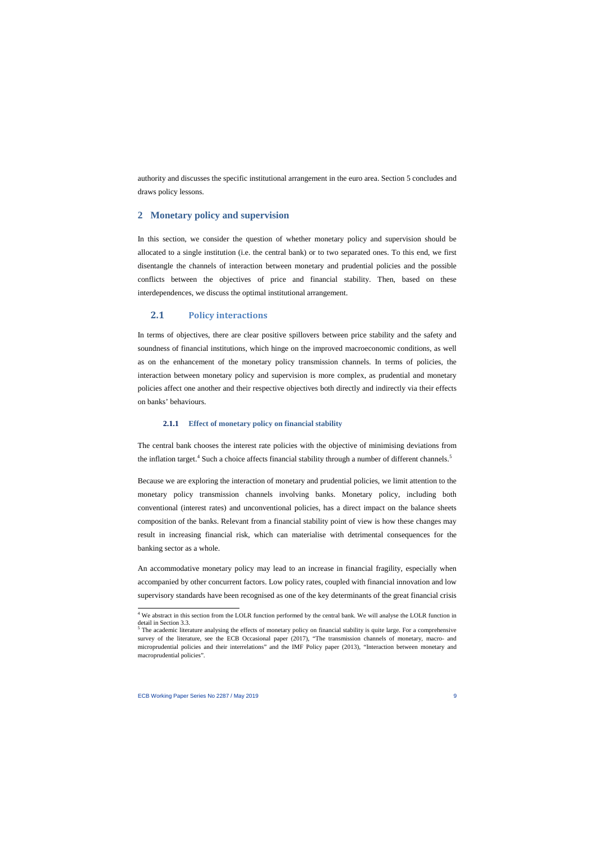authority and discusses the specific institutional arrangement in the euro area. Section 5 concludes and draws policy lessons.

## **2 Monetary policy and supervision**

In this section, we consider the question of whether monetary policy and supervision should be allocated to a single institution (i.e. the central bank) or to two separated ones. To this end, we first disentangle the channels of interaction between monetary and prudential policies and the possible conflicts between the objectives of price and financial stability. Then, based on these interdependences, we discuss the optimal institutional arrangement.

## **2.1 Policy interactions**

In terms of objectives, there are clear positive spillovers between price stability and the safety and soundness of financial institutions, which hinge on the improved macroeconomic conditions, as well as on the enhancement of the monetary policy transmission channels. In terms of policies, the interaction between monetary policy and supervision is more complex, as prudential and monetary policies affect one another and their respective objectives both directly and indirectly via their effects on banks' behaviours.

### **2.1.1 Effect of monetary policy on financial stability**

The central bank chooses the interest rate policies with the objective of minimising deviations from the inflation target.<sup>[4](#page-9-0)</sup> Such a choice affects financial stability through a number of different channels.<sup>[5](#page-9-1)</sup>

Because we are exploring the interaction of monetary and prudential policies, we limit attention to the monetary policy transmission channels involving banks. Monetary policy, including both conventional (interest rates) and unconventional policies, has a direct impact on the balance sheets composition of the banks. Relevant from a financial stability point of view is how these changes may result in increasing financial risk, which can materialise with detrimental consequences for the banking sector as a whole.

An accommodative monetary policy may lead to an increase in financial fragility, especially when accompanied by other concurrent factors. Low policy rates, coupled with financial innovation and low supervisory standards have been recognised as one of the key determinants of the great financial crisis

<sup>&</sup>lt;sup>4</sup> We abstract in this section from the LOLR function performed by the central bank. We will analyse the LOLR function in detail in Section 3.3.<br><sup>5</sup> The academic literature analysing the effects of monetary policy on financial stability is quite large. For a comprehensive

<span id="page-9-1"></span><span id="page-9-0"></span>survey of the literature, see the ECB Occasional paper (2017), "The transmission channels of monetary, macro- and microprudential policies and their interrelations" and the IMF Policy paper (2013), "Interaction between monetary and macroprudential policies".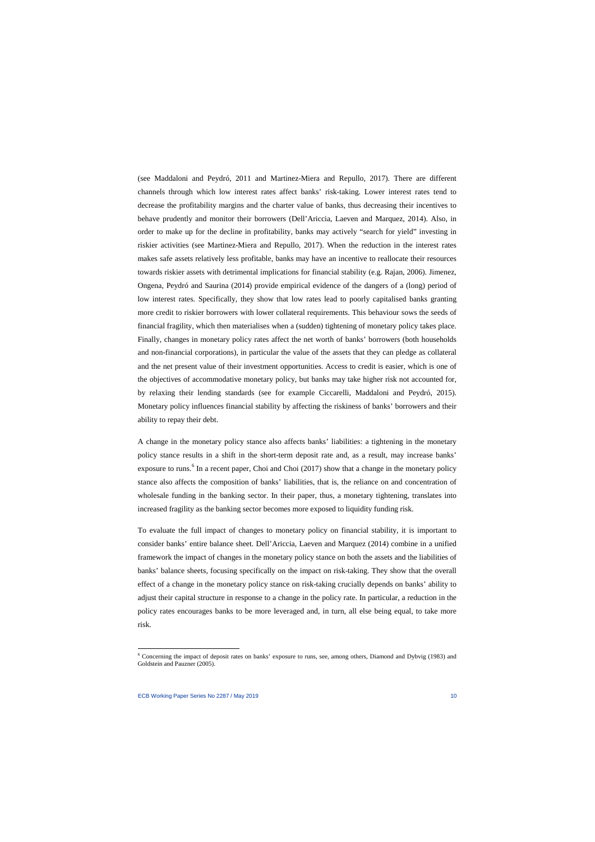(see Maddaloni and Peydró, 2011 and Martinez-Miera and Repullo, 2017). There are different channels through which low interest rates affect banks' risk-taking. Lower interest rates tend to decrease the profitability margins and the charter value of banks, thus decreasing their incentives to behave prudently and monitor their borrowers (Dell'Ariccia, Laeven and Marquez, 2014). Also, in order to make up for the decline in profitability, banks may actively "search for yield" investing in riskier activities (see Martinez-Miera and Repullo, 2017). When the reduction in the interest rates makes safe assets relatively less profitable, banks may have an incentive to reallocate their resources towards riskier assets with detrimental implications for financial stability (e.g. Rajan, 2006). Jimenez, Ongena, Peydró and Saurina (2014) provide empirical evidence of the dangers of a (long) period of low interest rates. Specifically, they show that low rates lead to poorly capitalised banks granting more credit to riskier borrowers with lower collateral requirements. This behaviour sows the seeds of financial fragility, which then materialises when a (sudden) tightening of monetary policy takes place. Finally, changes in monetary policy rates affect the net worth of banks' borrowers (both households and non-financial corporations), in particular the value of the assets that they can pledge as collateral and the net present value of their investment opportunities. Access to credit is easier, which is one of the objectives of accommodative monetary policy, but banks may take higher risk not accounted for, by relaxing their lending standards (see for example Ciccarelli, Maddaloni and Peydró, 2015). Monetary policy influences financial stability by affecting the riskiness of banks' borrowers and their ability to repay their debt.

A change in the monetary policy stance also affects banks' liabilities: a tightening in the monetary policy stance results in a shift in the short-term deposit rate and, as a result, may increase banks' exposure to runs.<sup>[6](#page-10-0)</sup> In a recent paper, Choi and Choi (2017) show that a change in the monetary policy stance also affects the composition of banks' liabilities, that is, the reliance on and concentration of wholesale funding in the banking sector. In their paper, thus, a monetary tightening, translates into increased fragility as the banking sector becomes more exposed to liquidity funding risk.

To evaluate the full impact of changes to monetary policy on financial stability, it is important to consider banks' entire balance sheet. Dell'Ariccia, Laeven and Marquez (2014) combine in a unified framework the impact of changes in the monetary policy stance on both the assets and the liabilities of banks' balance sheets, focusing specifically on the impact on risk-taking. They show that the overall effect of a change in the monetary policy stance on risk-taking crucially depends on banks' ability to adjust their capital structure in response to a change in the policy rate. In particular, a reduction in the policy rates encourages banks to be more leveraged and, in turn, all else being equal, to take more risk.

<span id="page-10-0"></span><sup>6</sup> Concerning the impact of deposit rates on banks' exposure to runs, see, among others, Diamond and Dybvig (1983) and Goldstein and Pauzner (2005).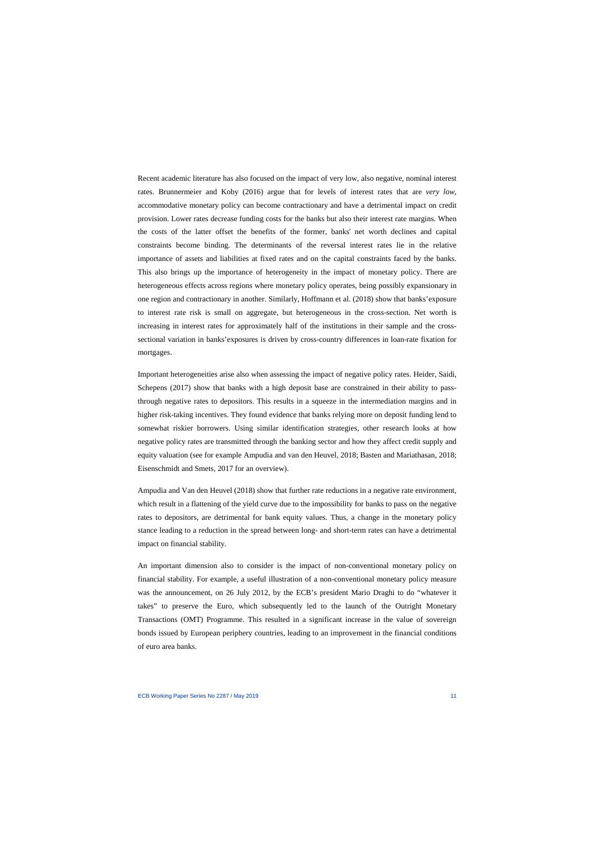Recent academic literature has also focused on the impact of very low, also negative, nominal interest rates. Brunnermeier and Koby (2016) argue that for levels of interest rates that are *very low*, accommodative monetary policy can become contractionary and have a detrimental impact on credit provision. Lower rates decrease funding costs for the banks but also their interest rate margins. When the costs of the latter offset the benefits of the former, banks' net worth declines and capital constraints become binding. The determinants of the reversal interest rates lie in the relative importance of assets and liabilities at fixed rates and on the capital constraints faced by the banks. This also brings up the importance of heterogeneity in the impact of monetary policy. There are heterogeneous effects across regions where monetary policy operates, being possibly expansionary in one region and contractionary in another. Similarly, Hoffmann et al. (2018) show that banks'exposure to interest rate risk is small on aggregate, but heterogeneous in the cross-section. Net worth is increasing in interest rates for approximately half of the institutions in their sample and the crosssectional variation in banks'exposures is driven by cross-country differences in loan-rate fixation for mortgages.

Important heterogeneities arise also when assessing the impact of negative policy rates. Heider, Saidi, Schepens (2017) show that banks with a high deposit base are constrained in their ability to passthrough negative rates to depositors. This results in a squeeze in the intermediation margins and in higher risk-taking incentives. They found evidence that banks relying more on deposit funding lend to somewhat riskier borrowers. Using similar identification strategies, other research looks at how negative policy rates are transmitted through the banking sector and how they affect credit supply and equity valuation (see for example Ampudia and van den Heuvel, 2018; Basten and Mariathasan, 2018; Eisenschmidt and Smets, 2017 for an overview).

Ampudia and Van den Heuvel (2018) show that further rate reductions in a negative rate environment, which result in a flattening of the yield curve due to the impossibility for banks to pass on the negative rates to depositors, are detrimental for bank equity values. Thus, a change in the monetary policy stance leading to a reduction in the spread between long- and short-term rates can have a detrimental impact on financial stability.

An important dimension also to consider is the impact of non-conventional monetary policy on financial stability. For example, a useful illustration of a non-conventional monetary policy measure was the announcement, on 26 July 2012, by the ECB's president Mario Draghi to do "whatever it takes" to preserve the Euro, which subsequently led to the launch of the Outright Monetary Transactions (OMT) Programme. This resulted in a significant increase in the value of sovereign bonds issued by European periphery countries, leading to an improvement in the financial conditions of euro area banks.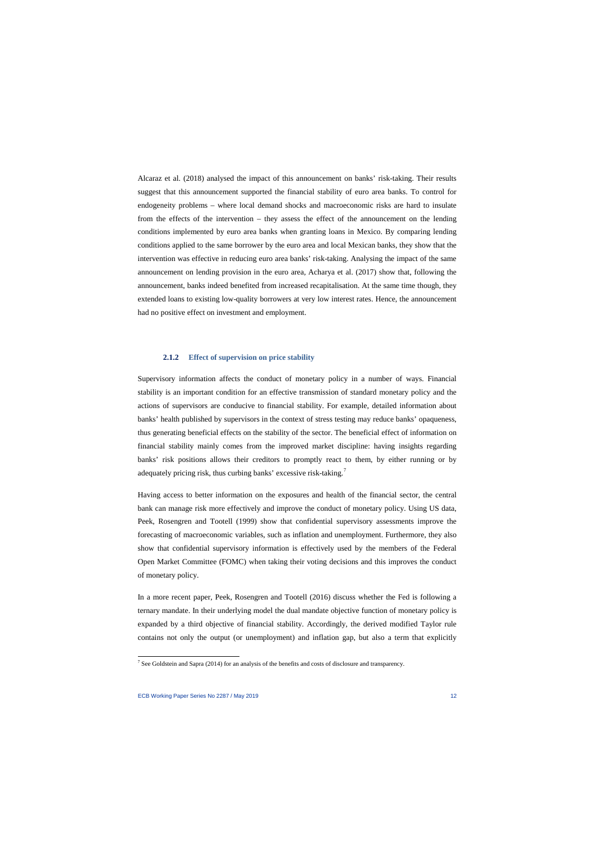Alcaraz et al. (2018) analysed the impact of this announcement on banks' risk-taking. Their results suggest that this announcement supported the financial stability of euro area banks. To control for endogeneity problems – where local demand shocks and macroeconomic risks are hard to insulate from the effects of the intervention – they assess the effect of the announcement on the lending conditions implemented by euro area banks when granting loans in Mexico. By comparing lending conditions applied to the same borrower by the euro area and local Mexican banks, they show that the intervention was effective in reducing euro area banks' risk-taking. Analysing the impact of the same announcement on lending provision in the euro area, Acharya et al. (2017) show that, following the announcement, banks indeed benefited from increased recapitalisation. At the same time though, they extended loans to existing low-quality borrowers at very low interest rates. Hence, the announcement had no positive effect on investment and employment.

#### **2.1.2 Effect of supervision on price stability**

Supervisory information affects the conduct of monetary policy in a number of ways. Financial stability is an important condition for an effective transmission of standard monetary policy and the actions of supervisors are conducive to financial stability. For example, detailed information about banks' health published by supervisors in the context of stress testing may reduce banks' opaqueness, thus generating beneficial effects on the stability of the sector. The beneficial effect of information on financial stability mainly comes from the improved market discipline: having insights regarding banks' risk positions allows their creditors to promptly react to them, by either running or by adequately pricing risk, thus curbing banks' excessive risk-taking.<sup>[7](#page-12-0)</sup>

Having access to better information on the exposures and health of the financial sector, the central bank can manage risk more effectively and improve the conduct of monetary policy. Using US data, Peek, Rosengren and Tootell (1999) show that confidential supervisory assessments improve the forecasting of macroeconomic variables, such as inflation and unemployment. Furthermore, they also show that confidential supervisory information is effectively used by the members of the Federal Open Market Committee (FOMC) when taking their voting decisions and this improves the conduct of monetary policy.

In a more recent paper, Peek, Rosengren and Tootell (2016) discuss whether the Fed is following a ternary mandate. In their underlying model the dual mandate objective function of monetary policy is expanded by a third objective of financial stability. Accordingly, the derived modified Taylor rule contains not only the output (or unemployment) and inflation gap, but also a term that explicitly

l

<span id="page-12-0"></span><sup>&</sup>lt;sup>7</sup> See Goldstein and Sapra (2014) for an analysis of the benefits and costs of disclosure and transparency.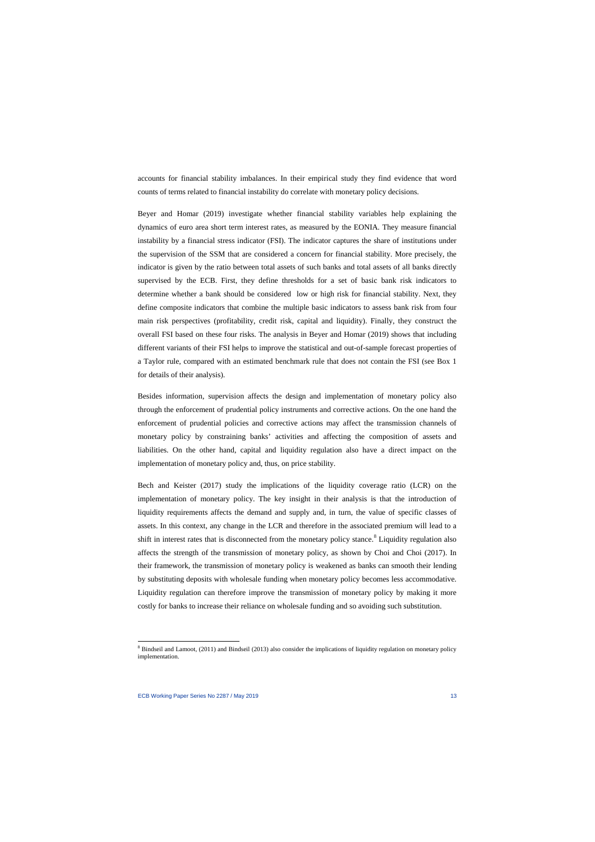accounts for financial stability imbalances. In their empirical study they find evidence that word counts of terms related to financial instability do correlate with monetary policy decisions.

Beyer and Homar (2019) investigate whether financial stability variables help explaining the dynamics of euro area short term interest rates, as measured by the EONIA. They measure financial instability by a financial stress indicator (FSI). The indicator captures the share of institutions under the supervision of the SSM that are considered a concern for financial stability. More precisely, the indicator is given by the ratio between total assets of such banks and total assets of all banks directly supervised by the ECB. First, they define thresholds for a set of basic bank risk indicators to determine whether a bank should be considered low or high risk for financial stability. Next, they define composite indicators that combine the multiple basic indicators to assess bank risk from four main risk perspectives (profitability, credit risk, capital and liquidity). Finally, they construct the overall FSI based on these four risks. The analysis in Beyer and Homar (2019) shows that including different variants of their FSI helps to improve the statistical and out-of-sample forecast properties of a Taylor rule, compared with an estimated benchmark rule that does not contain the FSI (see Box 1 for details of their analysis).

Besides information, supervision affects the design and implementation of monetary policy also through the enforcement of prudential policy instruments and corrective actions. On the one hand the enforcement of prudential policies and corrective actions may affect the transmission channels of monetary policy by constraining banks' activities and affecting the composition of assets and liabilities. On the other hand, capital and liquidity regulation also have a direct impact on the implementation of monetary policy and, thus, on price stability.

Bech and Keister (2017) study the implications of the liquidity coverage ratio (LCR) on the implementation of monetary policy. The key insight in their analysis is that the introduction of liquidity requirements affects the demand and supply and, in turn, the value of specific classes of assets. In this context, any change in the LCR and therefore in the associated premium will lead to a shift in interest rates that is disconnected from the monetary policy stance.<sup>[8](#page-13-0)</sup> Liquidity regulation also affects the strength of the transmission of monetary policy, as shown by Choi and Choi (2017). In their framework, the transmission of monetary policy is weakened as banks can smooth their lending by substituting deposits with wholesale funding when monetary policy becomes less accommodative. Liquidity regulation can therefore improve the transmission of monetary policy by making it more costly for banks to increase their reliance on wholesale funding and so avoiding such substitution.

<span id="page-13-0"></span><sup>&</sup>lt;sup>8</sup> Bindseil and Lamoot, (2011) and Bindseil (2013) also consider the implications of liquidity regulation on monetary policy implementation.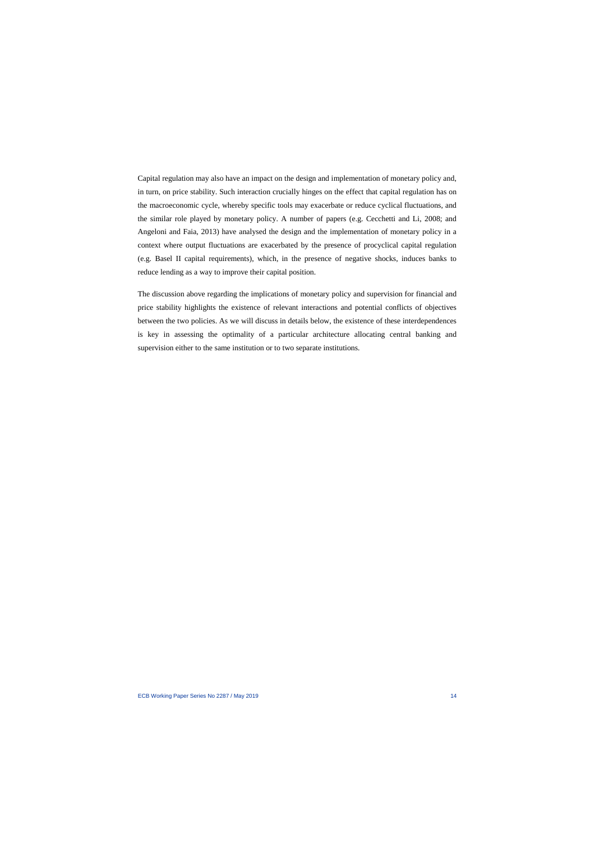Capital regulation may also have an impact on the design and implementation of monetary policy and, in turn, on price stability. Such interaction crucially hinges on the effect that capital regulation has on the macroeconomic cycle, whereby specific tools may exacerbate or reduce cyclical fluctuations, and the similar role played by monetary policy. A number of papers (e.g. Cecchetti and Li, 2008; and Angeloni and Faia, 2013) have analysed the design and the implementation of monetary policy in a context where output fluctuations are exacerbated by the presence of procyclical capital regulation (e.g. Basel II capital requirements), which, in the presence of negative shocks, induces banks to reduce lending as a way to improve their capital position.

The discussion above regarding the implications of monetary policy and supervision for financial and price stability highlights the existence of relevant interactions and potential conflicts of objectives between the two policies. As we will discuss in details below, the existence of these interdependences is key in assessing the optimality of a particular architecture allocating central banking and supervision either to the same institution or to two separate institutions.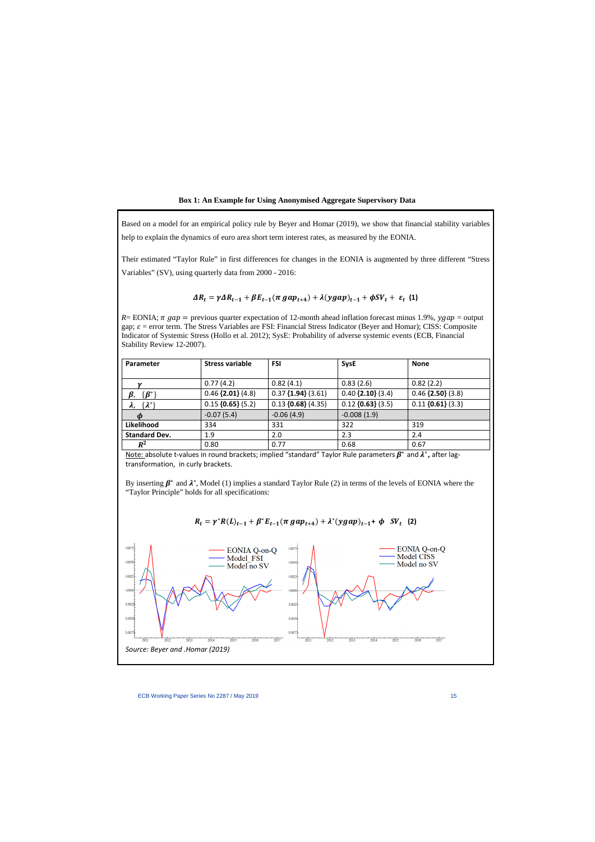Based on a model for an empirical policy rule by Beyer and Homar (2019), we show that financial stability variables help to explain the dynamics of euro area short term interest rates, as measured by the EONIA.

Their estimated "Taylor Rule" in first differences for changes in the EONIA is augmented by three different "Stress Variables" (SV), using quarterly data from 2000 - 2016:

## $\Delta R_t = \gamma \Delta R_{t-1} + \beta E_{t-1} (\pi g a p_{t+4}) + \lambda (y g a p)_{t-1} + \phi S V_t + \varepsilon_t$  (1)

 $R = EONIA$ ;  $\pi$  gap = previous quarter expectation of 12-month ahead inflation forecast minus 1.9%,  $\gamma$ gap = output gap;  $\varepsilon$  = error term. The Stress Variables are FSI: Financial Stress Indicator (Beyer and Homar); CISS: Composite Indicator of Systemic Stress (Hollo et al. 2012); SysE: Probability of adverse systemic events (ECB, Financial Stability Review 12-2007).

| <b>Parameter</b>      | <b>Stress variable</b> | <b>FSI</b>           | <b>SysE</b>         | <b>None</b>         |
|-----------------------|------------------------|----------------------|---------------------|---------------------|
|                       |                        |                      |                     |                     |
| $\boldsymbol{\nu}$    | 0.77(4.2)              | 0.82(4.1)            | 0.83(2.6)           | 0.82(2.2)           |
| $\{B^*\}$             | $0.46$ {2.01} (4.8)    | $0.37$ {1.94} (3.61) | $0.40$ {2.10} (3.4) | $0.46$ {2.50} (3.8) |
| $\{\lambda^*\}$<br>λ, | $0.15$ {0.65} (5.2)    | $0.13$ {0.68} (4.35) | $0.12$ {0.63} (3.5) | $0.11$ {0.61} (3.3) |
|                       | $-0.07(5.4)$           | $-0.06(4.9)$         | $-0.008(1.9)$       |                     |
| Likelihood            | 334                    | 331                  | 322                 | 319                 |
| <b>Standard Dev.</b>  | 1.9                    | 2.0                  | 2.3                 | 2.4                 |
| $R^2$                 | 0.80                   | 0.77                 | 0.68                | 0.67                |

Note: absolute t-values in round brackets; implied "standard" Taylor Rule parameters  $\beta^*$  and  $\lambda^*$ , after lagtransformation, in curly brackets.

By inserting  $\beta^*$  and  $\lambda^*$ , Model (1) implies a standard Taylor Rule (2) in terms of the levels of EONIA where the "Taylor Principle" holds for all specifications:

$$
R_t = \gamma^* R(L)_{t-1} + \beta^* E_{t-1}(\pi \, gap_{t+4}) + \lambda^* (ygap)_{t-1} + \phi \, SV_t \tag{2}
$$

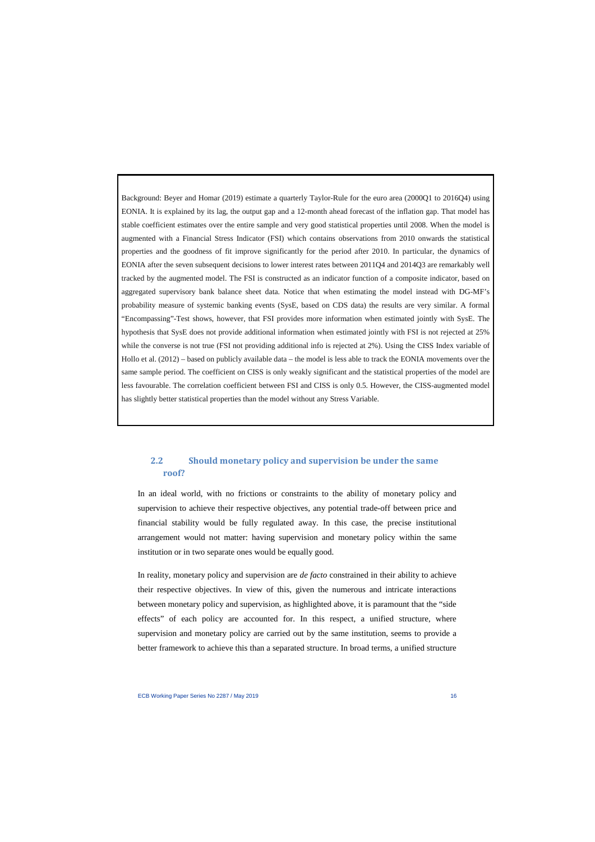Background: Beyer and Homar (2019) estimate a quarterly Taylor-Rule for the euro area (2000Q1 to 2016Q4) using EONIA. It is explained by its lag, the output gap and a 12-month ahead forecast of the inflation gap. That model has stable coefficient estimates over the entire sample and very good statistical properties until 2008. When the model is augmented with a Financial Stress Indicator (FSI) which contains observations from 2010 onwards the statistical properties and the goodness of fit improve significantly for the period after 2010. In particular, the dynamics of EONIA after the seven subsequent decisions to lower interest rates between 2011Q4 and 2014Q3 are remarkably well tracked by the augmented model. The FSI is constructed as an indicator function of a composite indicator, based on aggregated supervisory bank balance sheet data. Notice that when estimating the model instead with DG-MF's probability measure of systemic banking events (SysE, based on CDS data) the results are very similar. A formal "Encompassing"-Test shows, however, that FSI provides more information when estimated jointly with SysE. The hypothesis that SysE does not provide additional information when estimated jointly with FSI is not rejected at 25% while the converse is not true (FSI not providing additional info is rejected at 2%). Using the CISS Index variable of Hollo et al. (2012) – based on publicly available data – the model is less able to track the EONIA movements over the same sample period. The coefficient on CISS is only weakly significant and the statistical properties of the model are less favourable. The correlation coefficient between FSI and CISS is only 0.5. However, the CISS-augmented model has slightly better statistical properties than the model without any Stress Variable.

## **2.2 Should monetary policy and supervision be under the same roof?**

In an ideal world, with no frictions or constraints to the ability of monetary policy and supervision to achieve their respective objectives, any potential trade-off between price and financial stability would be fully regulated away. In this case, the precise institutional arrangement would not matter: having supervision and monetary policy within the same institution or in two separate ones would be equally good.

In reality, monetary policy and supervision are *de facto* constrained in their ability to achieve their respective objectives. In view of this, given the numerous and intricate interactions between monetary policy and supervision, as highlighted above, it is paramount that the "side effects" of each policy are accounted for. In this respect, a unified structure, where supervision and monetary policy are carried out by the same institution, seems to provide a better framework to achieve this than a separated structure. In broad terms, a unified structure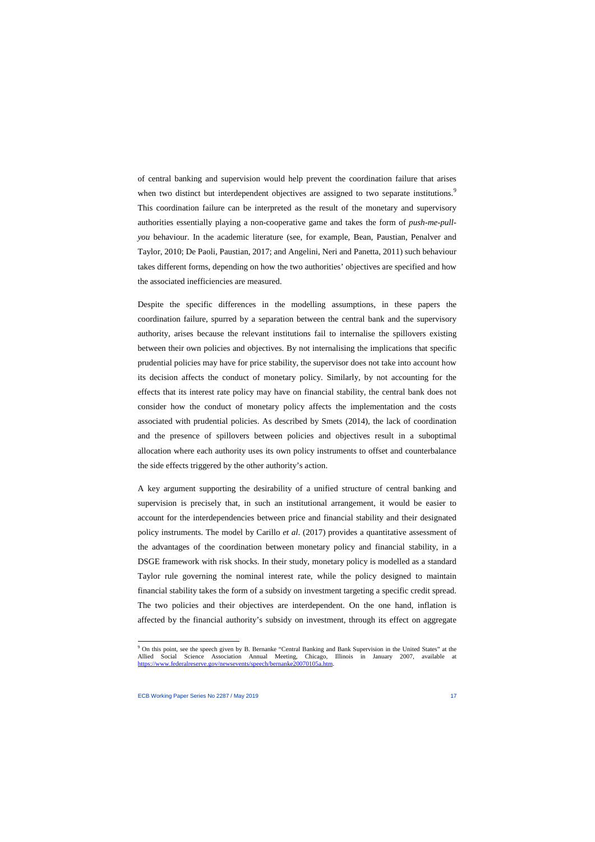of central banking and supervision would help prevent the coordination failure that arises when two distinct but interdependent objectives are assigned to two separate institutions.<sup>[9](#page-17-0)</sup> This coordination failure can be interpreted as the result of the monetary and supervisory authorities essentially playing a non-cooperative game and takes the form of *push-me-pullyou* behaviour. In the academic literature (see, for example, Bean, Paustian, Penalver and Taylor, 2010; De Paoli, Paustian, 2017; and Angelini, Neri and Panetta, 2011) such behaviour takes different forms, depending on how the two authorities' objectives are specified and how the associated inefficiencies are measured.

Despite the specific differences in the modelling assumptions, in these papers the coordination failure, spurred by a separation between the central bank and the supervisory authority, arises because the relevant institutions fail to internalise the spillovers existing between their own policies and objectives. By not internalising the implications that specific prudential policies may have for price stability, the supervisor does not take into account how its decision affects the conduct of monetary policy. Similarly, by not accounting for the effects that its interest rate policy may have on financial stability, the central bank does not consider how the conduct of monetary policy affects the implementation and the costs associated with prudential policies. As described by Smets (2014), the lack of coordination and the presence of spillovers between policies and objectives result in a suboptimal allocation where each authority uses its own policy instruments to offset and counterbalance the side effects triggered by the other authority's action.

A key argument supporting the desirability of a unified structure of central banking and supervision is precisely that, in such an institutional arrangement, it would be easier to account for the interdependencies between price and financial stability and their designated policy instruments. The model by Carillo *et al*. (2017) provides a quantitative assessment of the advantages of the coordination between monetary policy and financial stability, in a DSGE framework with risk shocks. In their study, monetary policy is modelled as a standard Taylor rule governing the nominal interest rate, while the policy designed to maintain financial stability takes the form of a subsidy on investment targeting a specific credit spread. The two policies and their objectives are interdependent. On the one hand, inflation is affected by the financial authority's subsidy on investment, through its effect on aggregate

<span id="page-17-0"></span><sup>9</sup> On this point, see the speech given by B. Bernanke "Central Banking and Bank Supervision in the United States" at the Allied Social Science Association Annual Meeting, Chicago, Illinois in January 2007, available at [https://www.federalreserve.gov/newsevents/speech/bernanke20070105a.htm.](https://www.federalreserve.gov/newsevents/speech/bernanke20070105a.htm)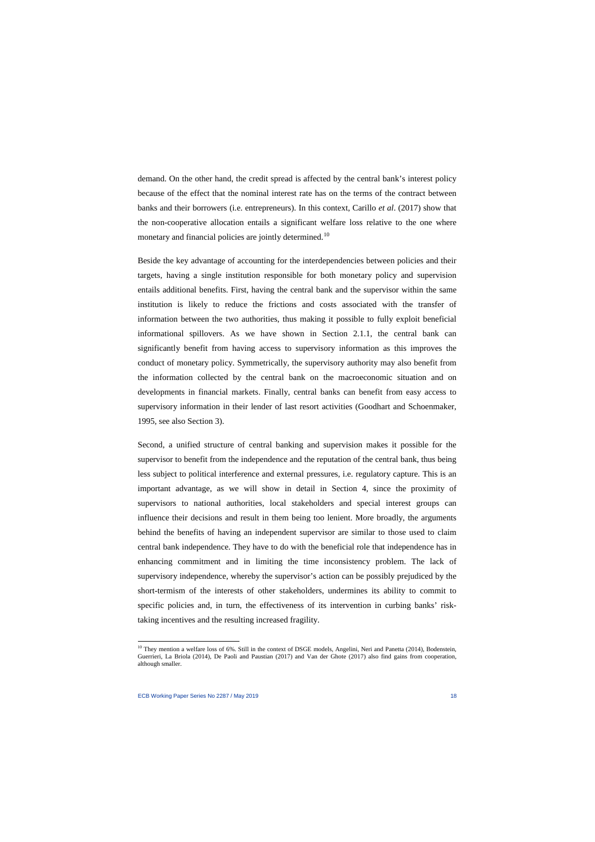demand. On the other hand, the credit spread is affected by the central bank's interest policy because of the effect that the nominal interest rate has on the terms of the contract between banks and their borrowers (i.e. entrepreneurs). In this context, Carillo *et al*. (2017) show that the non-cooperative allocation entails a significant welfare loss relative to the one where monetary and financial policies are jointly determined.<sup>[10](#page-18-0)</sup>

Beside the key advantage of accounting for the interdependencies between policies and their targets, having a single institution responsible for both monetary policy and supervision entails additional benefits. First, having the central bank and the supervisor within the same institution is likely to reduce the frictions and costs associated with the transfer of information between the two authorities, thus making it possible to fully exploit beneficial informational spillovers. As we have shown in Section 2.1.1, the central bank can significantly benefit from having access to supervisory information as this improves the conduct of monetary policy. Symmetrically, the supervisory authority may also benefit from the information collected by the central bank on the macroeconomic situation and on developments in financial markets. Finally, central banks can benefit from easy access to supervisory information in their lender of last resort activities (Goodhart and Schoenmaker, 1995, see also Section 3).

Second, a unified structure of central banking and supervision makes it possible for the supervisor to benefit from the independence and the reputation of the central bank, thus being less subject to political interference and external pressures, i.e. regulatory capture. This is an important advantage, as we will show in detail in Section 4, since the proximity of supervisors to national authorities, local stakeholders and special interest groups can influence their decisions and result in them being too lenient. More broadly, the arguments behind the benefits of having an independent supervisor are similar to those used to claim central bank independence. They have to do with the beneficial role that independence has in enhancing commitment and in limiting the time inconsistency problem. The lack of supervisory independence, whereby the supervisor's action can be possibly prejudiced by the short-termism of the interests of other stakeholders, undermines its ability to commit to specific policies and, in turn, the effectiveness of its intervention in curbing banks' risktaking incentives and the resulting increased fragility.

<span id="page-18-0"></span> $10$  They mention a welfare loss of 6%. Still in the context of DSGE models, Angelini, Neri and Panetta (2014), Bodenstein, Guerrieri, La Briola (2014), De Paoli and Paustian (2017) and Van der Ghote (2017) also find gains from cooperation, although smaller.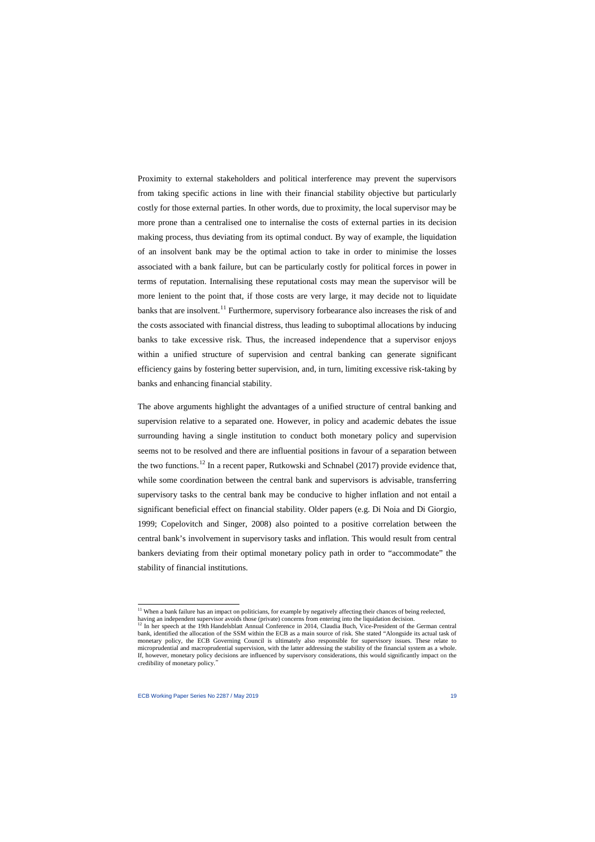Proximity to external stakeholders and political interference may prevent the supervisors from taking specific actions in line with their financial stability objective but particularly costly for those external parties. In other words, due to proximity, the local supervisor may be more prone than a centralised one to internalise the costs of external parties in its decision making process, thus deviating from its optimal conduct. By way of example, the liquidation of an insolvent bank may be the optimal action to take in order to minimise the losses associated with a bank failure, but can be particularly costly for political forces in power in terms of reputation. Internalising these reputational costs may mean the supervisor will be more lenient to the point that, if those costs are very large, it may decide not to liquidate banks that are insolvent.<sup>[11](#page-19-0)</sup> Furthermore, supervisory forbearance also increases the risk of and the costs associated with financial distress, thus leading to suboptimal allocations by inducing banks to take excessive risk. Thus, the increased independence that a supervisor enjoys within a unified structure of supervision and central banking can generate significant efficiency gains by fostering better supervision, and, in turn, limiting excessive risk-taking by banks and enhancing financial stability.

The above arguments highlight the advantages of a unified structure of central banking and supervision relative to a separated one. However, in policy and academic debates the issue surrounding having a single institution to conduct both monetary policy and supervision seems not to be resolved and there are influential positions in favour of a separation between the two functions.<sup>[12](#page-19-1)</sup> In a recent paper, Rutkowski and Schnabel (2017) provide evidence that, while some coordination between the central bank and supervisors is advisable, transferring supervisory tasks to the central bank may be conducive to higher inflation and not entail a significant beneficial effect on financial stability. Older papers (e.g. Di Noia and Di Giorgio, 1999; Copelovitch and Singer, 2008) also pointed to a positive correlation between the central bank's involvement in supervisory tasks and inflation. This would result from central bankers deviating from their optimal monetary policy path in order to "accommodate" the stability of financial institutions.

<sup>&</sup>lt;sup>11</sup> When a bank failure has an impact on politicians, for example by negatively affecting their chances of being reelected,

<span id="page-19-1"></span><span id="page-19-0"></span>having an independent supervisor avoids those (private) concerns from entering into the liquidation decision.<br><sup>12</sup> In her speech at the 19th Handelsblatt Annual Conference in 2014, Claudia Buch, Vice-President of the Germa bank, identified the allocation of the SSM within the ECB as a main source of risk. She stated "Alongside its actual task of monetary policy, the ECB Governing Council is ultimately also responsible for supervisory issues. These relate to microprudential and macroprudential supervision, with the latter addressing the stability of the financial system as a whole. If, however, monetary policy decisions are influenced by supervisory considerations, this would significantly impact on the credibility of monetary policy."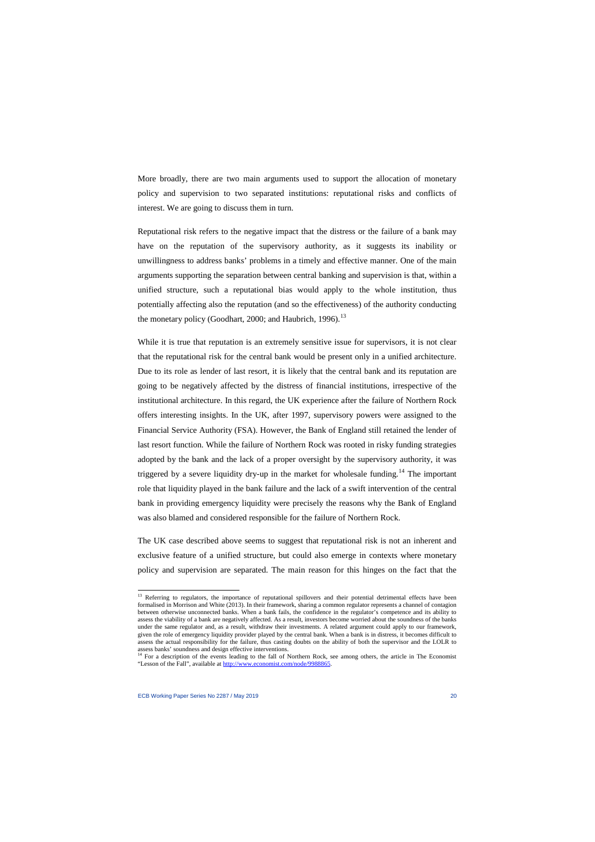More broadly, there are two main arguments used to support the allocation of monetary policy and supervision to two separated institutions: reputational risks and conflicts of interest. We are going to discuss them in turn.

Reputational risk refers to the negative impact that the distress or the failure of a bank may have on the reputation of the supervisory authority, as it suggests its inability or unwillingness to address banks' problems in a timely and effective manner. One of the main arguments supporting the separation between central banking and supervision is that, within a unified structure, such a reputational bias would apply to the whole institution, thus potentially affecting also the reputation (and so the effectiveness) of the authority conducting the monetary policy (Goodhart, 2000; and Haubrich, 1996).<sup>[13](#page-20-0)</sup>

While it is true that reputation is an extremely sensitive issue for supervisors, it is not clear that the reputational risk for the central bank would be present only in a unified architecture. Due to its role as lender of last resort, it is likely that the central bank and its reputation are going to be negatively affected by the distress of financial institutions, irrespective of the institutional architecture. In this regard, the UK experience after the failure of Northern Rock offers interesting insights. In the UK, after 1997, supervisory powers were assigned to the Financial Service Authority (FSA). However, the Bank of England still retained the lender of last resort function. While the failure of Northern Rock was rooted in risky funding strategies adopted by the bank and the lack of a proper oversight by the supervisory authority, it was triggered by a severe liquidity dry-up in the market for wholesale funding.<sup>[14](#page-20-1)</sup> The important role that liquidity played in the bank failure and the lack of a swift intervention of the central bank in providing emergency liquidity were precisely the reasons why the Bank of England was also blamed and considered responsible for the failure of Northern Rock.

The UK case described above seems to suggest that reputational risk is not an inherent and exclusive feature of a unified structure, but could also emerge in contexts where monetary policy and supervision are separated. The main reason for this hinges on the fact that the

<sup>&</sup>lt;sup>13</sup> Referring to regulators, the importance of reputational spillovers and their potential detrimental effects have been formalised in Morrison and White (2013). In their framework, sharing a common regulator represents a channel of contagion between otherwise unconnected banks. When a bank fails, the confidence in the regulator's competence and its ability to assess the viability of a bank are negatively affected. As a result, investors become worried about the soundness of the banks under the same regulator and, as a result, withdraw their investments. A related argument could apply to our framework, given the role of emergency liquidity provider played by the central bank. When a bank is in distress, it becomes difficult to assess the actual responsibility for the failure, thus casting doubts on the ability of both the supervisor and the LOLR to

<span id="page-20-1"></span><span id="page-20-0"></span>assess banks' soundness and design effective interventions.<br><sup>14</sup> For a description of the events leading to the fall of Northern Rock, see among others, the article in The Economist "Lesson of the Fall", available a[t http://www.economist.com/node/9988865.](http://www.economist.com/node/9988865)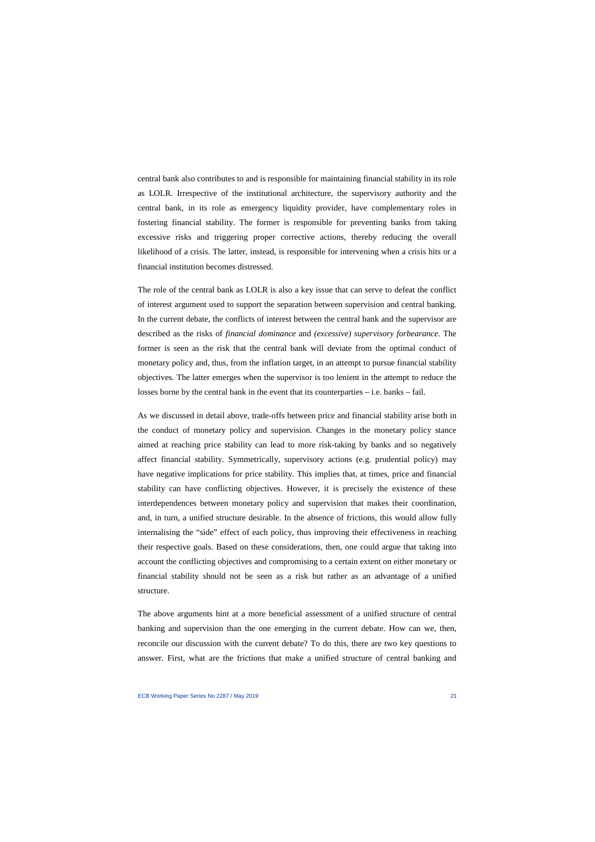central bank also contributes to and is responsible for maintaining financial stability in its role as LOLR. Irrespective of the institutional architecture, the supervisory authority and the central bank, in its role as emergency liquidity provider, have complementary roles in fostering financial stability. The former is responsible for preventing banks from taking excessive risks and triggering proper corrective actions, thereby reducing the overall likelihood of a crisis. The latter, instead, is responsible for intervening when a crisis hits or a financial institution becomes distressed.

The role of the central bank as LOLR is also a key issue that can serve to defeat the conflict of interest argument used to support the separation between supervision and central banking. In the current debate, the conflicts of interest between the central bank and the supervisor are described as the risks of *financial dominance* and *(excessive) supervisory forbearance*. The former is seen as the risk that the central bank will deviate from the optimal conduct of monetary policy and, thus, from the inflation target, in an attempt to pursue financial stability objectives. The latter emerges when the supervisor is too lenient in the attempt to reduce the losses borne by the central bank in the event that its counterparties – i.e. banks – fail.

As we discussed in detail above, trade-offs between price and financial stability arise both in the conduct of monetary policy and supervision. Changes in the monetary policy stance aimed at reaching price stability can lead to more risk-taking by banks and so negatively affect financial stability. Symmetrically, supervisory actions (e.g. prudential policy) may have negative implications for price stability. This implies that, at times, price and financial stability can have conflicting objectives. However, it is precisely the existence of these interdependences between monetary policy and supervision that makes their coordination, and, in turn, a unified structure desirable. In the absence of frictions, this would allow fully internalising the "side" effect of each policy, thus improving their effectiveness in reaching their respective goals. Based on these considerations, then, one could argue that taking into account the conflicting objectives and compromising to a certain extent on either monetary or financial stability should not be seen as a risk but rather as an advantage of a unified structure.

The above arguments hint at a more beneficial assessment of a unified structure of central banking and supervision than the one emerging in the current debate. How can we, then, reconcile our discussion with the current debate? To do this, there are two key questions to answer. First, what are the frictions that make a unified structure of central banking and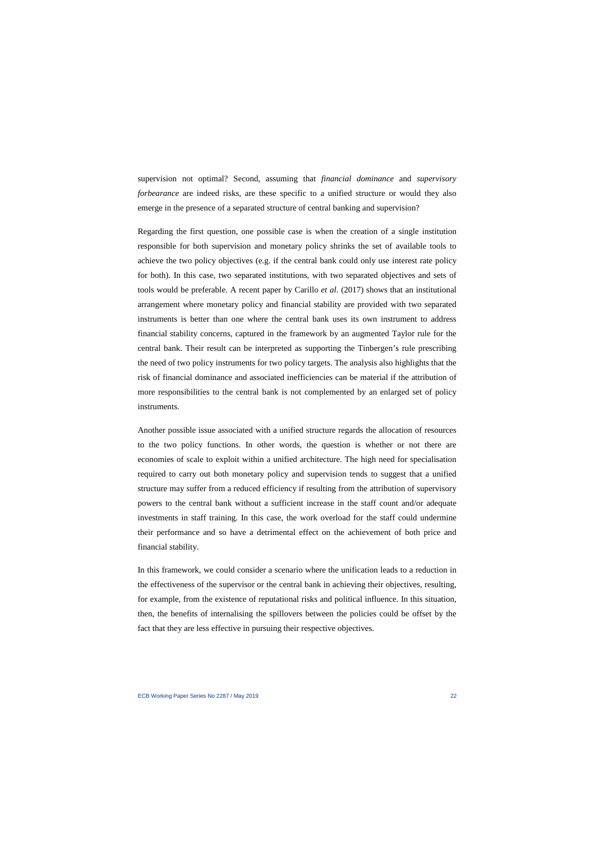supervision not optimal? Second, assuming that *financial dominance* and *supervisory forbearance* are indeed risks, are these specific to a unified structure or would they also emerge in the presence of a separated structure of central banking and supervision?

Regarding the first question, one possible case is when the creation of a single institution responsible for both supervision and monetary policy shrinks the set of available tools to achieve the two policy objectives (e.g. if the central bank could only use interest rate policy for both). In this case, two separated institutions, with two separated objectives and sets of tools would be preferable. A recent paper by Carillo *et al*. (2017) shows that an institutional arrangement where monetary policy and financial stability are provided with two separated instruments is better than one where the central bank uses its own instrument to address financial stability concerns, captured in the framework by an augmented Taylor rule for the central bank. Their result can be interpreted as supporting the Tinbergen's rule prescribing the need of two policy instruments for two policy targets. The analysis also highlights that the risk of financial dominance and associated inefficiencies can be material if the attribution of more responsibilities to the central bank is not complemented by an enlarged set of policy instruments.

Another possible issue associated with a unified structure regards the allocation of resources to the two policy functions. In other words, the question is whether or not there are economies of scale to exploit within a unified architecture. The high need for specialisation required to carry out both monetary policy and supervision tends to suggest that a unified structure may suffer from a reduced efficiency if resulting from the attribution of supervisory powers to the central bank without a sufficient increase in the staff count and/or adequate investments in staff training. In this case, the work overload for the staff could undermine their performance and so have a detrimental effect on the achievement of both price and financial stability.

In this framework, we could consider a scenario where the unification leads to a reduction in the effectiveness of the supervisor or the central bank in achieving their objectives, resulting, for example, from the existence of reputational risks and political influence. In this situation, then, the benefits of internalising the spillovers between the policies could be offset by the fact that they are less effective in pursuing their respective objectives.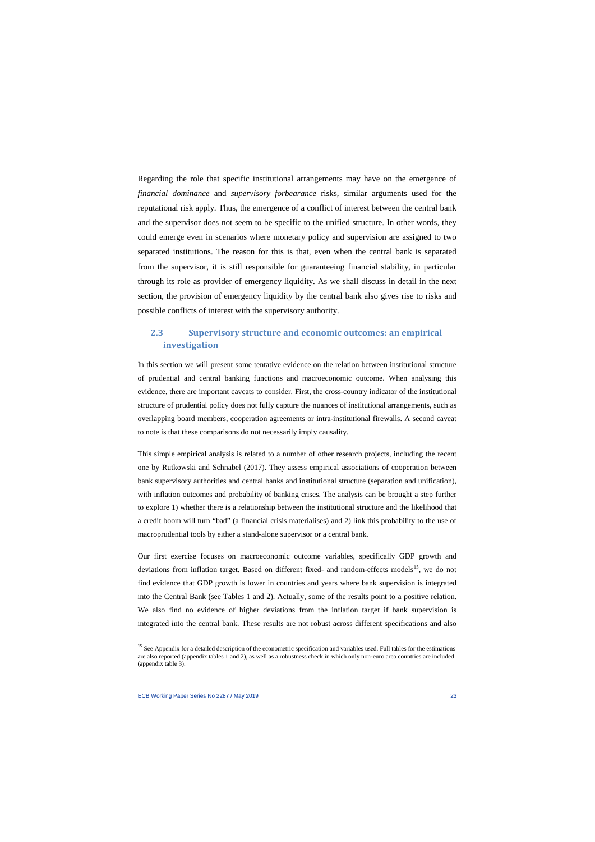Regarding the role that specific institutional arrangements may have on the emergence of *financial dominance* and *supervisory forbearance* risks, similar arguments used for the reputational risk apply. Thus, the emergence of a conflict of interest between the central bank and the supervisor does not seem to be specific to the unified structure. In other words, they could emerge even in scenarios where monetary policy and supervision are assigned to two separated institutions. The reason for this is that, even when the central bank is separated from the supervisor, it is still responsible for guaranteeing financial stability, in particular through its role as provider of emergency liquidity. As we shall discuss in detail in the next section, the provision of emergency liquidity by the central bank also gives rise to risks and possible conflicts of interest with the supervisory authority.

## **2.3 Supervisory structure and economic outcomes: an empirical investigation**

In this section we will present some tentative evidence on the relation between institutional structure of prudential and central banking functions and macroeconomic outcome. When analysing this evidence, there are important caveats to consider. First, the cross-country indicator of the institutional structure of prudential policy does not fully capture the nuances of institutional arrangements, such as overlapping board members, cooperation agreements or intra-institutional firewalls. A second caveat to note is that these comparisons do not necessarily imply causality.

This simple empirical analysis is related to a number of other research projects, including the recent one by Rutkowski and Schnabel (2017). They assess empirical associations of cooperation between bank supervisory authorities and central banks and institutional structure (separation and unification), with inflation outcomes and probability of banking crises. The analysis can be brought a step further to explore 1) whether there is a relationship between the institutional structure and the likelihood that a credit boom will turn "bad" (a financial crisis materialises) and 2) link this probability to the use of macroprudential tools by either a stand-alone supervisor or a central bank.

Our first exercise focuses on macroeconomic outcome variables, specifically GDP growth and deviations from inflation target. Based on different fixed- and random-effects models<sup>15</sup>, we do not find evidence that GDP growth is lower in countries and years where bank supervision is integrated into the Central Bank (see Tables 1 and 2). Actually, some of the results point to a positive relation. We also find no evidence of higher deviations from the inflation target if bank supervision is integrated into the central bank. These results are not robust across different specifications and also

l

<span id="page-23-0"></span><sup>&</sup>lt;sup>15</sup> See Appendix for a detailed description of the econometric specification and variables used. Full tables for the estimations are also reported (appendix tables 1 and 2), as well as a robustness check in which only non-euro area countries are included (appendix table 3).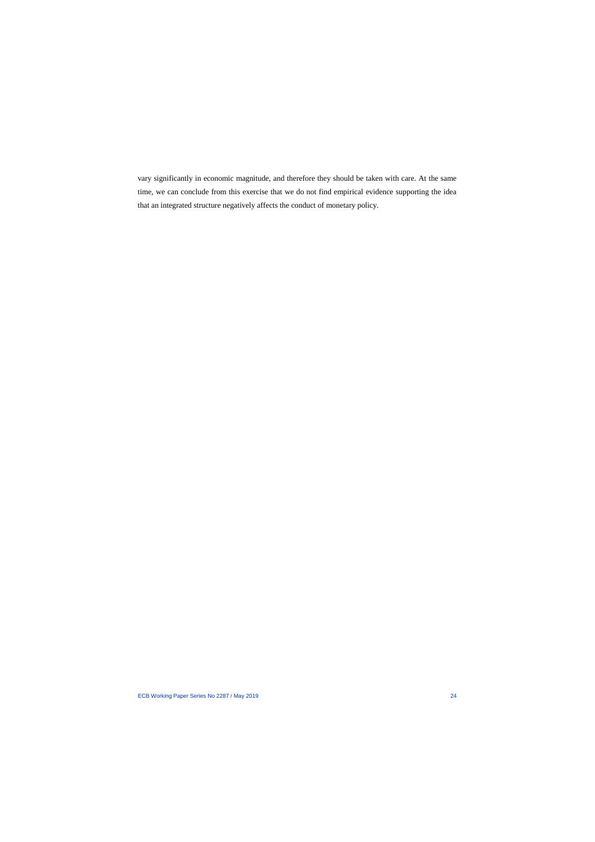vary significantly in economic magnitude, and therefore they should be taken with care. At the same time, we can conclude from this exercise that we do not find empirical evidence supporting the idea that an integrated structure negatively affects the conduct of monetary policy.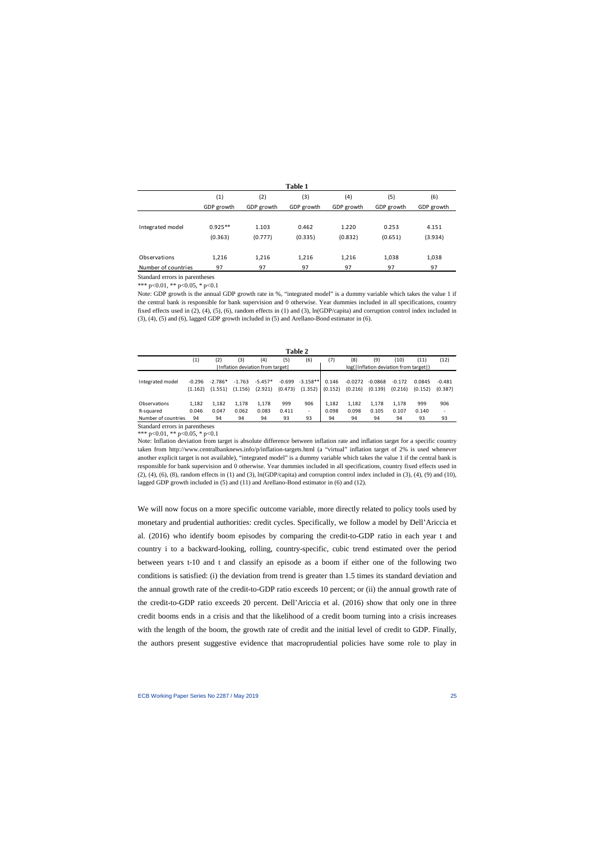|                     |            |            | <b>Table 1</b> |            |            |            |
|---------------------|------------|------------|----------------|------------|------------|------------|
|                     | (1)        | (2)        | (3)            | (4)        | (5)        | (6)        |
|                     | GDP growth | GDP growth | GDP growth     | GDP growth | GDP growth | GDP growth |
|                     |            |            |                |            |            |            |
| Integrated model    | $0.925**$  | 1.103      | 0.462          | 1.220      | 0.253      | 4.151      |
|                     | (0.363)    | (0.777)    | (0.335)        | (0.832)    | (0.651)    | (3.934)    |
|                     |            |            |                |            |            |            |
| Observations        | 1,216      | 1,216      | 1,216          | 1,216      | 1,038      | 1,038      |
| Number of countries | 97         | 97         | 97             | 97         | 97         | 97         |

Standard errors in parentheses

\*\*\* p<0.01, \*\* p<0.05, \* p<0.1

Note: GDP growth is the annual GDP growth rate in %, "integrated model" is a dummy variable which takes the value 1 if the central bank is responsible for bank supervision and 0 otherwise. Year dummies included in all specifications, country fixed effects used in (2), (4), (5), (6), random effects in (1) and (3), ln(GDP/capita) and corruption control index included in (3), (4), (5) and (6), lagged GDP growth included in (5) and Arellano-Bond estimator in (6).

|                     |          |           |          |                                 |          | Table 2                  |         |           |                                      |          |         |          |
|---------------------|----------|-----------|----------|---------------------------------|----------|--------------------------|---------|-----------|--------------------------------------|----------|---------|----------|
|                     | (1)      | (2)       | (3)      | (4)                             | (5)      | (6)                      | (7)     | (8)       | (9)                                  | (10)     | (11)    | (12)     |
|                     |          |           |          | Inflation deviation from target |          |                          |         |           | log(Inflation deviation from target) |          |         |          |
|                     |          |           |          |                                 |          |                          |         |           |                                      |          |         |          |
| Integrated model    | $-0.296$ | $-2.786*$ | $-1.763$ | $-5.457*$                       | $-0.699$ | $-3.158**$               | 0.146   | $-0.0272$ | $-0.0868$                            | $-0.172$ | 0.0845  | $-0.481$ |
|                     | (1.162)  | (1.551)   | (1.156)  | (2.921)                         | (0.473)  | (1.352)                  | (0.152) | (0.216)   | (0.139)                              | (0.216)  | (0.152) | (0.387)  |
|                     |          |           |          |                                 |          |                          |         |           |                                      |          |         |          |
| Observations        | 1,182    | 1,182     | 1,178    | 1,178                           | 999      | 906                      | 1.182   | 1,182     | 1,178                                | 1.178    | 999     | 906      |
| R-squared           | 0.046    | 0.047     | 0.062    | 0.083                           | 0.411    | $\overline{\phantom{a}}$ | 0.098   | 0.098     | 0.105                                | 0.107    | 0.140   | ٠        |
| Number of countries | 94       | 94        | 94       | 94                              | 93       | 93                       | 94      | 94        | 94                                   | 94       | 93      | 93       |
| ~ - -               |          |           |          |                                 |          |                          |         |           |                                      |          |         |          |

Standard errors in parentheses \*\*\* p<0.01, \*\* p<0.05, \* p<0.1

Note: Inflation deviation from target is absolute difference between inflation rate and inflation target for a specific country taken from<http://www.centralbanknews.info/p/inflation-targets.html> (a "virtual" inflation target of 2% is used whenever another explicit target is not available), "integrated model" is a dummy variable which takes the value 1 if the central bank is responsible for bank supervision and 0 otherwise. Year dummies included in all specifications, country fixed effects used in  $(2)$ ,  $(4)$ ,  $(6)$ ,  $(8)$ , random effects in  $(1)$  and  $(3)$ , ln $(GDP/capita)$  and corruption control index included in  $(3)$ ,  $(4)$ ,  $(9)$  and  $(10)$ , lagged GDP growth included in (5) and (11) and Arellano-Bond estimator in (6) and (12).

We will now focus on a more specific outcome variable, more directly related to policy tools used by monetary and prudential authorities: credit cycles. Specifically, we follow a model by Dell'Ariccia et al. (2016) who identify boom episodes by comparing the credit-to-GDP ratio in each year t and country i to a backward-looking, rolling, country-specific, cubic trend estimated over the period between years t-10 and t and classify an episode as a boom if either one of the following two conditions is satisfied: (i) the deviation from trend is greater than 1.5 times its standard deviation and the annual growth rate of the credit-to-GDP ratio exceeds 10 percent; or (ii) the annual growth rate of the credit-to-GDP ratio exceeds 20 percent. Dell'Ariccia et al. (2016) show that only one in three credit booms ends in a crisis and that the likelihood of a credit boom turning into a crisis increases with the length of the boom, the growth rate of credit and the initial level of credit to GDP. Finally, the authors present suggestive evidence that macroprudential policies have some role to play in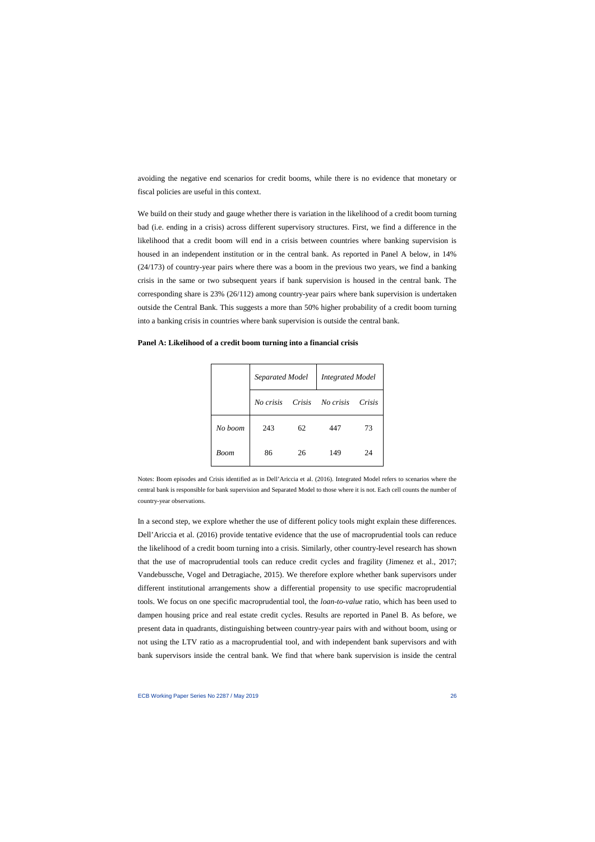avoiding the negative end scenarios for credit booms, while there is no evidence that monetary or fiscal policies are useful in this context.

We build on their study and gauge whether there is variation in the likelihood of a credit boom turning bad (i.e. ending in a crisis) across different supervisory structures. First, we find a difference in the likelihood that a credit boom will end in a crisis between countries where banking supervision is housed in an independent institution or in the central bank. As reported in Panel A below, in 14% (24/173) of country-year pairs where there was a boom in the previous two years, we find a banking crisis in the same or two subsequent years if bank supervision is housed in the central bank. The corresponding share is 23% (26/112) among country-year pairs where bank supervision is undertaken outside the Central Bank. This suggests a more than 50% higher probability of a credit boom turning into a banking crisis in countries where bank supervision is outside the central bank.

|         | Separated Model |        | <b>Integrated Model</b> |        |
|---------|-----------------|--------|-------------------------|--------|
|         | No crisis       | Crisis | No crisis               | Crisis |
| No boom | 243             | 62     | 447                     | 73     |
| Boom    | 86              | 26     | 149                     | 24     |

**Panel A: Likelihood of a credit boom turning into a financial crisis**

Notes: Boom episodes and Crisis identified as in Dell'Ariccia et al. (2016). Integrated Model refers to scenarios where the central bank is responsible for bank supervision and Separated Model to those where it is not. Each cell counts the number of country-year observations.

In a second step, we explore whether the use of different policy tools might explain these differences. Dell'Ariccia et al. (2016) provide tentative evidence that the use of macroprudential tools can reduce the likelihood of a credit boom turning into a crisis. Similarly, other country-level research has shown that the use of macroprudential tools can reduce credit cycles and fragility (Jimenez et al., 2017; Vandebussche, Vogel and Detragiache, 2015). We therefore explore whether bank supervisors under different institutional arrangements show a differential propensity to use specific macroprudential tools. We focus on one specific macroprudential tool, the *loan-to-value* ratio, which has been used to dampen housing price and real estate credit cycles. Results are reported in Panel B. As before, we present data in quadrants, distinguishing between country-year pairs with and without boom, using or not using the LTV ratio as a macroprudential tool, and with independent bank supervisors and with bank supervisors inside the central bank. We find that where bank supervision is inside the central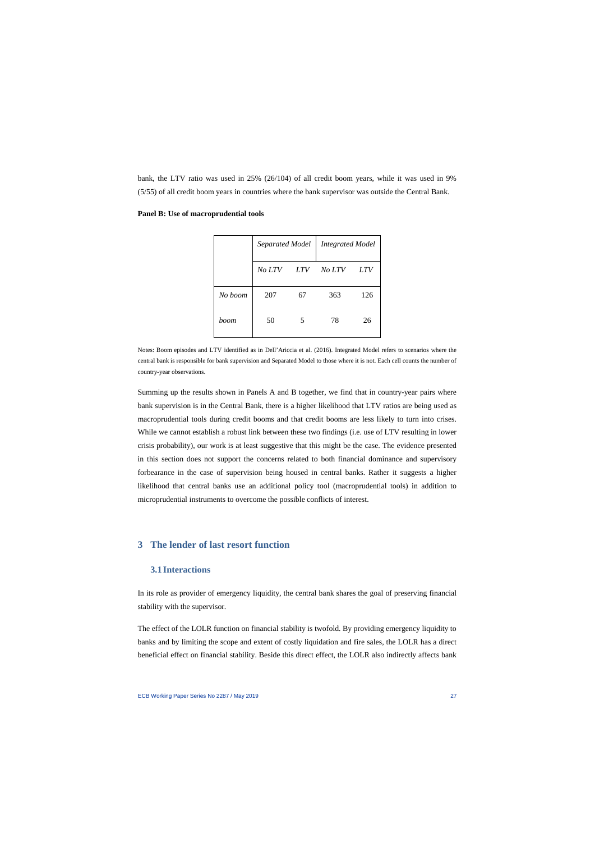bank, the LTV ratio was used in 25% (26/104) of all credit boom years, while it was used in 9% (5/55) of all credit boom years in countries where the bank supervisor was outside the Central Bank.

|         | Separated Model |            | <b>Integrated Model</b> |     |
|---------|-----------------|------------|-------------------------|-----|
|         | No LTV          | <i>LTV</i> | No LTV                  | LTV |
| No boom | 207             | 67         | 363                     | 126 |
| boom    | 50              | 5          | 78                      | 26  |

#### **Panel B: Use of macroprudential tools**

Notes: Boom episodes and LTV identified as in Dell'Ariccia et al. (2016). Integrated Model refers to scenarios where the central bank is responsible for bank supervision and Separated Model to those where it is not. Each cell counts the number of country-year observations.

Summing up the results shown in Panels A and B together, we find that in country-year pairs where bank supervision is in the Central Bank, there is a higher likelihood that LTV ratios are being used as macroprudential tools during credit booms and that credit booms are less likely to turn into crises. While we cannot establish a robust link between these two findings (i.e. use of LTV resulting in lower crisis probability), our work is at least suggestive that this might be the case. The evidence presented in this section does not support the concerns related to both financial dominance and supervisory forbearance in the case of supervision being housed in central banks. Rather it suggests a higher likelihood that central banks use an additional policy tool (macroprudential tools) in addition to microprudential instruments to overcome the possible conflicts of interest.

## **3 The lender of last resort function**

## **3.1 Interactions**

In its role as provider of emergency liquidity, the central bank shares the goal of preserving financial stability with the supervisor.

The effect of the LOLR function on financial stability is twofold. By providing emergency liquidity to banks and by limiting the scope and extent of costly liquidation and fire sales, the LOLR has a direct beneficial effect on financial stability. Beside this direct effect, the LOLR also indirectly affects bank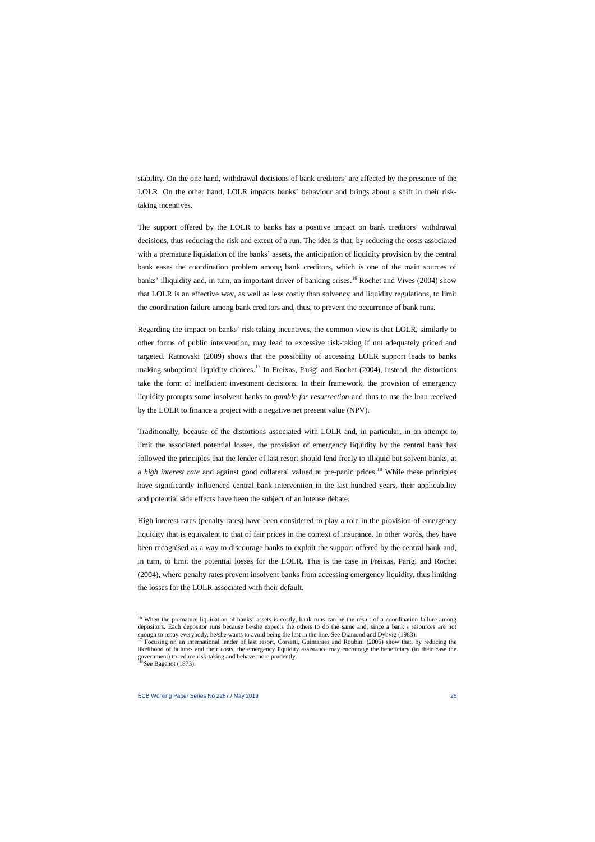stability. On the one hand, withdrawal decisions of bank creditors' are affected by the presence of the LOLR. On the other hand, LOLR impacts banks' behaviour and brings about a shift in their risktaking incentives.

The support offered by the LOLR to banks has a positive impact on bank creditors' withdrawal decisions, thus reducing the risk and extent of a run. The idea is that, by reducing the costs associated with a premature liquidation of the banks' assets, the anticipation of liquidity provision by the central bank eases the coordination problem among bank creditors, which is one of the main sources of banks' illiquidity and, in turn, an important driver of banking crises.<sup>[16](#page-28-0)</sup> Rochet and Vives (2004) show that LOLR is an effective way, as well as less costly than solvency and liquidity regulations, to limit the coordination failure among bank creditors and, thus, to prevent the occurrence of bank runs.

Regarding the impact on banks' risk-taking incentives, the common view is that LOLR, similarly to other forms of public intervention, may lead to excessive risk-taking if not adequately priced and targeted. Ratnovski (2009) shows that the possibility of accessing LOLR support leads to banks making suboptimal liquidity choices.<sup>[17](#page-28-1)</sup> In Freixas, Parigi and Rochet (2004), instead, the distortions take the form of inefficient investment decisions. In their framework, the provision of emergency liquidity prompts some insolvent banks to *gamble for resurrection* and thus to use the loan received by the LOLR to finance a project with a negative net present value (NPV).

Traditionally, because of the distortions associated with LOLR and, in particular, in an attempt to limit the associated potential losses, the provision of emergency liquidity by the central bank has followed the principles that the lender of last resort should lend freely to illiquid but solvent banks, at a *high interest rate* and against good collateral valued at pre-panic prices.[18](#page-28-2) While these principles have significantly influenced central bank intervention in the last hundred years, their applicability and potential side effects have been the subject of an intense debate.

High interest rates (penalty rates) have been considered to play a role in the provision of emergency liquidity that is equivalent to that of fair prices in the context of insurance. In other words, they have been recognised as a way to discourage banks to exploit the support offered by the central bank and, in turn, to limit the potential losses for the LOLR. This is the case in Freixas, Parigi and Rochet (2004), where penalty rates prevent insolvent banks from accessing emergency liquidity, thus limiting the losses for the LOLR associated with their default.

<sup>&</sup>lt;sup>16</sup> When the premature liquidation of banks' assets is costly, bank runs can be the result of a coordination failure among depositors. Each depositor runs because he/she expects the others to do the same and, since a bank's resources are not enough to repay everybody, he/she wants to avoid being the last in the line. See Diamond and Dybvig (19

<sup>&</sup>lt;sup>17</sup> Focusing on an international lender of last resort, Corsetti, Guimaraes and Roubini (2006) show that, by reducing the likelihood of failures and their costs, the emergency liquidity assistance may encourage the beneficiary (in their case the government) to reduce risk-taking and behave more prudently.<br><sup>18</sup> See Bagehot (1873).

<span id="page-28-2"></span><span id="page-28-1"></span><span id="page-28-0"></span>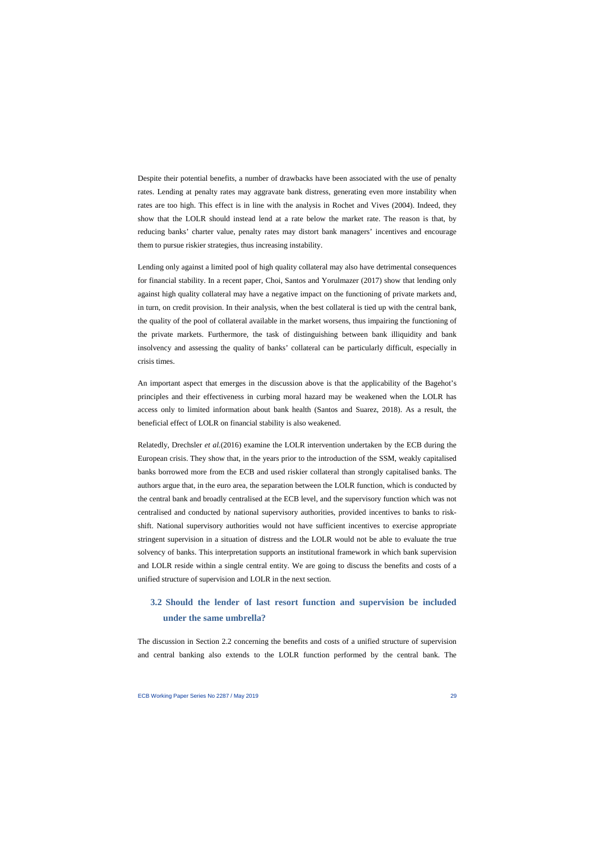Despite their potential benefits, a number of drawbacks have been associated with the use of penalty rates. Lending at penalty rates may aggravate bank distress, generating even more instability when rates are too high. This effect is in line with the analysis in Rochet and Vives (2004). Indeed, they show that the LOLR should instead lend at a rate below the market rate. The reason is that, by reducing banks' charter value, penalty rates may distort bank managers' incentives and encourage them to pursue riskier strategies, thus increasing instability.

Lending only against a limited pool of high quality collateral may also have detrimental consequences for financial stability. In a recent paper, Choi, Santos and Yorulmazer (2017) show that lending only against high quality collateral may have a negative impact on the functioning of private markets and, in turn, on credit provision. In their analysis, when the best collateral is tied up with the central bank, the quality of the pool of collateral available in the market worsens, thus impairing the functioning of the private markets. Furthermore, the task of distinguishing between bank illiquidity and bank insolvency and assessing the quality of banks' collateral can be particularly difficult, especially in crisis times.

An important aspect that emerges in the discussion above is that the applicability of the Bagehot's principles and their effectiveness in curbing moral hazard may be weakened when the LOLR has access only to limited information about bank health (Santos and Suarez, 2018). As a result, the beneficial effect of LOLR on financial stability is also weakened.

Relatedly, Drechsler *et al.*(2016) examine the LOLR intervention undertaken by the ECB during the European crisis. They show that, in the years prior to the introduction of the SSM, weakly capitalised banks borrowed more from the ECB and used riskier collateral than strongly capitalised banks. The authors argue that, in the euro area, the separation between the LOLR function, which is conducted by the central bank and broadly centralised at the ECB level, and the supervisory function which was not centralised and conducted by national supervisory authorities, provided incentives to banks to riskshift. National supervisory authorities would not have sufficient incentives to exercise appropriate stringent supervision in a situation of distress and the LOLR would not be able to evaluate the true solvency of banks. This interpretation supports an institutional framework in which bank supervision and LOLR reside within a single central entity. We are going to discuss the benefits and costs of a unified structure of supervision and LOLR in the next section.

## **3.2 Should the lender of last resort function and supervision be included under the same umbrella?**

The discussion in Section 2.2 concerning the benefits and costs of a unified structure of supervision and central banking also extends to the LOLR function performed by the central bank. The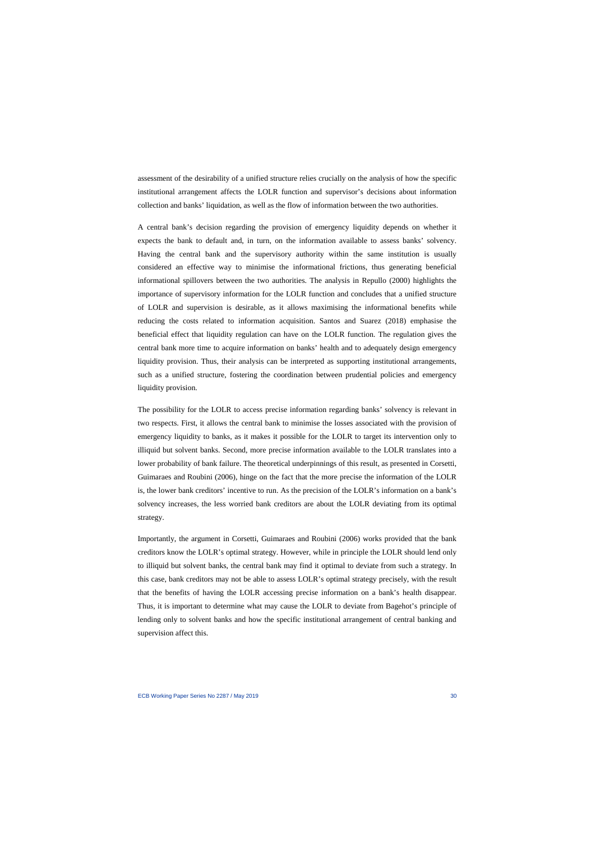assessment of the desirability of a unified structure relies crucially on the analysis of how the specific institutional arrangement affects the LOLR function and supervisor's decisions about information collection and banks' liquidation, as well as the flow of information between the two authorities.

A central bank's decision regarding the provision of emergency liquidity depends on whether it expects the bank to default and, in turn, on the information available to assess banks' solvency. Having the central bank and the supervisory authority within the same institution is usually considered an effective way to minimise the informational frictions, thus generating beneficial informational spillovers between the two authorities. The analysis in Repullo (2000) highlights the importance of supervisory information for the LOLR function and concludes that a unified structure of LOLR and supervision is desirable, as it allows maximising the informational benefits while reducing the costs related to information acquisition. Santos and Suarez (2018) emphasise the beneficial effect that liquidity regulation can have on the LOLR function. The regulation gives the central bank more time to acquire information on banks' health and to adequately design emergency liquidity provision. Thus, their analysis can be interpreted as supporting institutional arrangements, such as a unified structure, fostering the coordination between prudential policies and emergency liquidity provision.

The possibility for the LOLR to access precise information regarding banks' solvency is relevant in two respects. First, it allows the central bank to minimise the losses associated with the provision of emergency liquidity to banks, as it makes it possible for the LOLR to target its intervention only to illiquid but solvent banks. Second, more precise information available to the LOLR translates into a lower probability of bank failure. The theoretical underpinnings of this result, as presented in Corsetti, Guimaraes and Roubini (2006), hinge on the fact that the more precise the information of the LOLR is, the lower bank creditors' incentive to run. As the precision of the LOLR's information on a bank's solvency increases, the less worried bank creditors are about the LOLR deviating from its optimal strategy.

Importantly, the argument in Corsetti, Guimaraes and Roubini (2006) works provided that the bank creditors know the LOLR's optimal strategy. However, while in principle the LOLR should lend only to illiquid but solvent banks, the central bank may find it optimal to deviate from such a strategy. In this case, bank creditors may not be able to assess LOLR's optimal strategy precisely, with the result that the benefits of having the LOLR accessing precise information on a bank's health disappear. Thus, it is important to determine what may cause the LOLR to deviate from Bagehot's principle of lending only to solvent banks and how the specific institutional arrangement of central banking and supervision affect this.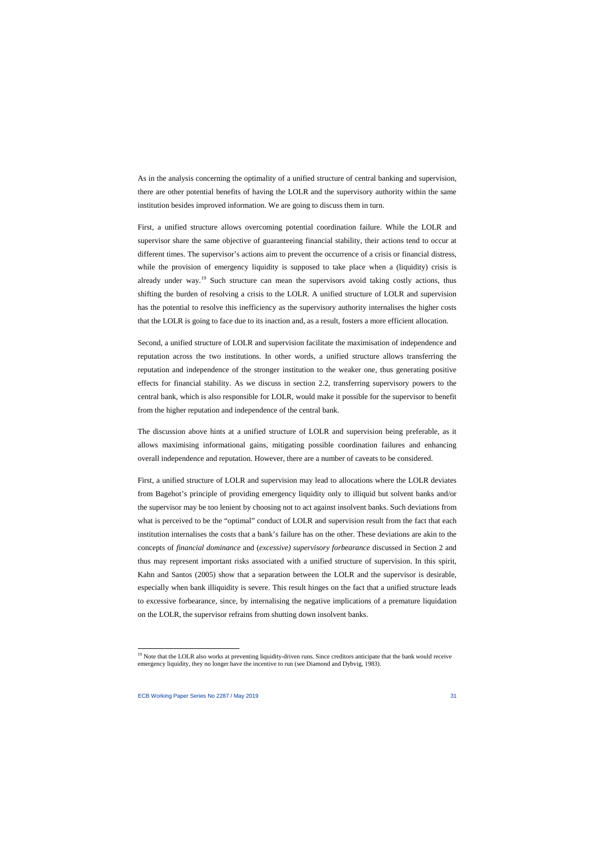As in the analysis concerning the optimality of a unified structure of central banking and supervision, there are other potential benefits of having the LOLR and the supervisory authority within the same institution besides improved information. We are going to discuss them in turn.

First, a unified structure allows overcoming potential coordination failure. While the LOLR and supervisor share the same objective of guaranteeing financial stability, their actions tend to occur at different times. The supervisor's actions aim to prevent the occurrence of a crisis or financial distress, while the provision of emergency liquidity is supposed to take place when a (liquidity) crisis is already under way.<sup>[19](#page-31-0)</sup> Such structure can mean the supervisors avoid taking costly actions, thus shifting the burden of resolving a crisis to the LOLR. A unified structure of LOLR and supervision has the potential to resolve this inefficiency as the supervisory authority internalises the higher costs that the LOLR is going to face due to its inaction and, as a result, fosters a more efficient allocation.

Second, a unified structure of LOLR and supervision facilitate the maximisation of independence and reputation across the two institutions. In other words, a unified structure allows transferring the reputation and independence of the stronger institution to the weaker one, thus generating positive effects for financial stability. As we discuss in section 2.2, transferring supervisory powers to the central bank, which is also responsible for LOLR, would make it possible for the supervisor to benefit from the higher reputation and independence of the central bank.

The discussion above hints at a unified structure of LOLR and supervision being preferable, as it allows maximising informational gains, mitigating possible coordination failures and enhancing overall independence and reputation. However, there are a number of caveats to be considered.

First, a unified structure of LOLR and supervision may lead to allocations where the LOLR deviates from Bagehot's principle of providing emergency liquidity only to illiquid but solvent banks and/or the supervisor may be too lenient by choosing not to act against insolvent banks. Such deviations from what is perceived to be the "optimal" conduct of LOLR and supervision result from the fact that each institution internalises the costs that a bank's failure has on the other. These deviations are akin to the concepts of *financial dominance* and (*excessive) supervisory forbearance* discussed in Section 2 and thus may represent important risks associated with a unified structure of supervision. In this spirit, Kahn and Santos (2005) show that a separation between the LOLR and the supervisor is desirable, especially when bank illiquidity is severe. This result hinges on the fact that a unified structure leads to excessive forbearance, since, by internalising the negative implications of a premature liquidation on the LOLR, the supervisor refrains from shutting down insolvent banks.

<span id="page-31-0"></span><sup>&</sup>lt;sup>19</sup> Note that the LOLR also works at preventing liquidity-driven runs. Since creditors anticipate that the bank would receive emergency liquidity, they no longer have the incentive to run (see Diamond and Dybvig, 1983).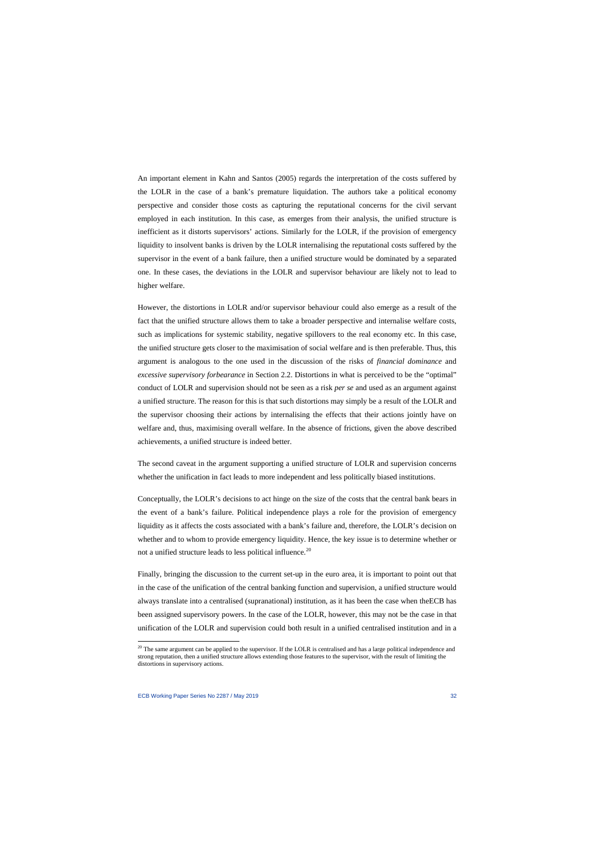An important element in Kahn and Santos (2005) regards the interpretation of the costs suffered by the LOLR in the case of a bank's premature liquidation. The authors take a political economy perspective and consider those costs as capturing the reputational concerns for the civil servant employed in each institution. In this case, as emerges from their analysis, the unified structure is inefficient as it distorts supervisors' actions. Similarly for the LOLR, if the provision of emergency liquidity to insolvent banks is driven by the LOLR internalising the reputational costs suffered by the supervisor in the event of a bank failure, then a unified structure would be dominated by a separated one. In these cases, the deviations in the LOLR and supervisor behaviour are likely not to lead to higher welfare.

However, the distortions in LOLR and/or supervisor behaviour could also emerge as a result of the fact that the unified structure allows them to take a broader perspective and internalise welfare costs, such as implications for systemic stability, negative spillovers to the real economy etc. In this case, the unified structure gets closer to the maximisation of social welfare and is then preferable. Thus, this argument is analogous to the one used in the discussion of the risks of *financial dominance* and *excessive supervisory forbearance* in Section 2.2. Distortions in what is perceived to be the "optimal" conduct of LOLR and supervision should not be seen as a risk *per se* and used as an argument against a unified structure. The reason for this is that such distortions may simply be a result of the LOLR and the supervisor choosing their actions by internalising the effects that their actions jointly have on welfare and, thus, maximising overall welfare. In the absence of frictions, given the above described achievements, a unified structure is indeed better.

The second caveat in the argument supporting a unified structure of LOLR and supervision concerns whether the unification in fact leads to more independent and less politically biased institutions.

Conceptually, the LOLR's decisions to act hinge on the size of the costs that the central bank bears in the event of a bank's failure. Political independence plays a role for the provision of emergency liquidity as it affects the costs associated with a bank's failure and, therefore, the LOLR's decision on whether and to whom to provide emergency liquidity. Hence, the key issue is to determine whether or not a unified structure leads to less political influence.<sup>[20](#page-32-0)</sup>

Finally, bringing the discussion to the current set-up in the euro area, it is important to point out that in the case of the unification of the central banking function and supervision, a unified structure would always translate into a centralised (supranational) institution, as it has been the case when theECB has been assigned supervisory powers. In the case of the LOLR, however, this may not be the case in that unification of the LOLR and supervision could both result in a unified centralised institution and in a

<span id="page-32-0"></span> $20$  The same argument can be applied to the supervisor. If the LOLR is centralised and has a large political independence and strong reputation, then a unified structure allows extending those features to the supervisor, with the result of limiting the distortions in supervisory actions.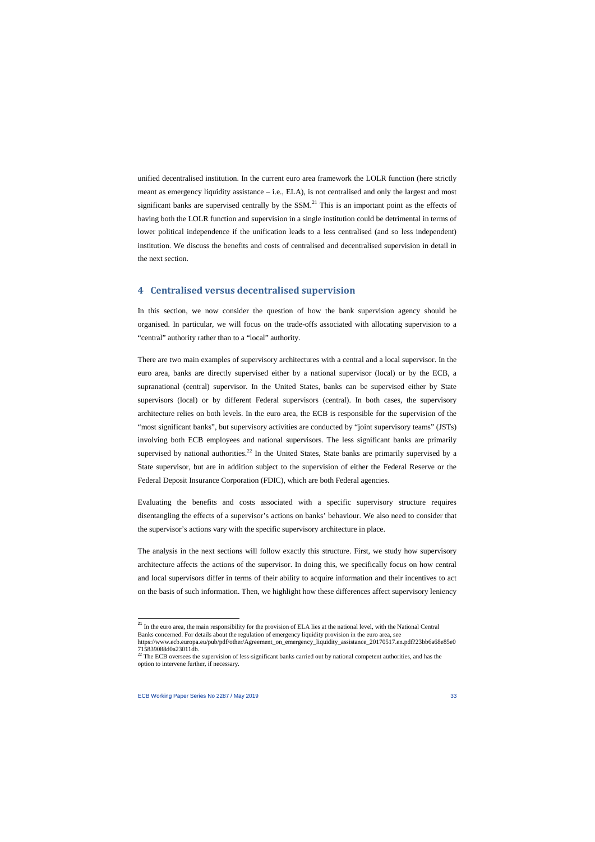unified decentralised institution. In the current euro area framework the LOLR function (here strictly meant as emergency liquidity assistance – i.e., ELA), is not centralised and only the largest and most significant banks are supervised centrally by the  $SSM<sup>21</sup>$  $SSM<sup>21</sup>$  $SSM<sup>21</sup>$ . This is an important point as the effects of having both the LOLR function and supervision in a single institution could be detrimental in terms of lower political independence if the unification leads to a less centralised (and so less independent) institution. We discuss the benefits and costs of centralised and decentralised supervision in detail in the next section.

## **4 Centralised versus decentralised supervision**

In this section, we now consider the question of how the bank supervision agency should be organised. In particular, we will focus on the trade-offs associated with allocating supervision to a "central" authority rather than to a "local" authority.

There are two main examples of supervisory architectures with a central and a local supervisor. In the euro area, banks are directly supervised either by a national supervisor (local) or by the ECB, a supranational (central) supervisor. In the United States, banks can be supervised either by State supervisors (local) or by different Federal supervisors (central). In both cases, the supervisory architecture relies on both levels. In the euro area, the ECB is responsible for the supervision of the "most significant banks", but supervisory activities are conducted by "joint supervisory teams" (JSTs) involving both ECB employees and national supervisors. The less significant banks are primarily supervised by national authorities.<sup>[22](#page-33-1)</sup> In the United States, State banks are primarily supervised by a State supervisor, but are in addition subject to the supervision of either the Federal Reserve or the Federal Deposit Insurance Corporation (FDIC), which are both Federal agencies.

Evaluating the benefits and costs associated with a specific supervisory structure requires disentangling the effects of a supervisor's actions on banks' behaviour. We also need to consider that the supervisor's actions vary with the specific supervisory architecture in place.

The analysis in the next sections will follow exactly this structure. First, we study how supervisory architecture affects the actions of the supervisor. In doing this, we specifically focus on how central and local supervisors differ in terms of their ability to acquire information and their incentives to act on the basis of such information. Then, we highlight how these differences affect supervisory leniency

l

<sup>&</sup>lt;sup>21</sup> In the euro area, the main responsibility for the provision of ELA lies at the national level, with the National Central Banks concerned. For details about the regulation of emergency liquidity provision in the euro area, see https://www.ecb.europa.eu/pub/pdf/other/Agreement\_on\_emergency\_liquidity\_assistance\_20170517.en.pdf?23bb6a68e85e0

<span id="page-33-1"></span><span id="page-33-0"></span><sup>715839088</sup>d0a23011db.<br><sup>22</sup> The ECB oversees the supervision of less-significant banks carried out by national competent authorities, and has the option to intervene further, if necessary.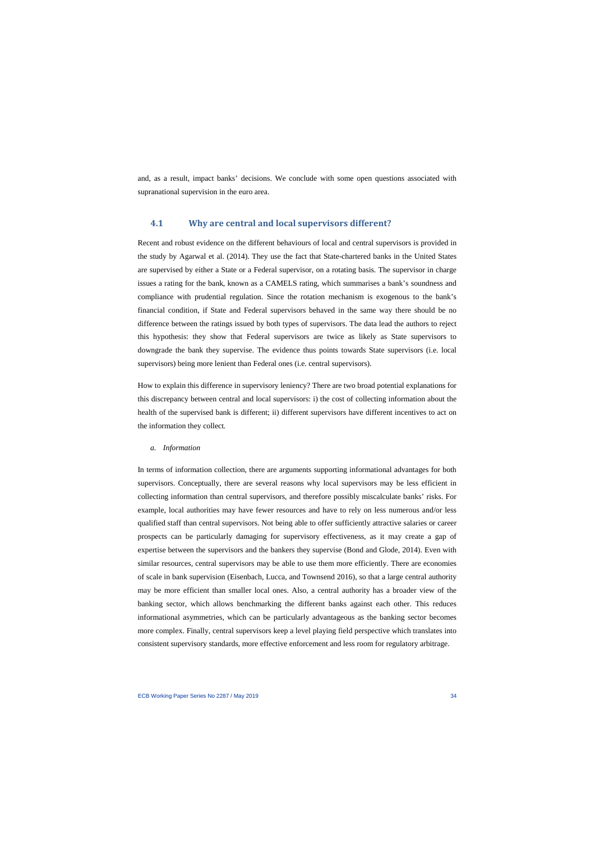and, as a result, impact banks' decisions. We conclude with some open questions associated with supranational supervision in the euro area.

## **4.1 Why are central and local supervisors different?**

Recent and robust evidence on the different behaviours of local and central supervisors is provided in the study by Agarwal et al. (2014). They use the fact that State-chartered banks in the United States are supervised by either a State or a Federal supervisor, on a rotating basis. The supervisor in charge issues a rating for the bank, known as a CAMELS rating, which summarises a bank's soundness and compliance with prudential regulation. Since the rotation mechanism is exogenous to the bank's financial condition, if State and Federal supervisors behaved in the same way there should be no difference between the ratings issued by both types of supervisors. The data lead the authors to reject this hypothesis: they show that Federal supervisors are twice as likely as State supervisors to downgrade the bank they supervise. The evidence thus points towards State supervisors (i.e. local supervisors) being more lenient than Federal ones (i.e. central supervisors).

How to explain this difference in supervisory leniency? There are two broad potential explanations for this discrepancy between central and local supervisors: i) the cost of collecting information about the health of the supervised bank is different; ii) different supervisors have different incentives to act on the information they collect*.*

#### *a. Information*

In terms of information collection, there are arguments supporting informational advantages for both supervisors. Conceptually, there are several reasons why local supervisors may be less efficient in collecting information than central supervisors, and therefore possibly miscalculate banks' risks. For example, local authorities may have fewer resources and have to rely on less numerous and/or less qualified staff than central supervisors. Not being able to offer sufficiently attractive salaries or career prospects can be particularly damaging for supervisory effectiveness, as it may create a gap of expertise between the supervisors and the bankers they supervise (Bond and Glode, 2014). Even with similar resources, central supervisors may be able to use them more efficiently. There are economies of scale in bank supervision (Eisenbach, Lucca, and Townsend 2016), so that a large central authority may be more efficient than smaller local ones. Also, a central authority has a broader view of the banking sector, which allows benchmarking the different banks against each other. This reduces informational asymmetries, which can be particularly advantageous as the banking sector becomes more complex. Finally, central supervisors keep a level playing field perspective which translates into consistent supervisory standards, more effective enforcement and less room for regulatory arbitrage.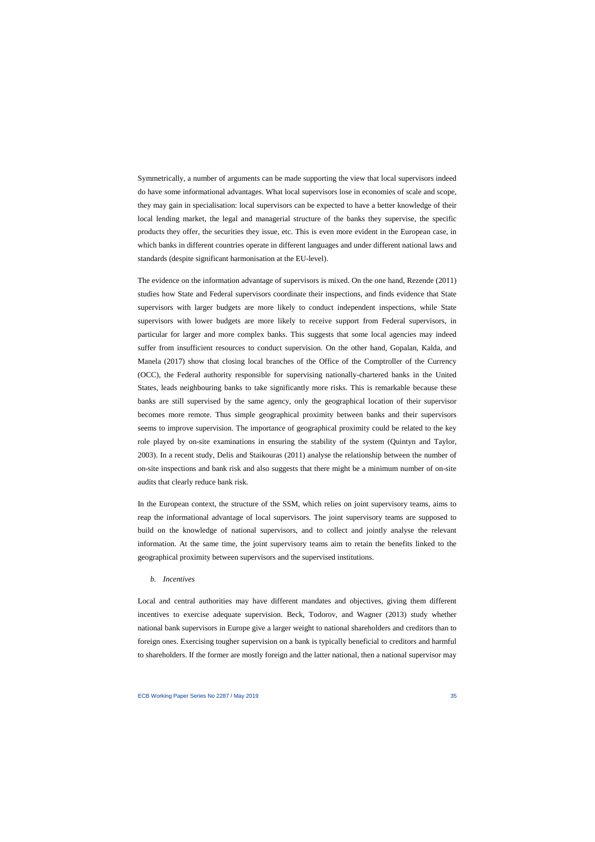Symmetrically, a number of arguments can be made supporting the view that local supervisors indeed do have some informational advantages. What local supervisors lose in economies of scale and scope, they may gain in specialisation: local supervisors can be expected to have a better knowledge of their local lending market, the legal and managerial structure of the banks they supervise, the specific products they offer, the securities they issue, etc. This is even more evident in the European case, in which banks in different countries operate in different languages and under different national laws and standards (despite significant harmonisation at the EU-level).

The evidence on the information advantage of supervisors is mixed. On the one hand, Rezende (2011) studies how State and Federal supervisors coordinate their inspections, and finds evidence that State supervisors with larger budgets are more likely to conduct independent inspections, while State supervisors with lower budgets are more likely to receive support from Federal supervisors, in particular for larger and more complex banks. This suggests that some local agencies may indeed suffer from insufficient resources to conduct supervision. On the other hand, Gopalan, Kalda, and Manela (2017) show that closing local branches of the Office of the Comptroller of the Currency (OCC), the Federal authority responsible for supervising nationally-chartered banks in the United States, leads neighbouring banks to take significantly more risks. This is remarkable because these banks are still supervised by the same agency, only the geographical location of their supervisor becomes more remote. Thus simple geographical proximity between banks and their supervisors seems to improve supervision. The importance of geographical proximity could be related to the key role played by on-site examinations in ensuring the stability of the system (Quintyn and Taylor, 2003). In a recent study, Delis and Staikouras (2011) analyse the relationship between the number of on-site inspections and bank risk and also suggests that there might be a minimum number of on-site audits that clearly reduce bank risk.

In the European context, the structure of the SSM, which relies on joint supervisory teams, aims to reap the informational advantage of local supervisors. The joint supervisory teams are supposed to build on the knowledge of national supervisors, and to collect and jointly analyse the relevant information. At the same time, the joint supervisory teams aim to retain the benefits linked to the geographical proximity between supervisors and the supervised institutions.

#### *b. Incentives*

Local and central authorities may have different mandates and objectives, giving them different incentives to exercise adequate supervision. Beck, Todorov, and Wagner (2013) study whether national bank supervisors in Europe give a larger weight to national shareholders and creditors than to foreign ones. Exercising tougher supervision on a bank is typically beneficial to creditors and harmful to shareholders. If the former are mostly foreign and the latter national, then a national supervisor may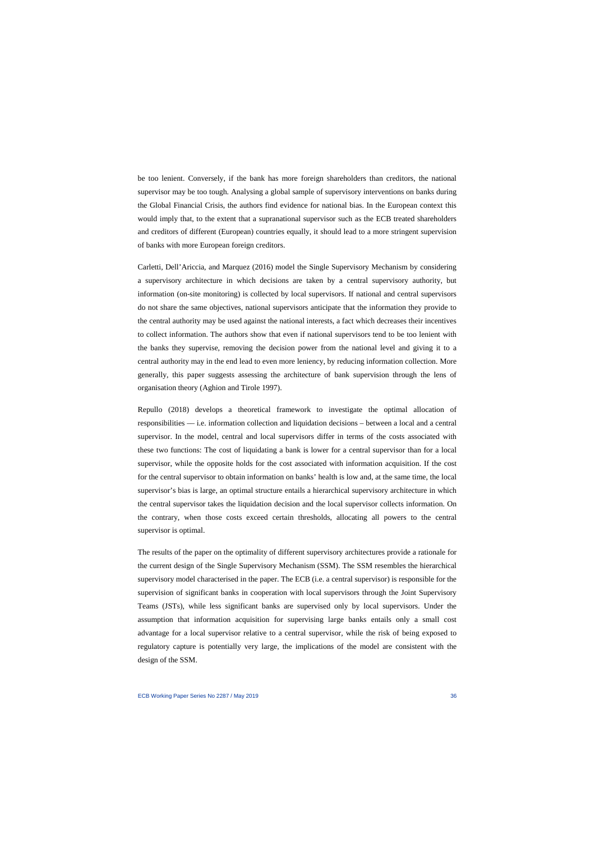be too lenient. Conversely, if the bank has more foreign shareholders than creditors, the national supervisor may be too tough. Analysing a global sample of supervisory interventions on banks during the Global Financial Crisis, the authors find evidence for national bias. In the European context this would imply that, to the extent that a supranational supervisor such as the ECB treated shareholders and creditors of different (European) countries equally, it should lead to a more stringent supervision of banks with more European foreign creditors.

Carletti, Dell'Ariccia, and Marquez (2016) model the Single Supervisory Mechanism by considering a supervisory architecture in which decisions are taken by a central supervisory authority, but information (on-site monitoring) is collected by local supervisors. If national and central supervisors do not share the same objectives, national supervisors anticipate that the information they provide to the central authority may be used against the national interests, a fact which decreases their incentives to collect information. The authors show that even if national supervisors tend to be too lenient with the banks they supervise, removing the decision power from the national level and giving it to a central authority may in the end lead to even more leniency, by reducing information collection. More generally, this paper suggests assessing the architecture of bank supervision through the lens of organisation theory (Aghion and Tirole 1997).

Repullo (2018) develops a theoretical framework to investigate the optimal allocation of responsibilities –– i.e. information collection and liquidation decisions – between a local and a central supervisor. In the model, central and local supervisors differ in terms of the costs associated with these two functions: The cost of liquidating a bank is lower for a central supervisor than for a local supervisor, while the opposite holds for the cost associated with information acquisition. If the cost for the central supervisor to obtain information on banks' health is low and, at the same time, the local supervisor's bias is large, an optimal structure entails a hierarchical supervisory architecture in which the central supervisor takes the liquidation decision and the local supervisor collects information. On the contrary, when those costs exceed certain thresholds, allocating all powers to the central supervisor is optimal.

The results of the paper on the optimality of different supervisory architectures provide a rationale for the current design of the Single Supervisory Mechanism (SSM). The SSM resembles the hierarchical supervisory model characterised in the paper. The ECB (i.e. a central supervisor) is responsible for the supervision of significant banks in cooperation with local supervisors through the Joint Supervisory Teams (JSTs), while less significant banks are supervised only by local supervisors. Under the assumption that information acquisition for supervising large banks entails only a small cost advantage for a local supervisor relative to a central supervisor, while the risk of being exposed to regulatory capture is potentially very large, the implications of the model are consistent with the design of the SSM.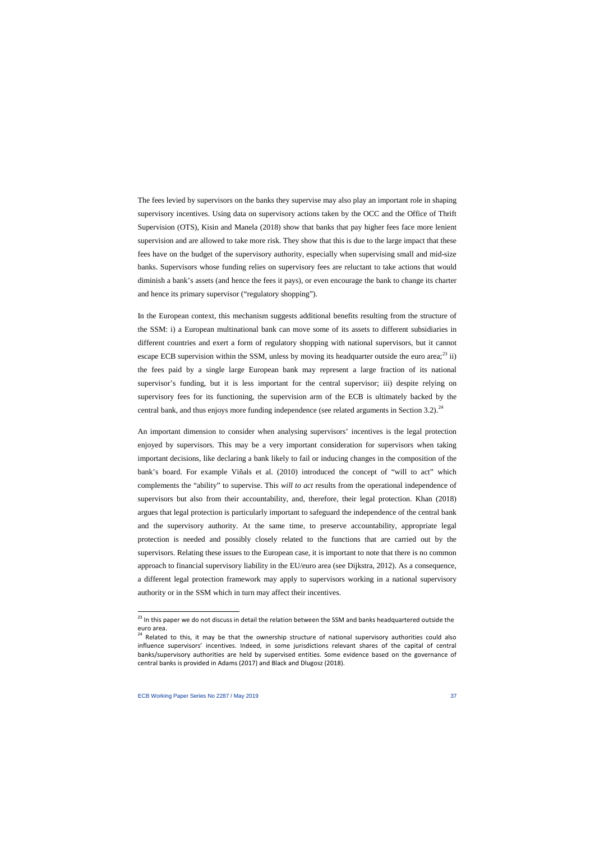The fees levied by supervisors on the banks they supervise may also play an important role in shaping supervisory incentives. Using data on supervisory actions taken by the OCC and the Office of Thrift Supervision (OTS), Kisin and Manela (2018) show that banks that pay higher fees face more lenient supervision and are allowed to take more risk. They show that this is due to the large impact that these fees have on the budget of the supervisory authority, especially when supervising small and mid-size banks. Supervisors whose funding relies on supervisory fees are reluctant to take actions that would diminish a bank's assets (and hence the fees it pays), or even encourage the bank to change its charter and hence its primary supervisor ("regulatory shopping").

In the European context, this mechanism suggests additional benefits resulting from the structure of the SSM: i) a European multinational bank can move some of its assets to different subsidiaries in different countries and exert a form of regulatory shopping with national supervisors, but it cannot escape ECB supervision within the SSM, unless by moving its headquarter outside the euro area; $^{23}$  $^{23}$  $^{23}$  ii) the fees paid by a single large European bank may represent a large fraction of its national supervisor's funding, but it is less important for the central supervisor; iii) despite relying on supervisory fees for its functioning, the supervision arm of the ECB is ultimately backed by the central bank, and thus enjoys more funding independence (see related arguments in Section 3.2).<sup>[24](#page-37-1)</sup>

An important dimension to consider when analysing supervisors' incentives is the legal protection enjoyed by supervisors. This may be a very important consideration for supervisors when taking important decisions, like declaring a bank likely to fail or inducing changes in the composition of the bank's board. For example Viñals et al. (2010) introduced the concept of "will to act" which complements the "ability" to supervise. This *will to act* results from the operational independence of supervisors but also from their accountability, and, therefore, their legal protection. Khan (2018) argues that legal protection is particularly important to safeguard the independence of the central bank and the supervisory authority. At the same time, to preserve accountability, appropriate legal protection is needed and possibly closely related to the functions that are carried out by the supervisors. Relating these issues to the European case, it is important to note that there is no common approach to financial supervisory liability in the EU/euro area (see Dijkstra, 2012). As a consequence, a different legal protection framework may apply to supervisors working in a national supervisory authority or in the SSM which in turn may affect their incentives.

 $^{23}$  In this paper we do not discuss in detail the relation between the SSM and banks headquartered outside the euro area.

<span id="page-37-1"></span><span id="page-37-0"></span><sup>&</sup>lt;sup>24</sup> Related to this, it may be that the ownership structure of national supervisory authorities could also influence supervisors' incentives. Indeed, in some jurisdictions relevant shares of the capital of central banks/supervisory authorities are held by supervised entities. Some evidence based on the governance of central banks is provided in Adams (2017) and Black and Dlugosz (2018).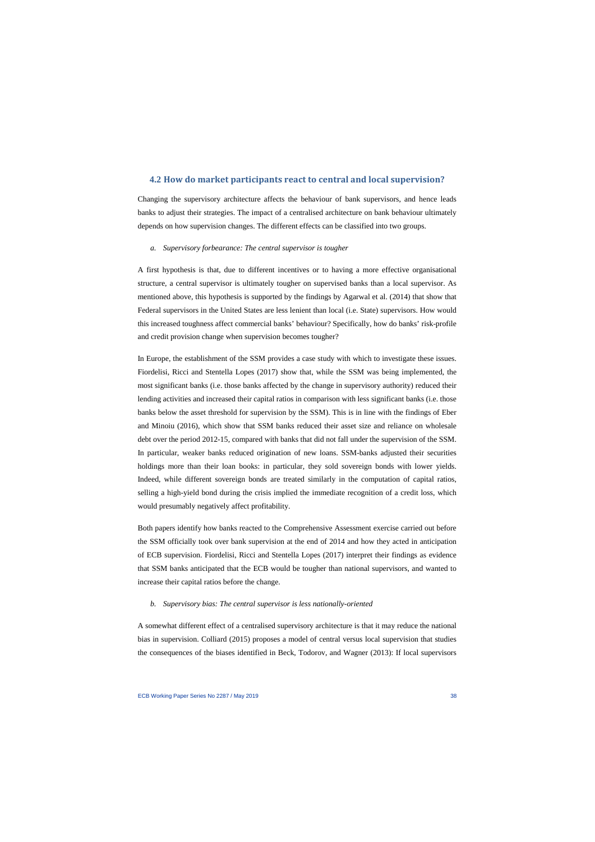## **4.2 How do market participants react to central and local supervision?**

Changing the supervisory architecture affects the behaviour of bank supervisors, and hence leads banks to adjust their strategies. The impact of a centralised architecture on bank behaviour ultimately depends on how supervision changes. The different effects can be classified into two groups.

#### *a. Supervisory forbearance: The central supervisor is tougher*

A first hypothesis is that, due to different incentives or to having a more effective organisational structure, a central supervisor is ultimately tougher on supervised banks than a local supervisor. As mentioned above, this hypothesis is supported by the findings by Agarwal et al. (2014) that show that Federal supervisors in the United States are less lenient than local (i.e. State) supervisors. How would this increased toughness affect commercial banks' behaviour? Specifically, how do banks' risk-profile and credit provision change when supervision becomes tougher?

In Europe, the establishment of the SSM provides a case study with which to investigate these issues. Fiordelisi, Ricci and Stentella Lopes (2017) show that, while the SSM was being implemented, the most significant banks (i.e. those banks affected by the change in supervisory authority) reduced their lending activities and increased their capital ratios in comparison with less significant banks (i.e. those banks below the asset threshold for supervision by the SSM). This is in line with the findings of Eber and Minoiu (2016), which show that SSM banks reduced their asset size and reliance on wholesale debt over the period 2012-15, compared with banks that did not fall under the supervision of the SSM. In particular, weaker banks reduced origination of new loans. SSM-banks adjusted their securities holdings more than their loan books: in particular, they sold sovereign bonds with lower yields. Indeed, while different sovereign bonds are treated similarly in the computation of capital ratios, selling a high-yield bond during the crisis implied the immediate recognition of a credit loss, which would presumably negatively affect profitability.

Both papers identify how banks reacted to the Comprehensive Assessment exercise carried out before the SSM officially took over bank supervision at the end of 2014 and how they acted in anticipation of ECB supervision. Fiordelisi, Ricci and Stentella Lopes (2017) interpret their findings as evidence that SSM banks anticipated that the ECB would be tougher than national supervisors, and wanted to increase their capital ratios before the change.

#### *b. Supervisory bias: The central supervisor is less nationally-oriented*

A somewhat different effect of a centralised supervisory architecture is that it may reduce the national bias in supervision. Colliard (2015) proposes a model of central versus local supervision that studies the consequences of the biases identified in Beck, Todorov, and Wagner (2013): If local supervisors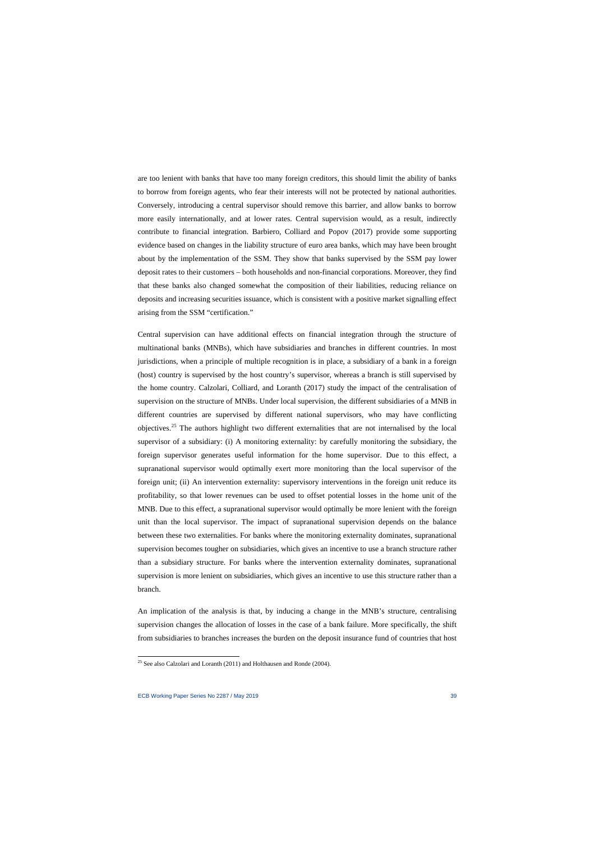are too lenient with banks that have too many foreign creditors, this should limit the ability of banks to borrow from foreign agents, who fear their interests will not be protected by national authorities. Conversely, introducing a central supervisor should remove this barrier, and allow banks to borrow more easily internationally, and at lower rates. Central supervision would, as a result, indirectly contribute to financial integration. Barbiero, Colliard and Popov (2017) provide some supporting evidence based on changes in the liability structure of euro area banks, which may have been brought about by the implementation of the SSM. They show that banks supervised by the SSM pay lower deposit rates to their customers – both households and non-financial corporations. Moreover, they find that these banks also changed somewhat the composition of their liabilities, reducing reliance on deposits and increasing securities issuance, which is consistent with a positive market signalling effect arising from the SSM "certification."

Central supervision can have additional effects on financial integration through the structure of multinational banks (MNBs), which have subsidiaries and branches in different countries. In most jurisdictions, when a principle of multiple recognition is in place, a subsidiary of a bank in a foreign (host) country is supervised by the host country's supervisor, whereas a branch is still supervised by the home country. Calzolari, Colliard, and Loranth (2017) study the impact of the centralisation of supervision on the structure of MNBs. Under local supervision, the different subsidiaries of a MNB in different countries are supervised by different national supervisors, who may have conflicting objectives.[25](#page-39-0) The authors highlight two different externalities that are not internalised by the local supervisor of a subsidiary: (i) A monitoring externality: by carefully monitoring the subsidiary, the foreign supervisor generates useful information for the home supervisor. Due to this effect, a supranational supervisor would optimally exert more monitoring than the local supervisor of the foreign unit; (ii) An intervention externality: supervisory interventions in the foreign unit reduce its profitability, so that lower revenues can be used to offset potential losses in the home unit of the MNB. Due to this effect, a supranational supervisor would optimally be more lenient with the foreign unit than the local supervisor. The impact of supranational supervision depends on the balance between these two externalities. For banks where the monitoring externality dominates, supranational supervision becomes tougher on subsidiaries, which gives an incentive to use a branch structure rather than a subsidiary structure. For banks where the intervention externality dominates, supranational supervision is more lenient on subsidiaries, which gives an incentive to use this structure rather than a branch.

An implication of the analysis is that, by inducing a change in the MNB's structure, centralising supervision changes the allocation of losses in the case of a bank failure. More specifically, the shift from subsidiaries to branches increases the burden on the deposit insurance fund of countries that host

l

<span id="page-39-0"></span> $25$  See also Calzolari and Loranth (2011) and Holthausen and Ronde (2004).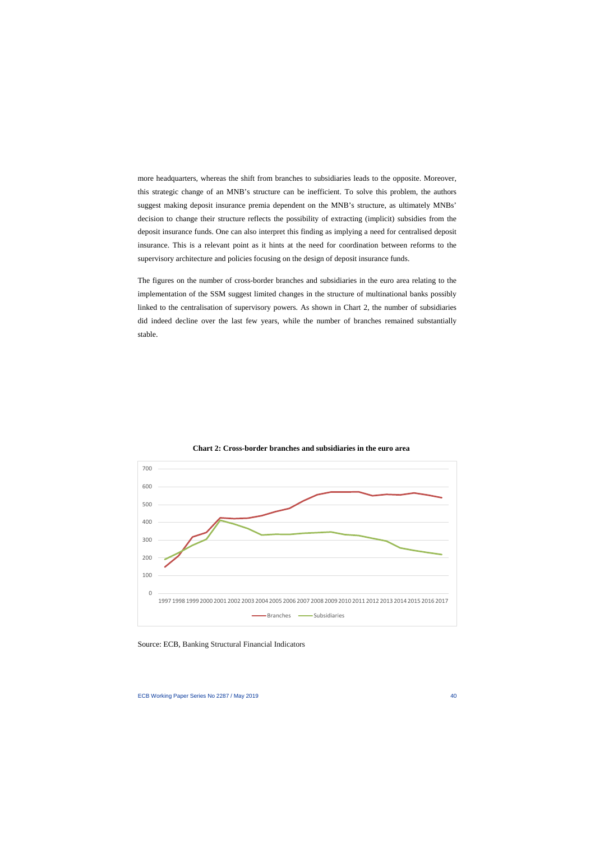more headquarters, whereas the shift from branches to subsidiaries leads to the opposite. Moreover, this strategic change of an MNB's structure can be inefficient. To solve this problem, the authors suggest making deposit insurance premia dependent on the MNB's structure, as ultimately MNBs' decision to change their structure reflects the possibility of extracting (implicit) subsidies from the deposit insurance funds. One can also interpret this finding as implying a need for centralised deposit insurance. This is a relevant point as it hints at the need for coordination between reforms to the supervisory architecture and policies focusing on the design of deposit insurance funds.

The figures on the number of cross-border branches and subsidiaries in the euro area relating to the implementation of the SSM suggest limited changes in the structure of multinational banks possibly linked to the centralisation of supervisory powers. As shown in Chart 2, the number of subsidiaries did indeed decline over the last few years, while the number of branches remained substantially stable.



**Chart 2: Cross-border branches and subsidiaries in the euro area**

Source: ECB, Banking Structural Financial Indicators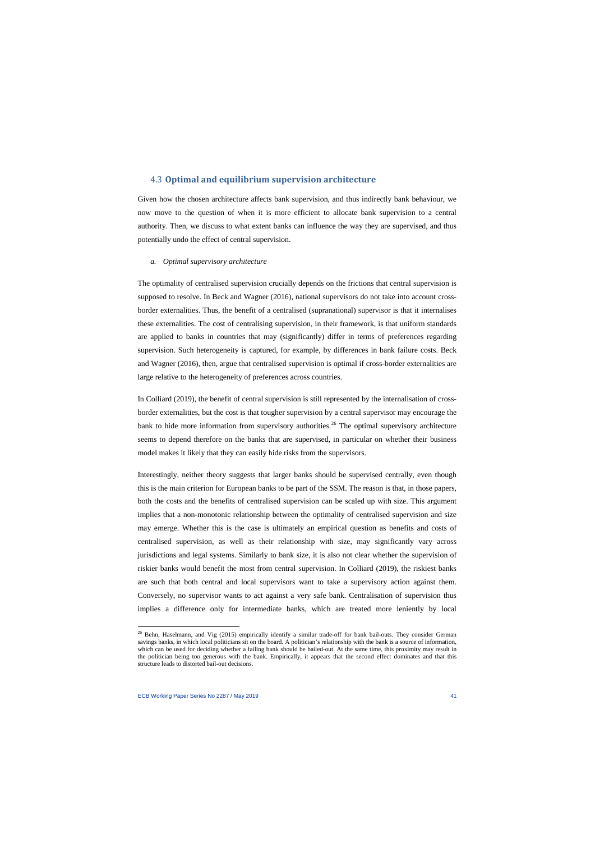## 4.3 **Optimal and equilibrium supervision architecture**

Given how the chosen architecture affects bank supervision, and thus indirectly bank behaviour, we now move to the question of when it is more efficient to allocate bank supervision to a central authority. Then, we discuss to what extent banks can influence the way they are supervised, and thus potentially undo the effect of central supervision.

#### *a. Optimal supervisory architecture*

The optimality of centralised supervision crucially depends on the frictions that central supervision is supposed to resolve. In Beck and Wagner (2016), national supervisors do not take into account crossborder externalities. Thus, the benefit of a centralised (supranational) supervisor is that it internalises these externalities. The cost of centralising supervision, in their framework, is that uniform standards are applied to banks in countries that may (significantly) differ in terms of preferences regarding supervision. Such heterogeneity is captured, for example, by differences in bank failure costs. Beck and Wagner (2016), then, argue that centralised supervision is optimal if cross-border externalities are large relative to the heterogeneity of preferences across countries.

In Colliard (2019), the benefit of central supervision is still represented by the internalisation of crossborder externalities, but the cost is that tougher supervision by a central supervisor may encourage the bank to hide more information from supervisory authorities.<sup>[26](#page-41-0)</sup> The optimal supervisory architecture seems to depend therefore on the banks that are supervised, in particular on whether their business model makes it likely that they can easily hide risks from the supervisors.

Interestingly, neither theory suggests that larger banks should be supervised centrally, even though this is the main criterion for European banks to be part of the SSM. The reason is that, in those papers, both the costs and the benefits of centralised supervision can be scaled up with size. This argument implies that a non-monotonic relationship between the optimality of centralised supervision and size may emerge. Whether this is the case is ultimately an empirical question as benefits and costs of centralised supervision, as well as their relationship with size, may significantly vary across jurisdictions and legal systems. Similarly to bank size, it is also not clear whether the supervision of riskier banks would benefit the most from central supervision. In Colliard (2019), the riskiest banks are such that both central and local supervisors want to take a supervisory action against them. Conversely, no supervisor wants to act against a very safe bank. Centralisation of supervision thus implies a difference only for intermediate banks, which are treated more leniently by local

<span id="page-41-0"></span> $^{26}$  Behn, Haselmann, and Vig (2015) empirically identify a similar trade-off for bank bail-outs. They consider German savings banks, in which local politicians sit on the board. A politician's relationship with the bank is a source of information, which can be used for deciding whether a failing bank should be bailed-out. At the same time, this proximity may result in the politician being too generous with the bank. Empirically, it appears that the second effect dominates and that this structure leads to distorted bail-out decisions.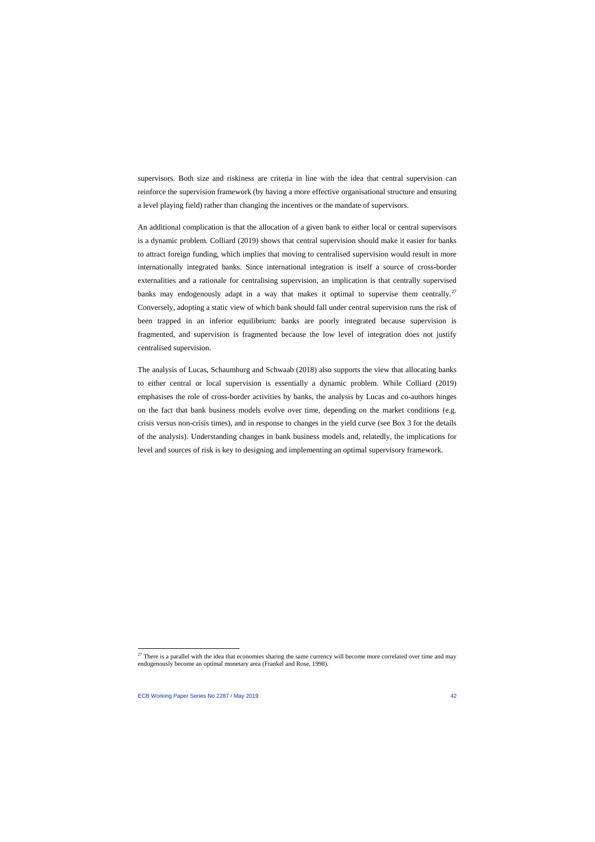supervisors. Both size and riskiness are criteria in line with the idea that central supervision can reinforce the supervision framework (by having a more effective organisational structure and ensuring a level playing field) rather than changing the incentives or the mandate of supervisors.

An additional complication is that the allocation of a given bank to either local or central supervisors is a dynamic problem. Colliard (2019) shows that central supervision should make it easier for banks to attract foreign funding, which implies that moving to centralised supervision would result in more internationally integrated banks. Since international integration is itself a source of cross-border externalities and a rationale for centralising supervision, an implication is that centrally supervised banks may endogenously adapt in a way that makes it optimal to supervise them centrally.<sup>[27](#page-42-0)</sup> Conversely, adopting a static view of which bank should fall under central supervision runs the risk of been trapped in an inferior equilibrium: banks are poorly integrated because supervision is fragmented, and supervision is fragmented because the low level of integration does not justify centralised supervision.

The analysis of Lucas, Schaumburg and Schwaab (2018) also supports the view that allocating banks to either central or local supervision is essentially a dynamic problem. While Colliard (2019) emphasises the role of cross-border activities by banks, the analysis by Lucas and co-authors hinges on the fact that bank business models evolve over time, depending on the market conditions (e.g. crisis versus non-crisis times), and in response to changes in the yield curve (see Box 3 for the details of the analysis). Understanding changes in bank business models and, relatedly, the implications for level and sources of risk is key to designing and implementing an optimal supervisory framework.

<span id="page-42-0"></span> $27$  There is a parallel with the idea that economies sharing the same currency will become more correlated over time and may endogenously become an optimal monetary area (Frankel and Rose, 1998).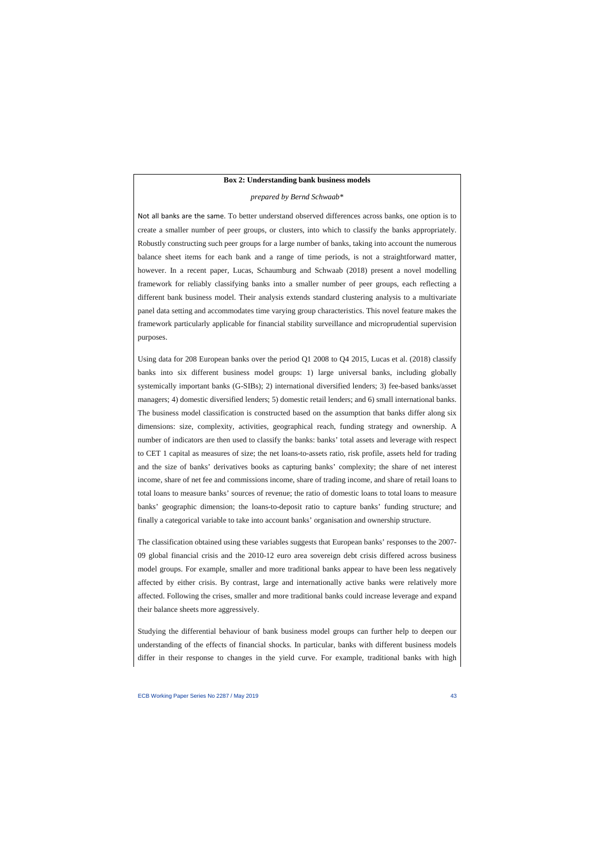#### **Box 2: Understanding bank business models**

#### *prepared by Bernd Schwaab\**

Not all banks are the same. To better understand observed differences across banks, one option is to create a smaller number of peer groups, or clusters, into which to classify the banks appropriately. Robustly constructing such peer groups for a large number of banks, taking into account the numerous balance sheet items for each bank and a range of time periods, is not a straightforward matter, however. In a recent paper, Lucas, Schaumburg and Schwaab (2018) present a novel modelling framework for reliably classifying banks into a smaller number of peer groups, each reflecting a different bank business model. Their analysis extends standard clustering analysis to a multivariate panel data setting and accommodates time varying group characteristics. This novel feature makes the framework particularly applicable for financial stability surveillance and microprudential supervision purposes.

Using data for 208 European banks over the period Q1 2008 to Q4 2015, Lucas et al. (2018) classify banks into six different business model groups: 1) large universal banks, including globally systemically important banks (G-SIBs); 2) international diversified lenders; 3) fee-based banks/asset managers; 4) domestic diversified lenders; 5) domestic retail lenders; and 6) small international banks. The business model classification is constructed based on the assumption that banks differ along six dimensions: size, complexity, activities, geographical reach, funding strategy and ownership. A number of indicators are then used to classify the banks: banks' total assets and leverage with respect to CET 1 capital as measures of size; the net loans-to-assets ratio, risk profile, assets held for trading and the size of banks' derivatives books as capturing banks' complexity; the share of net interest income, share of net fee and commissions income, share of trading income, and share of retail loans to total loans to measure banks' sources of revenue; the ratio of domestic loans to total loans to measure banks' geographic dimension; the loans-to-deposit ratio to capture banks' funding structure; and finally a categorical variable to take into account banks' organisation and ownership structure.

The classification obtained using these variables suggests that European banks' responses to the 2007- 09 global financial crisis and the 2010-12 euro area sovereign debt crisis differed across business model groups. For example, smaller and more traditional banks appear to have been less negatively affected by either crisis. By contrast, large and internationally active banks were relatively more affected. Following the crises, smaller and more traditional banks could increase leverage and expand their balance sheets more aggressively.

Studying the differential behaviour of bank business model groups can further help to deepen our understanding of the effects of financial shocks. In particular, banks with different business models differ in their response to changes in the yield curve. For example, traditional banks with high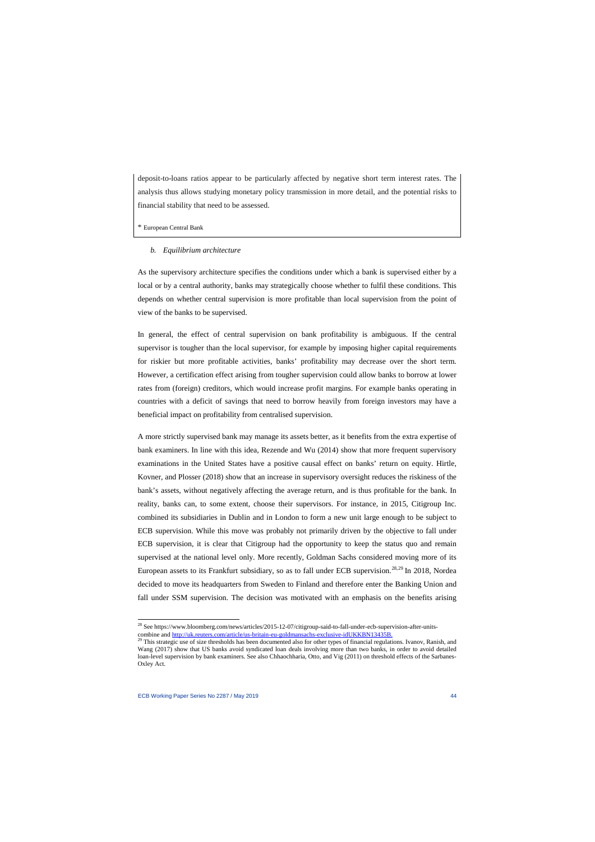deposit-to-loans ratios appear to be particularly affected by negative short term interest rates. The analysis thus allows studying monetary policy transmission in more detail, and the potential risks to financial stability that need to be assessed.

#### \* European Central Bank

### *b. Equilibrium architecture*

As the supervisory architecture specifies the conditions under which a bank is supervised either by a local or by a central authority, banks may strategically choose whether to fulfil these conditions. This depends on whether central supervision is more profitable than local supervision from the point of view of the banks to be supervised.

In general, the effect of central supervision on bank profitability is ambiguous. If the central supervisor is tougher than the local supervisor, for example by imposing higher capital requirements for riskier but more profitable activities, banks' profitability may decrease over the short term. However, a certification effect arising from tougher supervision could allow banks to borrow at lower rates from (foreign) creditors, which would increase profit margins. For example banks operating in countries with a deficit of savings that need to borrow heavily from foreign investors may have a beneficial impact on profitability from centralised supervision.

A more strictly supervised bank may manage its assets better, as it benefits from the extra expertise of bank examiners. In line with this idea, Rezende and Wu (2014) show that more frequent supervisory examinations in the United States have a positive causal effect on banks' return on equity. Hirtle, Kovner, and Plosser (2018) show that an increase in supervisory oversight reduces the riskiness of the bank's assets, without negatively affecting the average return, and is thus profitable for the bank. In reality, banks can, to some extent, choose their supervisors. For instance, in 2015, Citigroup Inc. combined its subsidiaries in Dublin and in London to form a new unit large enough to be subject to ECB supervision. While this move was probably not primarily driven by the objective to fall under ECB supervision, it is clear that Citigroup had the opportunity to keep the status quo and remain supervised at the national level only. More recently, Goldman Sachs considered moving more of its European assets to its Frankfurt subsidiary, so as to fall under ECB supervision.<sup>[28](#page-44-0),[29](#page-44-1)</sup> In 2018, Nordea decided to move its headquarters from Sweden to Finland and therefore enter the Banking Union and fall under SSM supervision. The decision was motivated with an emphasis on the benefits arising

 $\overline{a}$ 

 $^{28}$  See https://www.bloomberg.com/news/articles/2015-12-07/citigroup-said-to-fall-under-ecb-supervision-after-unitscombine and [http://uk.reuters.com/article/us-britain-eu-goldmansachs-exclusive-idUKKBN13435B.](http://uk.reuters.com/article/us-britain-eu-goldmansachs-exclusive-idUKKBN13435B)<br><sup>29</sup> This strategic use of size thresholds has been documented also for other types of financial regulations. Ivanov, Ranish, an

<span id="page-44-1"></span><span id="page-44-0"></span>Wang (2017) show that US banks avoid syndicated loan deals involving more than two banks, in order to avoid detailed loan-level supervision by bank examiners. See also Chhaochharia, Otto, and Vig (2011) on threshold effects of the Sarbanes-Oxley Act.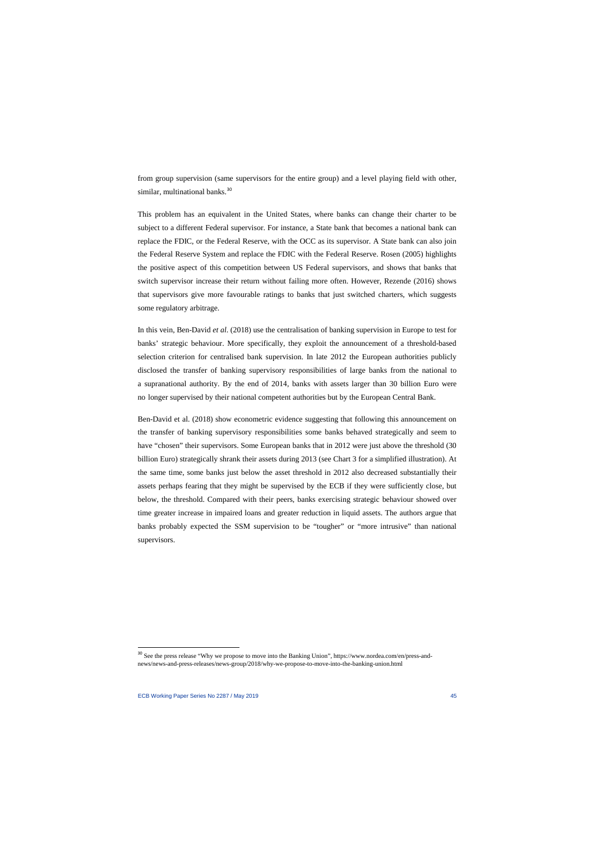from group supervision (same supervisors for the entire group) and a level playing field with other, similar, multinational banks.<sup>[30](#page-45-0)</sup>

This problem has an equivalent in the United States, where banks can change their charter to be subject to a different Federal supervisor. For instance, a State bank that becomes a national bank can replace the FDIC, or the Federal Reserve, with the OCC as its supervisor. A State bank can also join the Federal Reserve System and replace the FDIC with the Federal Reserve. Rosen (2005) highlights the positive aspect of this competition between US Federal supervisors, and shows that banks that switch supervisor increase their return without failing more often. However, Rezende (2016) shows that supervisors give more favourable ratings to banks that just switched charters, which suggests some regulatory arbitrage.

In this vein, Ben-David *et al*. (2018) use the centralisation of banking supervision in Europe to test for banks' strategic behaviour. More specifically, they exploit the announcement of a threshold-based selection criterion for centralised bank supervision. In late 2012 the European authorities publicly disclosed the transfer of banking supervisory responsibilities of large banks from the national to a supranational authority. By the end of 2014, banks with assets larger than 30 billion Euro were no longer supervised by their national competent authorities but by the European Central Bank.

Ben-David et al. (2018) show econometric evidence suggesting that following this announcement on the transfer of banking supervisory responsibilities some banks behaved strategically and seem to have "chosen" their supervisors. Some European banks that in 2012 were just above the threshold (30 billion Euro) strategically shrank their assets during 2013 (see Chart 3 for a simplified illustration). At the same time, some banks just below the asset threshold in 2012 also decreased substantially their assets perhaps fearing that they might be supervised by the ECB if they were sufficiently close, but below, the threshold. Compared with their peers, banks exercising strategic behaviour showed over time greater increase in impaired loans and greater reduction in liquid assets. The authors argue that banks probably expected the SSM supervision to be "tougher" or "more intrusive" than national supervisors.

<span id="page-45-0"></span><sup>&</sup>lt;sup>30</sup> See the press release "Why we propose to move into the Banking Union", https://www.nordea.com/en/press-andnews/news-and-press-releases/news-group/2018/why-we-propose-to-move-into-the-banking-union.html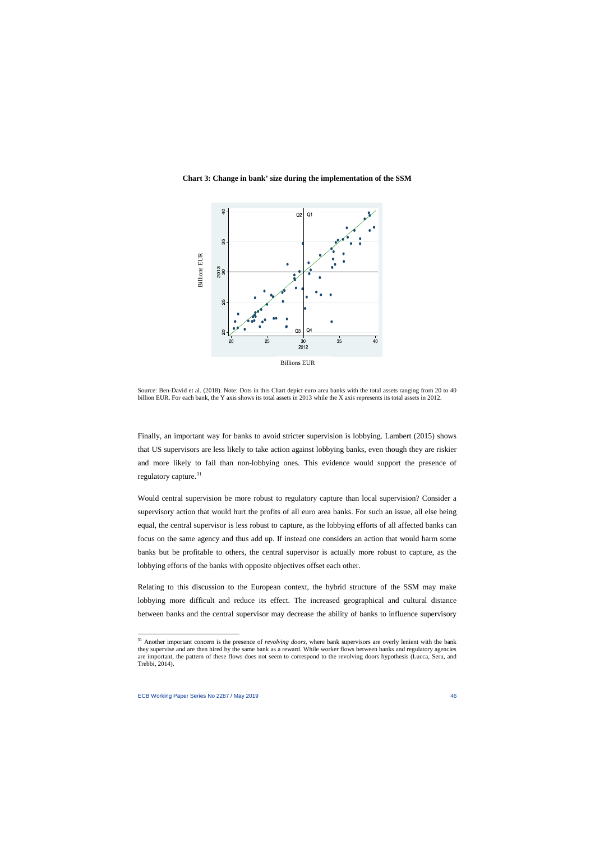#### **Chart 3: Change in bank' size during the implementation of the SSM**



Source: Ben-David et al. (2018). Note: Dots in this Chart depict euro area banks with the total assets ranging from 20 to 40 billion EUR. For each bank, the Y axis shows its total assets in 2013 while the X axis represents its total assets in 2012.

Finally, an important way for banks to avoid stricter supervision is lobbying. Lambert (2015) shows that US supervisors are less likely to take action against lobbying banks, even though they are riskier and more likely to fail than non-lobbying ones. This evidence would support the presence of regulatory capture.<sup>[31](#page-46-0)</sup>

Would central supervision be more robust to regulatory capture than local supervision? Consider a supervisory action that would hurt the profits of all euro area banks. For such an issue, all else being equal, the central supervisor is less robust to capture, as the lobbying efforts of all affected banks can focus on the same agency and thus add up. If instead one considers an action that would harm some banks but be profitable to others, the central supervisor is actually more robust to capture, as the lobbying efforts of the banks with opposite objectives offset each other.

Relating to this discussion to the European context, the hybrid structure of the SSM may make lobbying more difficult and reduce its effect. The increased geographical and cultural distance between banks and the central supervisor may decrease the ability of banks to influence supervisory

l

<span id="page-46-0"></span><sup>31</sup> Another important concern is the presence of *revolving doors*, where bank supervisors are overly lenient with the bank they supervise and are then hired by the same bank as a reward. While worker flows between banks and regulatory agencies are important, the pattern of these flows does not seem to correspond to the revolving doors hypothesis (Lucca, Seru, and Trebbi, 2014).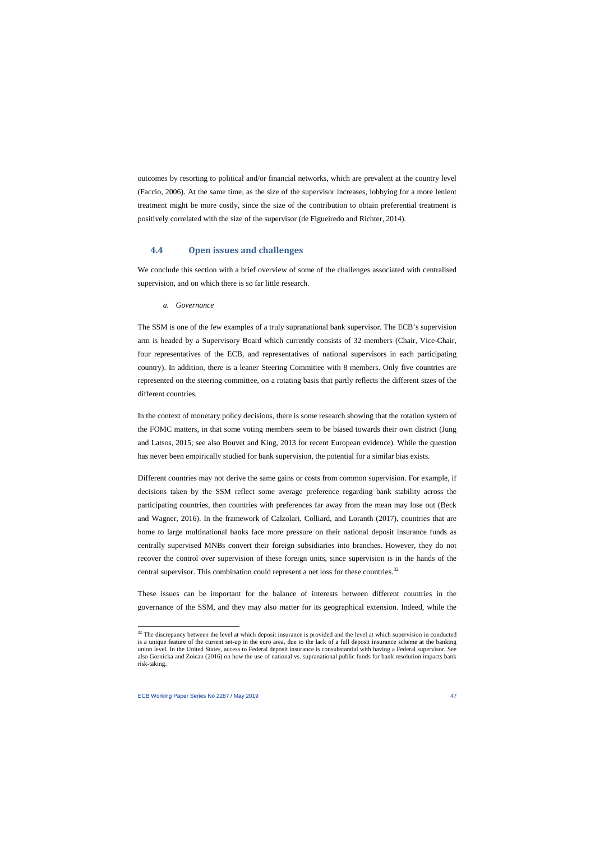outcomes by resorting to political and/or financial networks, which are prevalent at the country level (Faccio, 2006). At the same time, as the size of the supervisor increases, lobbying for a more lenient treatment might be more costly, since the size of the contribution to obtain preferential treatment is positively correlated with the size of the supervisor (de Figueiredo and Richter, 2014).

### **4.4 Open issues and challenges**

We conclude this section with a brief overview of some of the challenges associated with centralised supervision, and on which there is so far little research.

#### *a. Governance*

The SSM is one of the few examples of a truly supranational bank supervisor. The ECB's supervision arm is headed by a Supervisory Board which currently consists of 32 members (Chair, Vice-Chair, four representatives of the ECB, and representatives of national supervisors in each participating country). In addition, there is a leaner Steering Committee with 8 members. Only five countries are represented on the steering committee, on a rotating basis that partly reflects the different sizes of the different countries.

In the context of monetary policy decisions, there is some research showing that the rotation system of the FOMC matters, in that some voting members seem to be biased towards their own district (Jung and Latsos, 2015; see also Bouvet and King, 2013 for recent European evidence). While the question has never been empirically studied for bank supervision, the potential for a similar bias exists.

Different countries may not derive the same gains or costs from common supervision. For example, if decisions taken by the SSM reflect some average preference regarding bank stability across the participating countries, then countries with preferences far away from the mean may lose out (Beck and Wagner, 2016). In the framework of Calzolari, Colliard, and Loranth (2017), countries that are home to large multinational banks face more pressure on their national deposit insurance funds as centrally supervised MNBs convert their foreign subsidiaries into branches. However, they do not recover the control over supervision of these foreign units, since supervision is in the hands of the central supervisor. This combination could represent a net loss for these countries.<sup>[32](#page-47-0)</sup>

These issues can be important for the balance of interests between different countries in the governance of the SSM, and they may also matter for its geographical extension. Indeed, while the

<span id="page-47-0"></span> $32$  The discrepancy between the level at which deposit insurance is provided and the level at which supervision in conducted is a unique feature of the current set-up in the euro area, due to the lack of a full deposit insurance scheme at the banking union level. In the United States, access to Federal deposit insurance is consubstantial with having a Federal supervisor. See also Gornicka and Zoican (2016) on how the use of national vs. supranational public funds for bank resolution impacts bank risk-taking.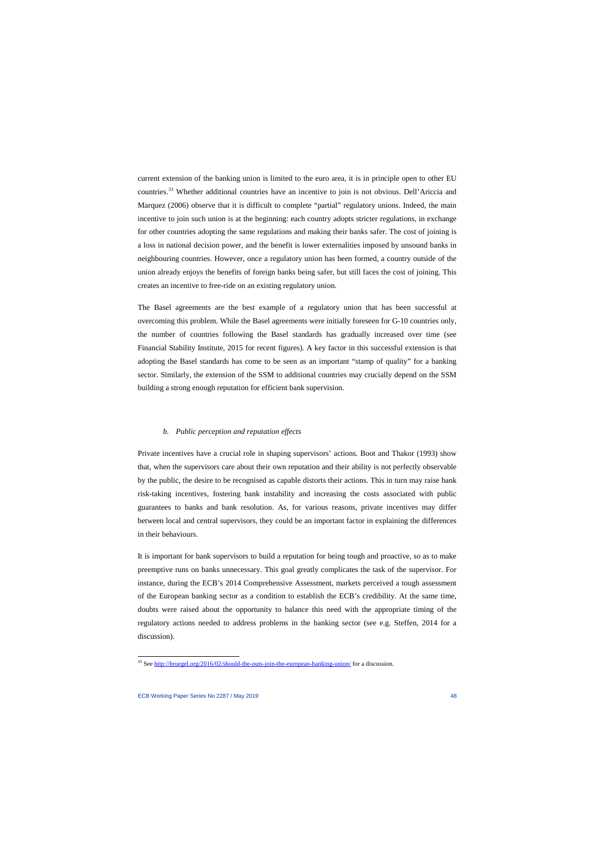current extension of the banking union is limited to the euro area, it is in principle open to other EU countries.<sup>[33](#page-48-0)</sup> Whether additional countries have an incentive to join is not obvious. Dell'Ariccia and Marquez (2006) observe that it is difficult to complete "partial" regulatory unions. Indeed, the main incentive to join such union is at the beginning: each country adopts stricter regulations, in exchange for other countries adopting the same regulations and making their banks safer. The cost of joining is a loss in national decision power, and the benefit is lower externalities imposed by unsound banks in neighbouring countries. However, once a regulatory union has been formed, a country outside of the union already enjoys the benefits of foreign banks being safer, but still faces the cost of joining. This creates an incentive to free-ride on an existing regulatory union.

The Basel agreements are the best example of a regulatory union that has been successful at overcoming this problem. While the Basel agreements were initially foreseen for G-10 countries only, the number of countries following the Basel standards has gradually increased over time (see Financial Stability Institute, 2015 for recent figures). A key factor in this successful extension is that adopting the Basel standards has come to be seen as an important "stamp of quality" for a banking sector. Similarly, the extension of the SSM to additional countries may crucially depend on the SSM building a strong enough reputation for efficient bank supervision.

#### *b. Public perception and reputation effects*

Private incentives have a crucial role in shaping supervisors' actions. Boot and Thakor (1993) show that, when the supervisors care about their own reputation and their ability is not perfectly observable by the public, the desire to be recognised as capable distorts their actions. This in turn may raise bank risk-taking incentives, fostering bank instability and increasing the costs associated with public guarantees to banks and bank resolution. As, for various reasons, private incentives may differ between local and central supervisors, they could be an important factor in explaining the differences in their behaviours.

It is important for bank supervisors to build a reputation for being tough and proactive, so as to make preemptive runs on banks unnecessary. This goal greatly complicates the task of the supervisor. For instance, during the ECB's 2014 Comprehensive Assessment, markets perceived a tough assessment of the European banking sector as a condition to establish the ECB's credibility. At the same time, doubts were raised about the opportunity to balance this need with the appropriate timing of the regulatory actions needed to address problems in the banking sector (see e.g. Steffen, 2014 for a discussion).

l

<span id="page-48-0"></span><sup>&</sup>lt;sup>33</sup> See<http://bruegel.org/2016/02/should-the-outs-join-the-european-banking-union/> for a discussion.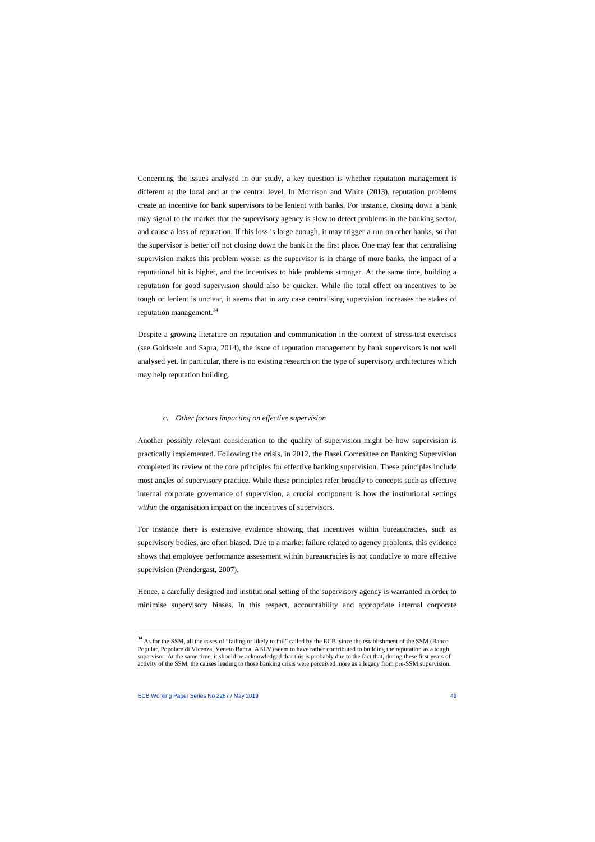Concerning the issues analysed in our study, a key question is whether reputation management is different at the local and at the central level. In Morrison and White (2013), reputation problems create an incentive for bank supervisors to be lenient with banks. For instance, closing down a bank may signal to the market that the supervisory agency is slow to detect problems in the banking sector, and cause a loss of reputation. If this loss is large enough, it may trigger a run on other banks, so that the supervisor is better off not closing down the bank in the first place. One may fear that centralising supervision makes this problem worse: as the supervisor is in charge of more banks, the impact of a reputational hit is higher, and the incentives to hide problems stronger. At the same time, building a reputation for good supervision should also be quicker. While the total effect on incentives to be tough or lenient is unclear, it seems that in any case centralising supervision increases the stakes of reputation management.<sup>[34](#page-49-0)</sup>

Despite a growing literature on reputation and communication in the context of stress-test exercises (see Goldstein and Sapra, 2014), the issue of reputation management by bank supervisors is not well analysed yet. In particular, there is no existing research on the type of supervisory architectures which may help reputation building.

#### *c. Other factors impacting on effective supervision*

Another possibly relevant consideration to the quality of supervision might be how supervision is practically implemented. Following the crisis, in 2012, the Basel Committee on Banking Supervision completed its review of the core principles for effective banking supervision. These principles include most angles of supervisory practice. While these principles refer broadly to concepts such as effective internal corporate governance of supervision, a crucial component is how the institutional settings *within* the organisation impact on the incentives of supervisors.

For instance there is extensive evidence showing that incentives within bureaucracies, such as supervisory bodies, are often biased. Due to a market failure related to agency problems, this evidence shows that employee performance assessment within bureaucracies is not conducive to more effective supervision (Prendergast, 2007).

Hence, a carefully designed and institutional setting of the supervisory agency is warranted in order to minimise supervisory biases. In this respect, accountability and appropriate internal corporate

l

<span id="page-49-0"></span><sup>&</sup>lt;sup>34</sup> As for the SSM, all the cases of "failing or likely to fail" called by the ECB since the establishment of the SSM (Banco Popular, Popolare di Vicenza, Veneto Banca, ABLV) seem to have rather contributed to building the reputation as a tough supervisor. At the same time, it should be acknowledged that this is probably due to the fact that, during these first years of activity of the SSM, the causes leading to those banking crisis were perceived more as a legacy from pre-SSM supervision.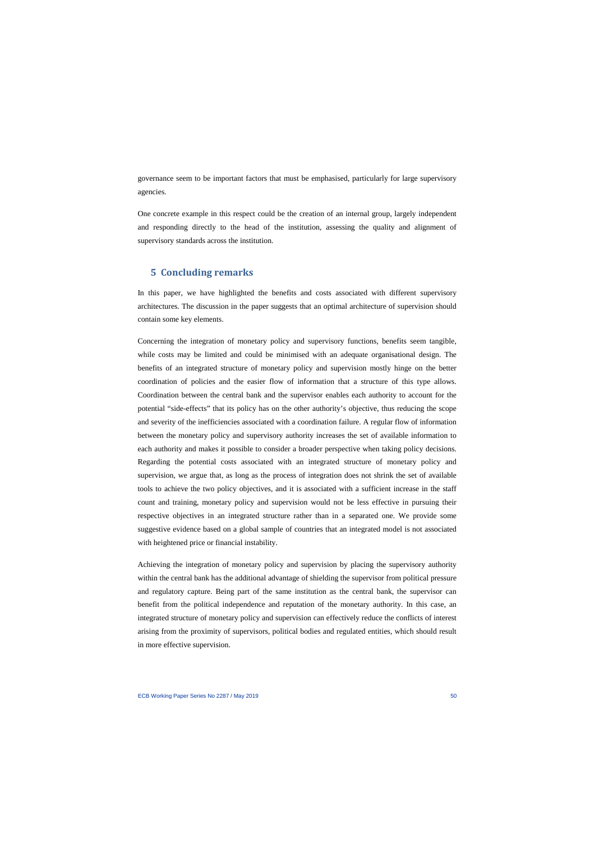governance seem to be important factors that must be emphasised, particularly for large supervisory agencies.

One concrete example in this respect could be the creation of an internal group, largely independent and responding directly to the head of the institution, assessing the quality and alignment of supervisory standards across the institution.

## **5 Concluding remarks**

In this paper, we have highlighted the benefits and costs associated with different supervisory architectures. The discussion in the paper suggests that an optimal architecture of supervision should contain some key elements.

Concerning the integration of monetary policy and supervisory functions, benefits seem tangible, while costs may be limited and could be minimised with an adequate organisational design. The benefits of an integrated structure of monetary policy and supervision mostly hinge on the better coordination of policies and the easier flow of information that a structure of this type allows. Coordination between the central bank and the supervisor enables each authority to account for the potential "side-effects" that its policy has on the other authority's objective, thus reducing the scope and severity of the inefficiencies associated with a coordination failure. A regular flow of information between the monetary policy and supervisory authority increases the set of available information to each authority and makes it possible to consider a broader perspective when taking policy decisions. Regarding the potential costs associated with an integrated structure of monetary policy and supervision, we argue that, as long as the process of integration does not shrink the set of available tools to achieve the two policy objectives, and it is associated with a sufficient increase in the staff count and training, monetary policy and supervision would not be less effective in pursuing their respective objectives in an integrated structure rather than in a separated one. We provide some suggestive evidence based on a global sample of countries that an integrated model is not associated with heightened price or financial instability.

Achieving the integration of monetary policy and supervision by placing the supervisory authority within the central bank has the additional advantage of shielding the supervisor from political pressure and regulatory capture. Being part of the same institution as the central bank, the supervisor can benefit from the political independence and reputation of the monetary authority. In this case, an integrated structure of monetary policy and supervision can effectively reduce the conflicts of interest arising from the proximity of supervisors, political bodies and regulated entities, which should result in more effective supervision.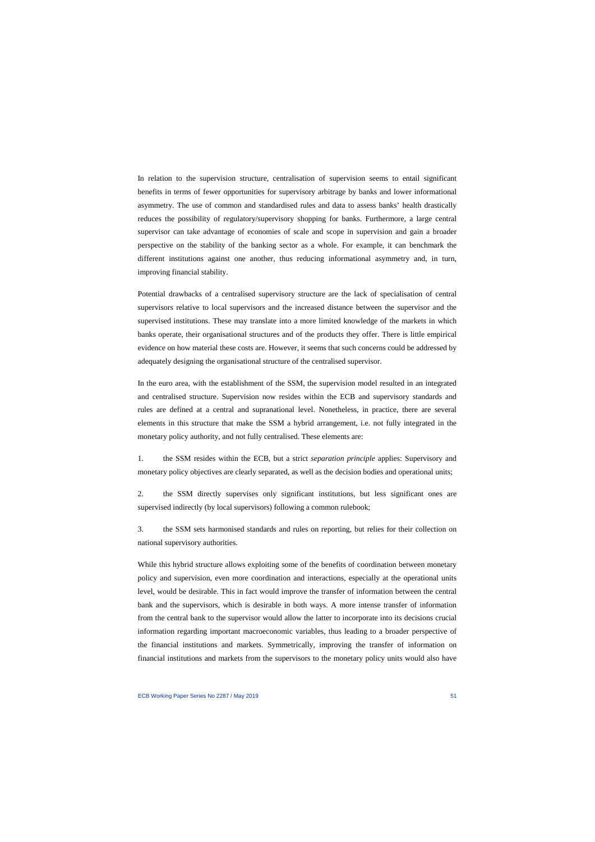In relation to the supervision structure, centralisation of supervision seems to entail significant benefits in terms of fewer opportunities for supervisory arbitrage by banks and lower informational asymmetry. The use of common and standardised rules and data to assess banks' health drastically reduces the possibility of regulatory/supervisory shopping for banks. Furthermore, a large central supervisor can take advantage of economies of scale and scope in supervision and gain a broader perspective on the stability of the banking sector as a whole. For example, it can benchmark the different institutions against one another, thus reducing informational asymmetry and, in turn, improving financial stability.

Potential drawbacks of a centralised supervisory structure are the lack of specialisation of central supervisors relative to local supervisors and the increased distance between the supervisor and the supervised institutions. These may translate into a more limited knowledge of the markets in which banks operate, their organisational structures and of the products they offer. There is little empirical evidence on how material these costs are. However, it seems that such concerns could be addressed by adequately designing the organisational structure of the centralised supervisor.

In the euro area, with the establishment of the SSM, the supervision model resulted in an integrated and centralised structure. Supervision now resides within the ECB and supervisory standards and rules are defined at a central and supranational level. Nonetheless, in practice, there are several elements in this structure that make the SSM a hybrid arrangement, i.e. not fully integrated in the monetary policy authority, and not fully centralised. These elements are:

1. the SSM resides within the ECB, but a strict *separation principle* applies: Supervisory and monetary policy objectives are clearly separated, as well as the decision bodies and operational units;

2. the SSM directly supervises only significant institutions, but less significant ones are supervised indirectly (by local supervisors) following a common rulebook;

3. the SSM sets harmonised standards and rules on reporting, but relies for their collection on national supervisory authorities.

While this hybrid structure allows exploiting some of the benefits of coordination between monetary policy and supervision, even more coordination and interactions, especially at the operational units level, would be desirable. This in fact would improve the transfer of information between the central bank and the supervisors, which is desirable in both ways. A more intense transfer of information from the central bank to the supervisor would allow the latter to incorporate into its decisions crucial information regarding important macroeconomic variables, thus leading to a broader perspective of the financial institutions and markets. Symmetrically, improving the transfer of information on financial institutions and markets from the supervisors to the monetary policy units would also have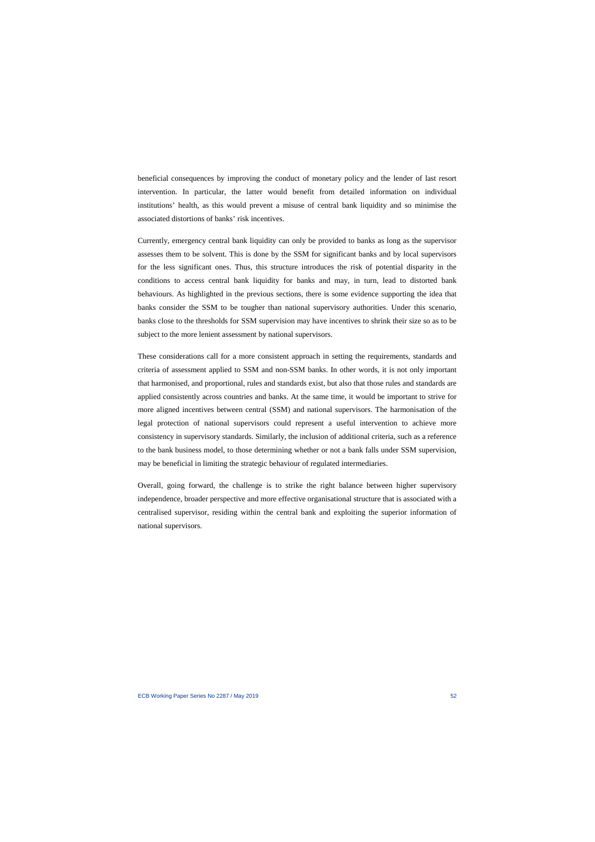beneficial consequences by improving the conduct of monetary policy and the lender of last resort intervention. In particular, the latter would benefit from detailed information on individual institutions' health, as this would prevent a misuse of central bank liquidity and so minimise the associated distortions of banks' risk incentives.

Currently, emergency central bank liquidity can only be provided to banks as long as the supervisor assesses them to be solvent. This is done by the SSM for significant banks and by local supervisors for the less significant ones. Thus, this structure introduces the risk of potential disparity in the conditions to access central bank liquidity for banks and may, in turn, lead to distorted bank behaviours. As highlighted in the previous sections, there is some evidence supporting the idea that banks consider the SSM to be tougher than national supervisory authorities. Under this scenario, banks close to the thresholds for SSM supervision may have incentives to shrink their size so as to be subject to the more lenient assessment by national supervisors.

These considerations call for a more consistent approach in setting the requirements, standards and criteria of assessment applied to SSM and non-SSM banks. In other words, it is not only important that harmonised, and proportional, rules and standards exist, but also that those rules and standards are applied consistently across countries and banks. At the same time, it would be important to strive for more aligned incentives between central (SSM) and national supervisors. The harmonisation of the legal protection of national supervisors could represent a useful intervention to achieve more consistency in supervisory standards. Similarly, the inclusion of additional criteria, such as a reference to the bank business model, to those determining whether or not a bank falls under SSM supervision, may be beneficial in limiting the strategic behaviour of regulated intermediaries.

Overall, going forward, the challenge is to strike the right balance between higher supervisory independence, broader perspective and more effective organisational structure that is associated with a centralised supervisor, residing within the central bank and exploiting the superior information of national supervisors.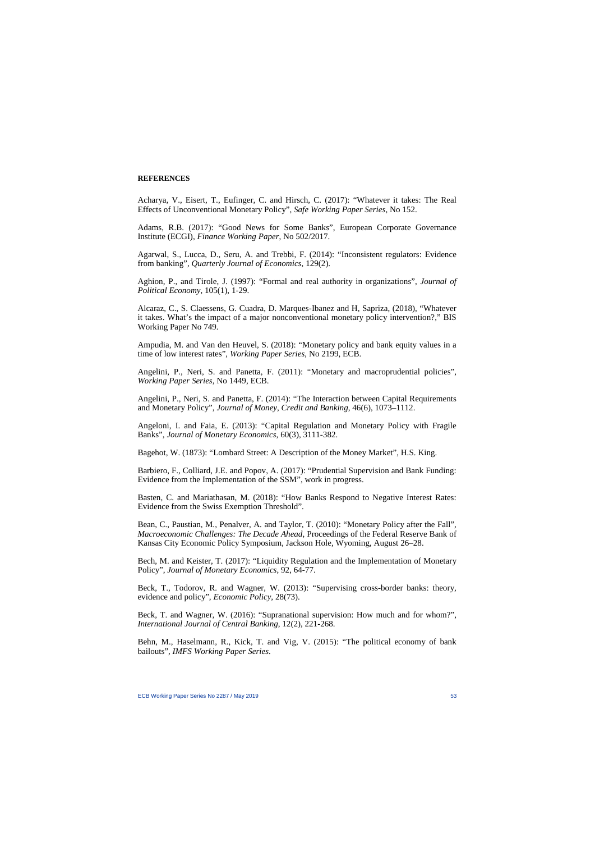### **REFERENCES**

Acharya, V., Eisert, T., Eufinger, C. and Hirsch, C. (2017): "Whatever it takes: The Real Effects of Unconventional Monetary Policy", *Safe Working Paper Series*, No 152.

Adams, R.B. (2017): "Good News for Some Banks", European Corporate Governance Institute (ECGI), *Finance Working Paper*, No 502/2017.

Agarwal, S., Lucca, D., Seru, A. and Trebbi, F. (2014): "Inconsistent regulators: Evidence from banking", *Quarterly Journal of Economics*, 129(2).

Aghion, P., and Tirole, J. (1997): "Formal and real authority in organizations", *Journal of Political Economy*, 105(1), 1-29.

Alcaraz, C., S. Claessens, G. Cuadra, D. Marques-Ibanez and H, Sapriza, (2018), "Whatever it takes. What's the impact of a major nonconventional monetary policy intervention?," BIS Working Paper No 749.

Ampudia, M. and Van den Heuvel, S. (2018): "Monetary policy and bank equity values in a time of low interest rates", *Working Paper Series*, No 2199, ECB.

Angelini, P., Neri, S. and Panetta, F. (2011): "Monetary and macroprudential policies", *Working Paper Series*, No 1449, ECB.

Angelini, P., Neri, S. and Panetta, F. (2014): "The Interaction between Capital Requirements and Monetary Policy", *Journal of Money, Credit and Banking*, 46(6), 1073–1112.

Angeloni, I. and Faia, E. (2013): "Capital Regulation and Monetary Policy with Fragile Banks", *Journal of Monetary Economics*, 60(3), 3111-382.

Bagehot, W. (1873): "Lombard Street: A Description of the Money Market", H.S. King.

Barbiero, F., Colliard, J.E. and Popov, A. (2017): "Prudential Supervision and Bank Funding: Evidence from the Implementation of the SSM", work in progress.

Basten, C. and Mariathasan, M. (2018): "How Banks Respond to Negative Interest Rates: Evidence from the Swiss Exemption Threshold".

Bean, C., Paustian, M., Penalver, A. and Taylor, T. (2010): "Monetary Policy after the Fall", *Macroeconomic Challenges: The Decade Ahead*, Proceedings of the Federal Reserve Bank of Kansas City Economic Policy Symposium, Jackson Hole, Wyoming, August 26–28.

Bech, M. and Keister, T. (2017): ["Liquidity Regulation and the Implementation of Monetary](http://www.toddkeister.net/pdf/BK_LCR.pdf)  [Policy"](http://www.toddkeister.net/pdf/BK_LCR.pdf), *Journal of Monetary Economics*, 92, 64-77.

Beck, T., Todorov, R. and Wagner, W. (2013): "Supervising cross-border banks: theory, evidence and policy", *Economic Policy*, 28(73).

Beck, T. and Wagner, W. (2016): "Supranational supervision: How much and for whom?", *International Journal of Central Banking*, 12(2), 221-268.

Behn, M., Haselmann, R., Kick, T. and Vig, V. (2015): "The political economy of bank bailouts", *IMFS Working Paper Series*.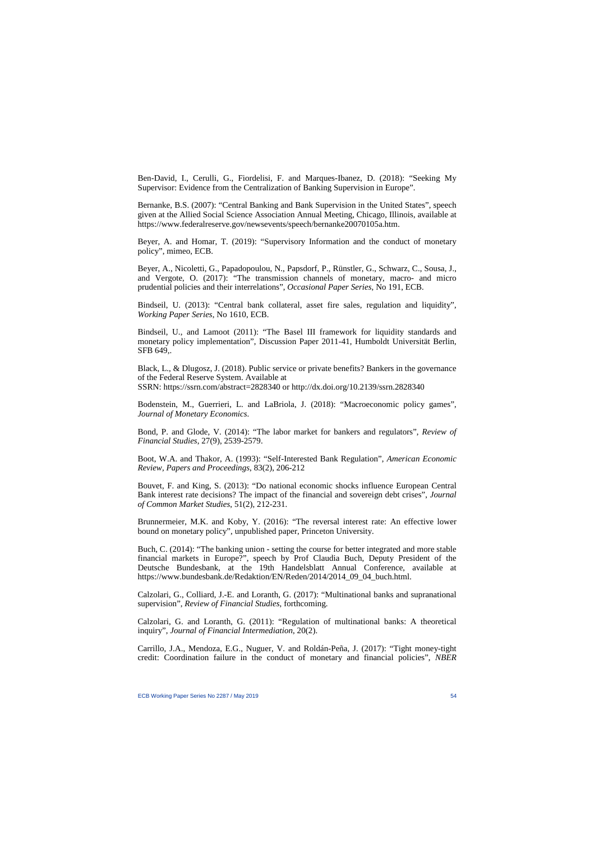Ben-David, I., Cerulli, G., Fiordelisi, F. and Marques-Ibanez, D. (2018): "Seeking My Supervisor: Evidence from the Centralization of Banking Supervision in Europe".

Bernanke, B.S. (2007): "Central Banking and Bank Supervision in the United States", speech given at the Allied Social Science Association Annual Meeting, Chicago, Illinois, available at [https://www.federalreserve.gov/newsevents/speech/bernanke20070105a.htm.](https://www.federalreserve.gov/newsevents/speech/bernanke20070105a.htm)

Beyer, A. and Homar, T. (2019): "Supervisory Information and the conduct of monetary policy", mimeo, ECB.

Beyer, A., Nicoletti, G., Papadopoulou, N., Papsdorf, P., Rünstler, G., Schwarz, C., Sousa, J., and Vergote, O. (2017): "The transmission channels of monetary, macro- and micro prudential policies and their interrelations", *Occasional Paper Series*, No 191, ECB.

Bindseil, U. (2013): ["Central bank collateral, asset fire sales, regulation and liquidity"](https://www.ecb.europa.eu/pub/pdf/scpwps/ecbwp1610.pdf?016dfcc13bc1839f8e712f7b74d7c2d9), *Working Paper Series*, No 1610, ECB.

Bindseil, U., and Lamoot (2011): "The Basel III framework for liquidity standards and monetary policy implementation", Discussion Paper 2011-41, Humboldt Universität Berlin, SFB 649,.

Black, L., & Dlugosz, J. (2018). Public service or private benefits? Bankers in the governance of the Federal Reserve System. Available at SSRN: <https://ssrn.com/abstract=2828340>or [http://dx.doi.org/10.2139/ssrn.2828340](https://dx.doi.org/10.2139/ssrn.2828340)

Bodenstein, M., Guerrieri, L. and LaBriola, J. (2018): "Macroeconomic policy games", *Journal of Monetary Economics*.

Bond, P. and Glode, V. (2014): "The labor market for bankers and regulators", *Review of Financial Studies*, 27(9), 2539-2579.

Boot, W.A. and Thakor, A. (1993): "Self-Interested Bank Regulation", *American Economic Review, Papers and Proceedings*, 83(2), 206-212

Bouvet, F. and King, S. (2013): "Do national economic shocks influence European Central Bank interest rate decisions? The impact of the financial and sovereign debt crises", *Journal of Common Market Studies*, 51(2), 212-231.

Brunnermeier, M.K. and Koby, Y. (2016): ["The reversal interest rate:](https://scholar.princeton.edu/markus/publications/reversal-interest-rate-effective-lower-bound-monetary-policy) An effective lower [bound on monetary policy"](https://scholar.princeton.edu/markus/publications/reversal-interest-rate-effective-lower-bound-monetary-policy), unpublished paper, Princeton University.

Buch, C. (2014): "The banking union - setting the course for better integrated and more stable financial markets in Europe?", speech by Prof Claudia Buch, Deputy President of the Deutsche Bundesbank, at the 19th Handelsblatt Annual Conference, available at [https://www.bundesbank.de/Redaktion/EN/Reden/2014/2014\\_09\\_04\\_buch.html.](https://www.bundesbank.de/Redaktion/EN/Reden/2014/2014_09_04_buch.html)

Calzolari, G., Colliard, J.-E. and Loranth, G. (2017): "Multinational banks and supranational supervision", *Review of Financial Studies*, forthcoming.

Calzolari, G. and Loranth, G. (2011): "Regulation of multinational banks: A theoretical inquiry", *Journal of Financial Intermediation*, 20(2).

[Carrillo,](http://www.nber.org/people/julio_carrillo) J.A., [Mendoza,](http://www.nber.org/people/enrique_mendoza) E.G., [Nuguer,](http://www.nber.org/people/victoria_nuguer) V. and [Roldán-Peña,](http://www.nber.org/people/jessrolp) J. (2017): "Tight money-tight credit: Coordination failure in the conduct of monetary and financial policies", *NBER*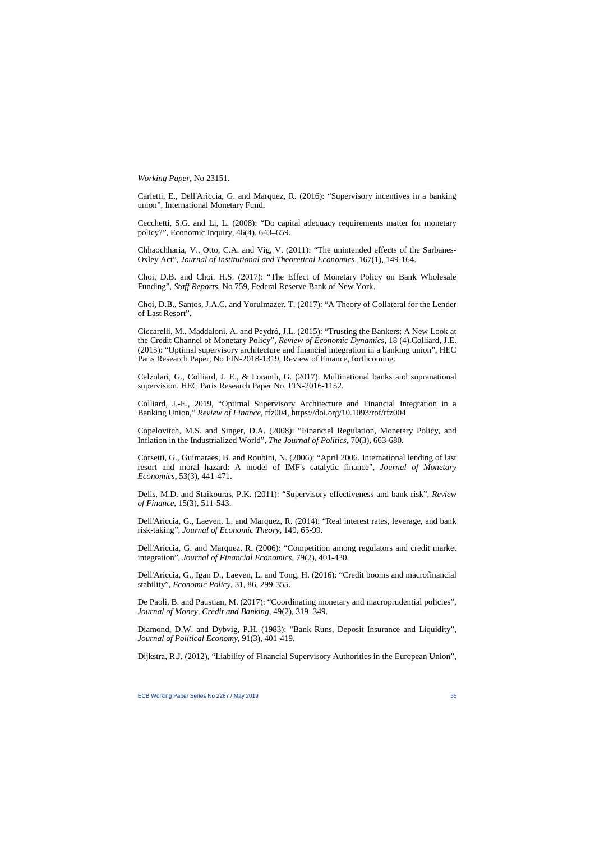*Working Paper*, No 23151.

Carletti, E., Dell'Ariccia, G. and Marquez, R. (2016): "Supervisory incentives in a banking union", International Monetary Fund.

Cecchetti, S.G. and Li, L. (2008): "Do capital adequacy requirements matter for monetary policy?", Economic Inquiry, 46(4), 643–659.

Chhaochharia, V., Otto, C.A. and Vig, V. (2011): "The unintended effects of the Sarbanes-Oxley Act", *Journal of Institutional and Theoretical Economics*, 167(1), 149-164.

Choi, D.B. and Choi. H.S. (2017): ["The Effect of Monetary Policy on Bank Wholesale](https://www.newyorkfed.org/research/staff_reports/sr759.html)  [Funding"](https://www.newyorkfed.org/research/staff_reports/sr759.html), *Staff Reports*, No 759, Federal Reserve Bank of New York.

Choi, D.B., Santos, J.A.C. and Yorulmazer, T. (2017): "A Theory of Collateral for the Lender of Last Resort".

Ciccarelli, M., Maddaloni, A. and Peydró, J.L. (2015): ["Trusting the Bankers: A New Look at](http://www.sciencedirect.com/science/article/pii/S1094202514000726)  [the Credit Channel of Monetary Policy"](http://www.sciencedirect.com/science/article/pii/S1094202514000726), *Review of Economic Dynamics*, 18 (4).Colliard, J.E. (2015): "Optimal supervisory architecture and financial integration in a banking union", HEC Paris Research Paper, No FIN-2018-1319, Review of Finance, forthcoming.

Calzolari, G., Colliard, J. E., & Loranth, G. (2017). Multinational banks and supranational supervision. HEC Paris Research Paper No. FIN-2016-1152.

Colliard, J.-E., 2019, "Optimal Supervisory Architecture and Financial Integration in a Banking Union," *Review of Finance*, rfz004,<https://doi.org/10.1093/rof/rfz004>

Copelovitch, M.S. and Singer, D.A. (2008): "Financial Regulation, Monetary Policy, and Inflation in the Industrialized World", *The Journal of Politics*, 70(3), 663-680.

Corsetti, G., Guimaraes, B. and Roubini, N. (2006): "April 2006. International lending of last resort and moral hazard: A model of IMF's catalytic finance", *Journal of Monetary Economics*, 53(3), 441-471.

Delis, M.D. and Staikouras, P.K. (2011): "Supervisory effectiveness and bank risk", *Review of Finance*, 15(3), 511-543.

Dell'Ariccia, G., Laeven, L. and Marquez, R. (2014): "Real interest rates, leverage, and bank risk-taking", *Journal of Economic Theory*, 149, 65-99.

Dell'Ariccia, G. and Marquez, R. (2006): "Competition among regulators and credit market integration", *Journal of Financial Economics*, 79(2), 401-430.

Dell'Ariccia, G., Igan D., Laeven, L. and Tong, H. (2016): "Credit booms and macrofinancial stability", *Economic Policy*, 31, 86, 299-355.

De Paoli, B. and Paustian, M. (2017): "Coordinating monetary and macroprudential policies", *Journal of Money, Credit and Banking*, 49(2), 319–349.

Diamond, D.W. and Dybvig, P.H. (1983): "Bank Runs, Deposit Insurance and Liquidity", *Journal of Political Economy*, 91(3), 401-419.

Dijkstra, R.J. (2012), "Liability of Financial Supervisory Authorities in the European Union",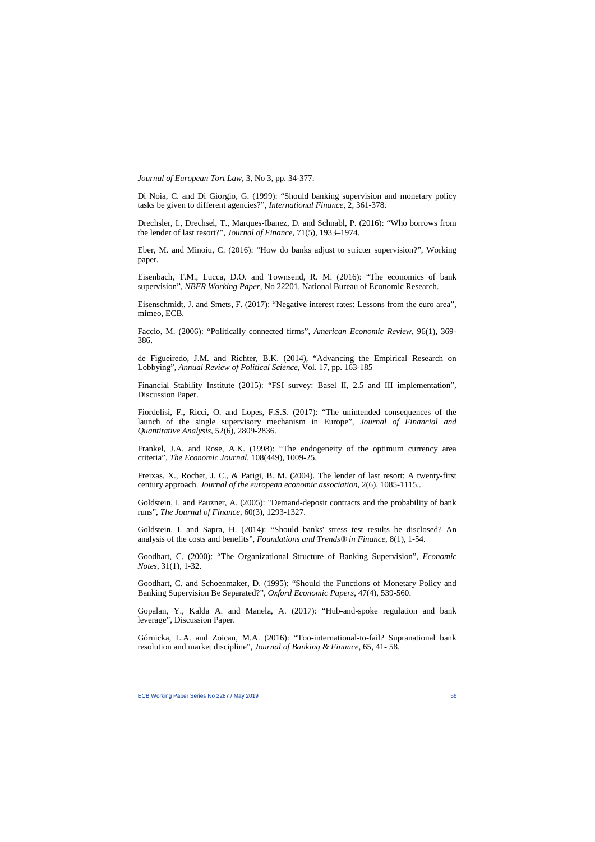*Journal of European Tort Law*, 3, No 3, pp. 34-377.

Di Noia, C. and Di Giorgio, G. (1999): "Should banking supervision and monetary policy tasks be given to different agencies?", *International Finance*, 2, 361-378.

Drechsler, I., Drechsel, T., Marques-Ibanez, D. and Schnabl, P. (2016): "Who borrows from the lender of last resort?", *Journal of Finance*, 71(5), 1933–1974.

Eber, M. and Minoiu, C. (2016): "How do banks adjust to stricter supervision?", Working paper.

Eisenbach, T.M., Lucca, D.O. and Townsend, R. M. (2016): "The economics of bank supervision", *NBER Working Paper*, No 22201, National Bureau of Economic Research.

Eisenschmidt, J. and Smets, F. (2017): "Negative interest rates: Lessons from the euro area", mimeo, ECB.

Faccio, M. (2006): "Politically connected firms", *American Economic Review*, 96(1), 369- 386.

de Figueiredo, J.M. and Richter, B.K. (2014), "Advancing the Empirical Research on Lobbying", *Annual Review of Political Science*, Vol. 17, pp. 163-185

Financial Stability Institute (2015): "FSI survey: Basel II, 2.5 and III implementation", Discussion Paper.

Fiordelisi, F., Ricci, O. and Lopes, F.S.S. (2017): "The unintended consequences of the launch of the single supervisory mechanism in Europe", *Journal of Financial and Quantitative Analysis*, 52(6), 2809-2836.

Frankel, J.A. and Rose, A.K. (1998): "The endogeneity of the optimum currency area criteria", *The Economic Journal*, 108(449), 1009-25.

Freixas, X., Rochet, J. C., & Parigi, B. M. (2004). The lender of last resort: A twenty-first century approach. *Journal of the european economic association*, 2(6), 1085-1115..

Goldstein, I. and Pauzner, A. (2005): "Demand-deposit contracts and the probability of bank runs", *The Journal of Finance*, 60(3), 1293-1327.

Goldstein, I. and Sapra, H. (2014): "Should banks' stress test results be disclosed? An analysis of the costs and benefits", *Foundations and Trends® in Finance*, 8(1), 1-54.

Goodhart, C. (2000): "The Organizational Structure of Banking Supervision", *Economic Notes*, 31(1), 1-32.

Goodhart, C. and Schoenmaker, D. (1995): "Should the Functions of Monetary Policy and Banking Supervision Be Separated?", *Oxford Economic Papers*, 47(4), 539-560.

Gopalan, Y., Kalda A. and Manela, A. (2017): "Hub-and-spoke regulation and bank leverage", Discussion Paper.

Górnicka, L.A. and Zoican, M.A. (2016): "Too-international-to-fail? Supranational bank resolution and market discipline", *Journal of Banking & Finance*, 65, 41- 58.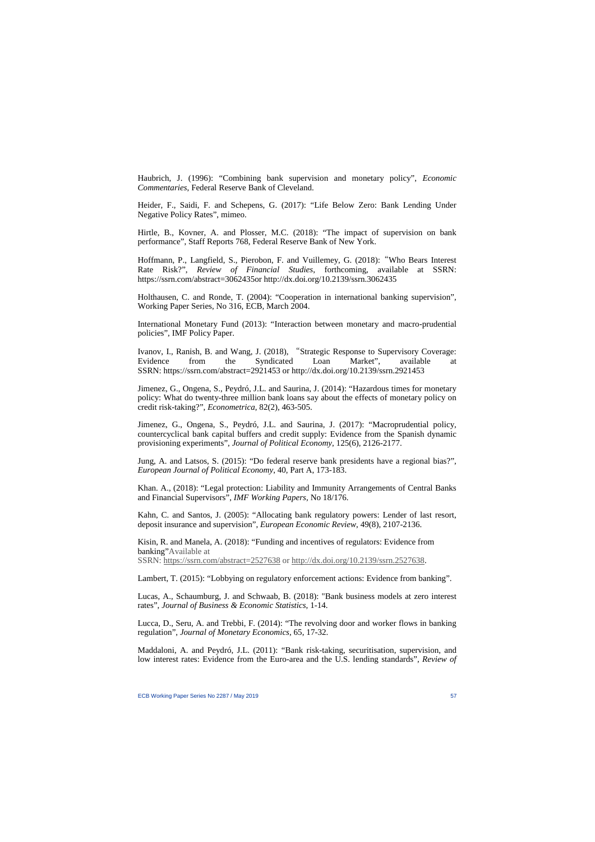Haubrich, J. (1996): "Combining bank supervision and monetary policy", *Economic Commentaries*, Federal Reserve Bank of Cleveland.

Heider, F., Saidi, F. and Schepens, G. (2017): "Life Below Zero: Bank Lending Under Negative Policy Rates", mimeo.

Hirtle, B., Kovner, A. and Plosser, M.C. (2018): "The impact of supervision on bank performance", Staff Reports 768, Federal Reserve Bank of New York.

Hoffmann, P., Langfield, S., Pierobon, F. and Vuillemey, G. (2018): "Who Bears Interest Rate Risk?", *Review of Financial Studies*, forthcoming, available at SSRN: [https://ssrn.com/abstract=3062435o](https://ssrn.com/abstract=3062435)r [http://dx.doi.org/10.2139/ssrn.3062435](https://dx.doi.org/10.2139/ssrn.3062435)

Holthausen, C. and Ronde, T. (2004): "Cooperation in international banking supervision", Working Paper Series, No 316, ECB, March 2004.

International Monetary Fund (2013): "Interaction between monetary and macro-prudential policies", IMF Policy Paper.

Ivanov, I., Ranish, B. and Wang, J. (2018), "Strategic Response to Supervisory Coverage:<br>Evidence from the Syndicated Loan Market". available at Evidence from the Syndicated Loan Market", available at SSRN: <https://ssrn.com/abstract=2921453>or [http://dx.doi.org/10.2139/ssrn.2921453](https://dx.doi.org/10.2139/ssrn.2921453)

Jimenez, G., Ongena, S., Peydró, J.L. and Saurina, J. (2014): "Hazardous times for monetary policy: What do twenty-three million bank loans say about the effects of monetary policy on credit risk-taking?", *Econometrica*, 82(2), 463-505.

Jimenez, G., Ongena, S., Peydró, J.L. and Saurina, J. (2017): "Macroprudential policy, countercyclical bank capital buffers and credit supply: Evidence from the Spanish dynamic provisioning experiments", *Journal of Political Economy*, 125(6), 2126-2177.

Jung, A. and Latsos, S. (2015): "Do federal reserve bank presidents have a regional bias?", *European Journal of Political Economy*, 40, Part A, 173-183.

Khan. A., (2018): "Legal protection: Liability and Immunity Arrangements of Central Banks and Financial Supervisors", *IMF Working Papers*, No 18/176.

Kahn, C. and Santos, J. (2005): "Allocating bank regulatory powers: Lender of last resort, deposit insurance and supervision", *[European Economic Review](http://econpapers.repec.org/article/eeeeecrev/)*, 49(8), 2107-2136.

Kisin, R. and Manela, A. (2018): "Funding and incentives of regulators: Evidence from banking"Available at SSRN: <https://ssrn.com/abstract=2527638>or [http://dx.doi.org/10.2139/ssrn.2527638.](https://dx.doi.org/10.2139/ssrn.2527638)

Lambert, T. (2015): "Lobbying on regulatory enforcement actions: Evidence from banking".

Lucas, A., Schaumburg, J. and Schwaab, B. (2018): "Bank business models at zero interest rates", *Journal of Business & Economic Statistics*, 1-14.

Lucca, D., Seru, A. and Trebbi, F. (2014): "The revolving door and worker flows in banking regulation", *Journal of Monetary Economics*, 65, 17-32.

Maddaloni, A. and Peydró, J.L. (2011): "Bank risk-taking, securitisation, supervision, and low interest rates: Evidence from the Euro-area and the U.S. lending standards", *Review of*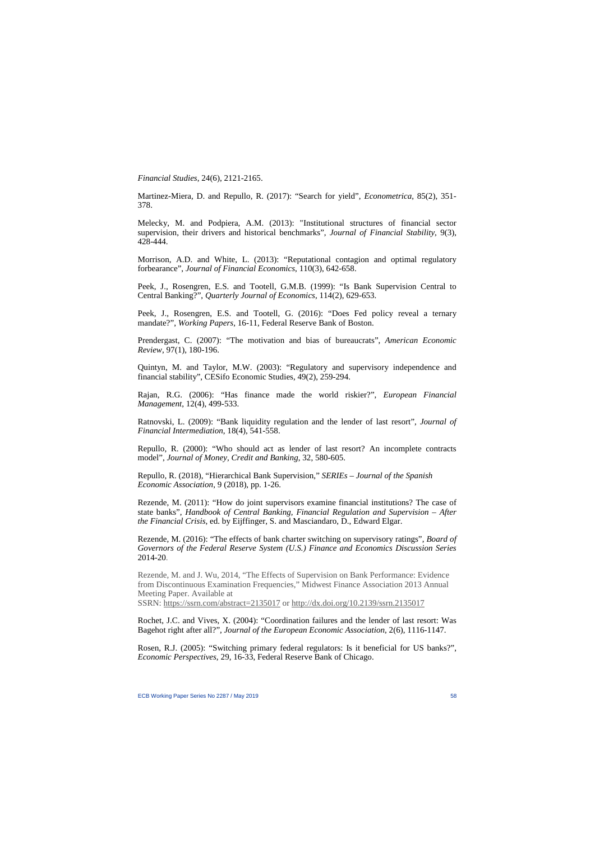*Financial Studies*, 24(6), 2121-2165.

Martinez-Miera, D. and Repullo, R. (2017): "Search for yield", *Econometrica*, 85(2), 351- 378.

Melecky, M. and Podpiera, A.M. (2013): ["Institutional structures of financial sector](https://ideas.repec.org/a/eee/finsta/v9y2013i3p428-444.html)  supervision, their [drivers and historical benchmarks"](https://ideas.repec.org/a/eee/finsta/v9y2013i3p428-444.html), *[Journal of Financial Stability](https://ideas.repec.org/s/eee/finsta.html)*, 9(3), 428-444.

Morrison, A.D. and White, L. (2013): "Reputational contagion and optimal regulatory forbearance", *Journal of Financial Economics*, 110(3), 642-658.

Peek, J., Rosengren, E.S. and Tootell, G.M.B. (1999): "Is Bank Supervision Central to Central Banking?", *Quarterly Journal of Economics*, 114(2), 629-653.

Peek, J., Rosengren, E.S. and Tootell, G. (2016): "Does Fed policy reveal a ternary mandate?", *Working Papers*, 16-11, Federal Reserve Bank of Boston.

Prendergast, C. (2007): "The motivation and bias of bureaucrats", *American Economic Review*, 97(1), 180-196.

Quintyn, M. and Taylor, M.W. (2003): "Regulatory and supervisory independence and financial stability", CESifo Economic Studies, 49(2), 259-294.

Rajan, R.G. (2006): "Has finance made the world riskier?", *European Financial Management*, 12(4), 499-533.

Ratnovski, L. (2009): "Bank liquidity regulation and the lender of last resort", *Journal of Financial Intermediation*, 18(4), 541-558.

Repullo, R. (2000): ["Who should act as lender of last resort? An incomplete contracts](http://www.cemfi.es/%7Erepullo/publications.htm)  [model"](http://www.cemfi.es/%7Erepullo/publications.htm), *Journal of Money, Credit and Banking*, 32, 580-605.

Repullo, R. (2018), "Hierarchical Bank Supervision," *SERIEs – Journal of the Spanish Economic Association*, 9 (2018), pp. 1-26.

Rezende, M. (2011): "How do joint supervisors examine financial institutions? The case of state banks", *Handbook of Central Banking, Financial Regulation and Supervision – After the Financial Crisis*, ed. by Eijffinger, S. and Masciandaro, D., Edward Elgar.

Rezende, M. (2016): "The effects of bank charter switching on supervisory ratings", *Board of Governors of the Federal Reserve System (U.S.) Finance and Economics Discussion Series* 2014-20.

Rezende, M. and J. Wu, 2014, "The Effects of Supervision on Bank Performance: Evidence from Discontinuous Examination Frequencies," Midwest Finance Association 2013 Annual Meeting Paper. Available at SSRN: <https://ssrn.com/abstract=2135017>or [http://dx.doi.org/10.2139/ssrn.2135017](https://dx.doi.org/10.2139/ssrn.2135017)

Rochet, J.C. and Vives, X. (2004): "Coordination failures and the lender of last resort: Was Bagehot right after all?", *[Journal of the European Economic Association](http://econpapers.repec.org/article/tprjeurec/)*, 2(6), 1116-1147.

Rosen, R.J. (2005): "Switching primary federal regulators: Is it beneficial for US banks?", *Economic Perspectives*, 29, 16-33, Federal Reserve Bank of Chicago.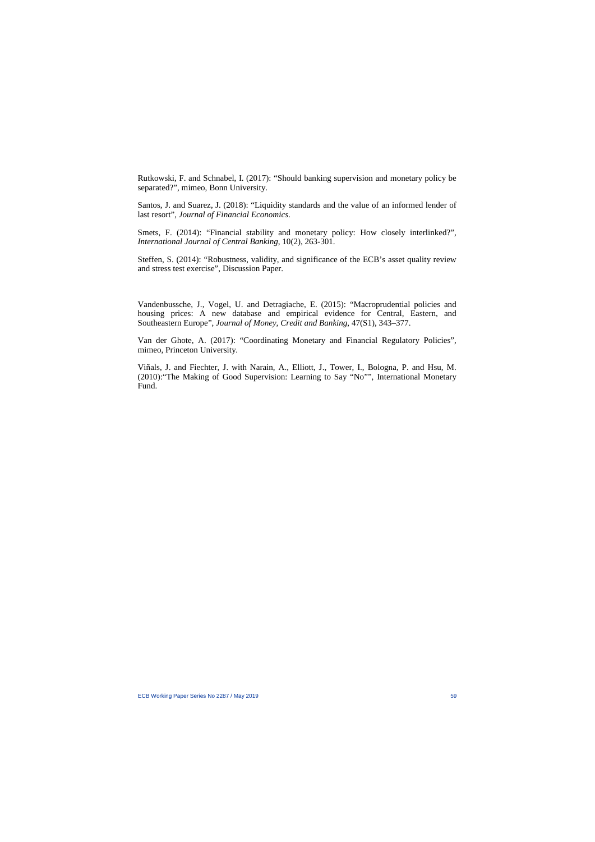Rutkowski, F. and Schnabel, I. (2017): "Should banking supervision and monetary policy be separated?", mimeo, Bonn University.

Santos, J. and Suarez, J. (2018): "Liquidity standards and the value of an informed lender of last resort", *Journal of Financial Economics*.

Smets, F. (2014): "Financial stability and monetary policy: How closely interlinked?", *International Journal of Central Banking*, 10(2), 263-301.

Steffen, S. (2014): "Robustness, validity, and significance of the ECB's asset quality review and stress test exercise", Discussion Paper.

Vandenbussche, J., Vogel, U. and Detragiache, E. (2015): "Macroprudential policies and housing prices: A new database and empirical evidence for Central, Eastern, and Southeastern Europe", *Journal of Money, Credit and Banking*, 47(S1), 343–377.

Van der Ghote, A. (2017): "Coordinating Monetary and Financial Regulatory Policies", mimeo, Princeton University.

Viñals, J. and Fiechter, J. with Narain, A., Elliott, J., Tower, I., Bologna, P. and Hsu, M. (2010):"The Making of Good Supervision: Learning to Say "No"", International Monetary Fund.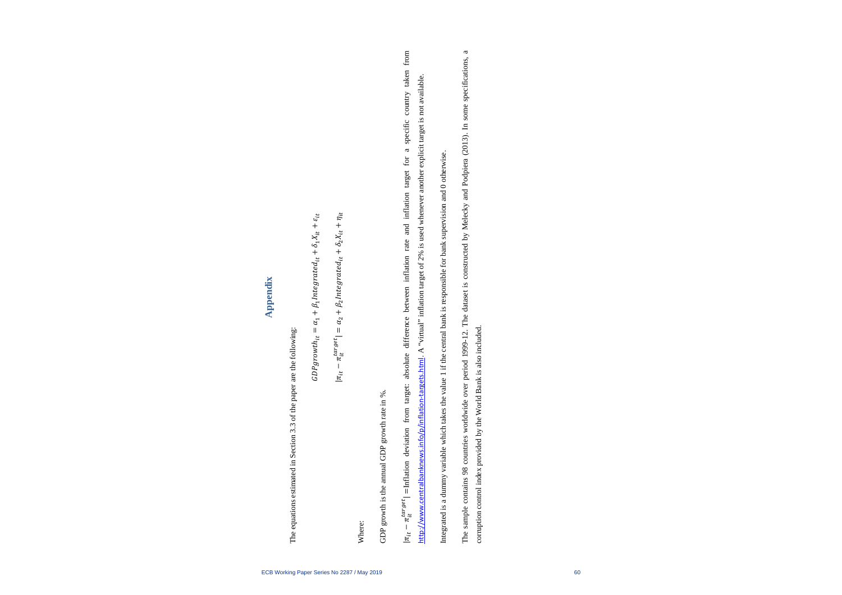# **Appendix**

The equations estimated in Section 3.3 of the paper are the following: The equations estimated in Section 3.3 of the paper are the following:

$$
GDP growth_{it} = \alpha_1 + \beta_1 Integrated_{it} + \delta_1 X_{it} + \varepsilon_{it}
$$

$$
|\pi_{it} - \pi_{it}^{target}| = \alpha_2 + \beta_2 Integrated_{it} + \delta_2 X_{it} + \eta_{it}
$$

Where:

GDP growth is the annual GDP growth rate in %. GDP growth is the annual GDP growth rate in %.  $|\pi_{it} - \pi_{it}^{target}|$  =Inflation deviation from target: absolute difference between inflation rate and inflation target for a specific country taken from arget –Inflation deviation from target: absolute difference between inflation rate and inflation target for a specific country taken from http://www.centralbanknews.info/p/inflation-targets.html. A "virtual" inflation target of 2% is used whenever another explicit target is not available. <http://www.centralbanknews.info/p/inflation-targets.html>. A "virtual" inflation target of 2% is used whenever another explicit target is not available.

Integrated is a dummy variable which takes the value 1 if the central bank is responsible for bank supervision and 0 otherwise. Integrated is a dummy variable which takes the value 1 if the central bank is responsible for bank supervision and 0 otherwise. The sample contains 98 countries worldwide over period 1999-12. The dataset is constructed by Melecky and Podpiera (2013). In some specifications, a The sample contains 98 countries worldwide over period 1999-12. The dataset is constructed by Melecky and Podpiera (2013). In some specifications, a corruption control index provided by the World Bank is also included. corruption control index provided by the World Bank is also included.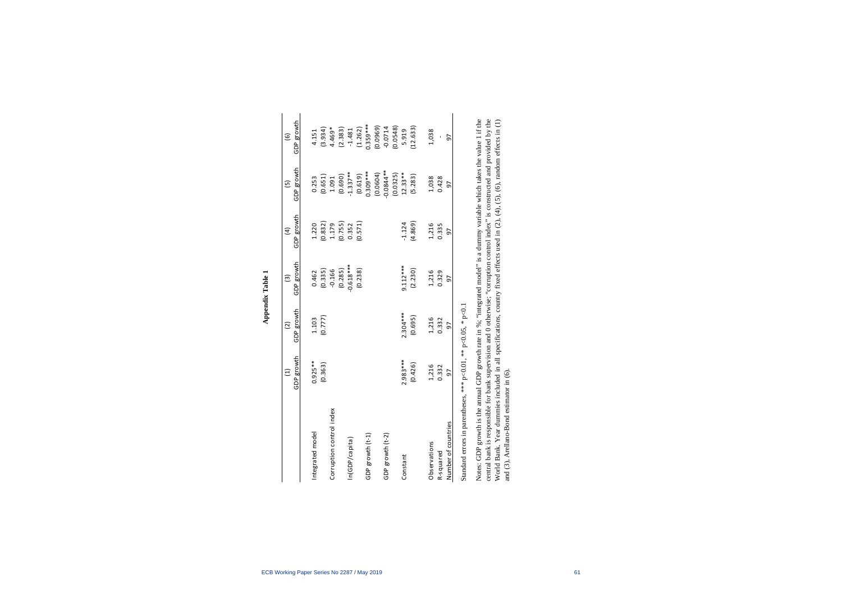|                          |                                                                                                                                                                                                                                                     | $\widehat{c}$                  | $\widehat{\mathcal{E}}$ | $\widehat{a}$    | $\widetilde{5}$         | $\widehat{\mathbf{e}}$ |
|--------------------------|-----------------------------------------------------------------------------------------------------------------------------------------------------------------------------------------------------------------------------------------------------|--------------------------------|-------------------------|------------------|-------------------------|------------------------|
|                          | GDP growth                                                                                                                                                                                                                                          | GDP growth                     | GDP growth              | GDP growth       | GDP growth              | GDP growth             |
| Integrated model         | $0.925***$                                                                                                                                                                                                                                          | 1.103                          | 0.462                   | 1.220            | 0.253                   | 4.151                  |
|                          | (0.363)                                                                                                                                                                                                                                             | (0.777)                        | (0.335)                 | (0.832)          | (0.651)                 | (3.934)                |
| Corruption control index |                                                                                                                                                                                                                                                     |                                | $-0.166$                |                  | 1.091                   | 4.469*                 |
|                          |                                                                                                                                                                                                                                                     |                                | (0.285)                 | 1.179<br>(0.755) | (0.690)                 | (2.383)                |
| n(GDP/capita)            |                                                                                                                                                                                                                                                     |                                | $0.618***$              | 0.352            | $1.337***$              | $-1.481$               |
|                          |                                                                                                                                                                                                                                                     |                                | (0.238)                 | (0.571)          | $(0.619)$<br>$0.309***$ | (1.262)                |
| GDP growth (t-1)         |                                                                                                                                                                                                                                                     |                                |                         |                  |                         | $0.359***$             |
|                          |                                                                                                                                                                                                                                                     |                                |                         |                  | (0.0604)                | (0.0969)               |
| GDP growth (t-2)         |                                                                                                                                                                                                                                                     |                                |                         |                  | $0.0844***$             | $-0.0714$              |
|                          |                                                                                                                                                                                                                                                     |                                |                         |                  | (0.0325)                | 0.0548                 |
| Constant                 | $2.983***$                                                                                                                                                                                                                                          | $2.304***$                     | $9.112***$              | $-1.124$         | $12.33***$              | 5.919                  |
|                          | (0.426)                                                                                                                                                                                                                                             | (0.695)                        | (2.230)                 | (4.869)          | (5.283)                 | (12.633)               |
| Observations             | 1,216                                                                                                                                                                                                                                               | 1,216                          | 1,216                   | 1,216            | 1,038                   | 1,038                  |
| R-squared                | 0.332                                                                                                                                                                                                                                               | 0.332                          | 0.329                   | 0.335            | 0.428                   |                        |
| Number of countries      | 50                                                                                                                                                                                                                                                  | 50                             | 56                      | 57               | 56                      | 56                     |
|                          | Contract of the Contract of the Contract of the Contract of the Contract of the Contract of the Contract of the Contract of the Contract of the Contract of the Contract of the Contract of the Contract of the Contract of th<br><b>Contractor</b> | $\frac{1}{2}$<br>$\frac{1}{2}$ |                         |                  |                         |                        |

Appendix Table 1 **Appendix Table 1**

Standard errors in parentheses, \*\*\* p<0.01, \*\* p<0.05, \* p<0.1 Standard errors in parentheses, \*\*\* p<0.01, \*\* p<0.05, \* p<0.1 Notes: GDP growth is the annual GDP growth rate in %; "integrated model" is a dummy variable which takes the value 1 if the Notes: GDP growth is the annual GDP growth rate in %; "integrated model" is a dummy variable which takes the value 1 if the central bank is responsible for bank supervision and 0 otherwise; "corruption control index" is constructed and provided by the central bank is responsible for bank supervision and 0 otherwise; "corruption control index" is constructed and provided by the World Bank. Year dummies included in all specifications, country fixed effects used in (2), (4), (5), (6), random effects in (1) World Bank. Year dummies included in all specifications, country fixed effects used in (2), (4), (5), (6), random effects in (1) and (3), Arellano-Bond estimator in (6). and (3), Arellano-Bond estimator in (6).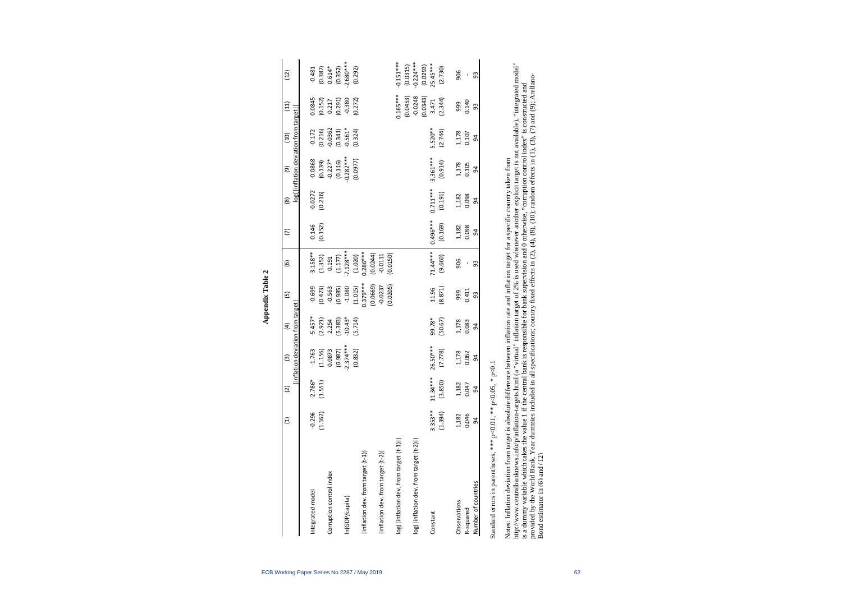|                                                          | Ξ         | $\overline{c}$ | $\mathfrak{S}$               | $\widehat{E}$        | $\overline{5}$ | $\widehat{\mathbf{e}}$                         | $\widehat{\triangleright}$ | $\circledR$    | $\widehat{e}$                          | (10)                   | $\left(11\right)$                                                       | $(12)$                |
|----------------------------------------------------------|-----------|----------------|------------------------------|----------------------|----------------|------------------------------------------------|----------------------------|----------------|----------------------------------------|------------------------|-------------------------------------------------------------------------|-----------------------|
|                                                          |           | 희              | lation deviation from target |                      |                |                                                |                            |                | log( inflation deviation from target ) |                        |                                                                         |                       |
| Integrated model                                         | $-0.296$  | $-2.786*$      | $-1.763$                     | $-5.457*$            | $-0.699$       | $-3.158**$                                     | 0.146                      | $-0.0272$      | $-0.0868$                              | $-0.172$               | 0.0845                                                                  | $-0.481$              |
|                                                          | (1.162)   | (1.551)        | (1.156)                      | $(2.921)$<br>$2.254$ | (0.473)        |                                                | (0.152)                    | (0.216)        | $(0.139)$<br>$-0.227$ *<br>$(0.116)$   | $(0.216)$<br>$-0.0362$ |                                                                         | $(0.387)$<br>0.614*   |
| Corruption control index                                 |           |                | 0.0873                       |                      | $-0.563$       |                                                |                            |                |                                        |                        |                                                                         |                       |
|                                                          |           |                | (0.987)                      | (5.383)              | (0.985)        | $(1.352)$<br>0.191<br>$(1.177)$<br>$(7.128***$ |                            |                |                                        | $(0.341)$<br>$-0.561*$ | $\begin{array}{c} (0.152) \\ 0.217 \\ (0.291) \\ (0.380 \\ \end{array}$ | $(0.352)$<br>2.680*** |
| In(GDP/capita)                                           |           |                | $2.374***$                   | $-10.43*$            | $-1.080$       |                                                |                            |                | $0.282***$                             |                        |                                                                         |                       |
|                                                          |           |                | (0.832)                      | (5.714)              | (1.015)        | (1.020)                                        |                            |                | (0.0977)                               | (0.324)                | (0.272)                                                                 | (0.292)               |
| [inflation dev. from target (t-1)                        |           |                |                              |                      | $0.379***$     | $0.286***$<br>(0.0244)                         |                            |                |                                        |                        |                                                                         |                       |
|                                                          |           |                |                              |                      | (0.0669)       |                                                |                            |                |                                        |                        |                                                                         |                       |
| linflation dev. from target (t-2)                        |           |                |                              |                      | $-0.0237$      | $-0.0111$                                      |                            |                |                                        |                        |                                                                         |                       |
|                                                          |           |                |                              |                      | (0.0205)       | (0.0150)                                       |                            |                |                                        |                        |                                                                         |                       |
| log( inflation dev. from target (t-1) )                  |           |                |                              |                      |                |                                                |                            |                |                                        |                        | $0.165***$                                                              | $0.151***$            |
|                                                          |           |                |                              |                      |                |                                                |                            |                |                                        |                        | (0.0453)                                                                | (0.0315)              |
| log( inflation dev. from target (t-2) )                  |           |                |                              |                      |                |                                                |                            |                |                                        |                        | $-0.0248$                                                               | $0.224***$            |
|                                                          |           |                |                              |                      |                |                                                |                            |                |                                        |                        | (0.0343)                                                                | (0.0293)              |
| Constant                                                 | $3.353**$ | $11.34***$     | 26.50***                     | 99.78*               | 11.96          | $71.44***$                                     | $0.496***$                 | $0.711***$     | $3.361***$                             | $5.520**$              | 3.471                                                                   | 25.45****             |
|                                                          | (1.394)   | (3.850)        | (7.778)                      | (50.67)              | (8.871)        | (9.660)                                        | (0.169)                    | (0.191)        | (0.914)                                | (2.744)                | (2.344)                                                                 | (2.730)               |
| Observations                                             | 1,182     | 1,182          | 1,178<br>0.062               | 1,178<br>0.083       | 999<br>0.411   | 906                                            | 1,182<br>0.098             | 1,182<br>0.098 | 1,178<br>0.105                         | 1,178<br>0.107         | 999                                                                     | 906                   |
| R-squared                                                | 0.046     | 0.047          |                              |                      |                | í.                                             |                            |                |                                        |                        | 0.140                                                                   |                       |
| Number of countries                                      | 54        | 54             | 54                           | 54                   | 93             | 93                                             | $\overline{5}$             | $\overline{5}$ | $\overline{5}$                         | 54                     | 93                                                                      | 93                    |
| Standard errors in parentheses, *** p<0.01, ** p<0.05, * |           |                | p<0.1                        |                      |                |                                                |                            |                |                                        |                        |                                                                         |                       |

**Appendix Table 2 Appendix Table 2**

<http://www.centralbanknews.info/p/inflation-targets.html> (a "virtual" inflation target of 2% is used whenever another explicit target is not available), "integrated model" http://www.centralbanknews.info/p/inflation-targets.html (a "virtual" inflation target of 2% is used whenever another explicit target is not available), "integrated model" provided by the World Bank. Year dummies included in all specifications; country fixed effects in (2), (4), (8), (10); random effects in (1), (3), (7) and (9); Arellano-<br>Bond estimator in (6) and (12) provided by the World Bank. Year dummies included in all specifications; country fixed effects in (2), (4), (8), (10); random effects in (1), (3), (7) and (9); Arellanois a dummy variable which takes the value 1 if the central bank is responsible for bank supervision and 0 otherwise, "corruption control index" is constructed and is a dummy variable which takes the value 1 if the central bank is responsible for bank supervision and 0 otherwise, "corruption control index" is constructed and Notes: Inflation deviation from target is absolute difference between inflation rate and inflation target for a specific country taken from Notes: Inflation deviation from target is absolute difference between inflation rate and inflation target for a specific country taken from Bond estimator in (6) and (12)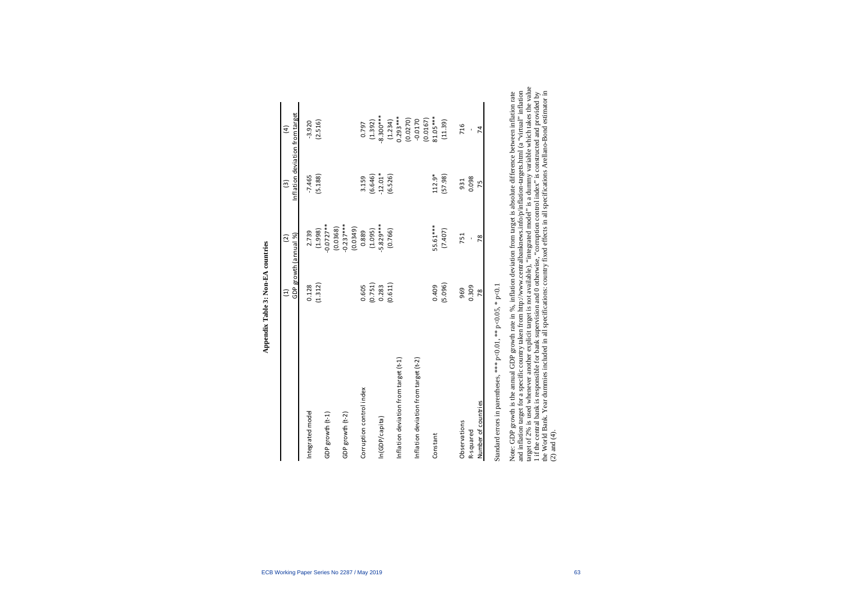|                                       | Ξ                     | $\widehat{c}$             | $\widehat{c}$                   | $\overline{4}$         |
|---------------------------------------|-----------------------|---------------------------|---------------------------------|------------------------|
|                                       | GDP growth (annual %) |                           | Inflation deviation from target |                        |
| Integrated model                      | 0.128                 | 2.739                     | $-7.465$                        | $-3.920$               |
|                                       | (1.312)               | (2.998)                   | (5.188)                         | (2.516)                |
| GDP growth (t-1)                      |                       | $0.0727***$               |                                 |                        |
|                                       |                       |                           |                                 |                        |
| GDP growth (t-2)                      |                       | $(0.0368)$<br>$-0.237***$ |                                 |                        |
|                                       |                       | (0.0349)                  |                                 |                        |
| Corruption control index              | 0.605                 | 0.889                     | 3.159                           | 0.797                  |
|                                       | (0.751)               | (1.095)                   | (6.646)                         | (1.392)                |
| In(GDP/capita)                        | 0.283                 | 5.829***                  | $-12.01*$                       | $8.300***$             |
|                                       | (0.611)               | (0.766)                   | (6.526)                         |                        |
| Inflation deviation from target (t-1) |                       |                           |                                 | $(1.234)$<br>0.293***  |
|                                       |                       |                           |                                 | (0.0270)               |
| Inflation deviation from target (t-2) |                       |                           |                                 | $-0.0170$              |
|                                       |                       |                           |                                 | $(0.0167)$<br>81.05*** |
| Constant                              | 0.409                 | 55.61***                  | $112.9*$                        |                        |
|                                       | (5.096)               | (7.407)                   | (57.98)                         | (11.39)                |
|                                       |                       |                           |                                 |                        |
| Observations                          | 969                   | 751                       | 931                             | 716                    |
| R-squared                             | 0.309                 |                           | 0.098                           |                        |
| Number of countries                   | 78                    | 78                        | 75                              | 74                     |
|                                       |                       |                           |                                 |                        |

Appendix Table 3: Non-EA countries **Appendix Table 3: Non-EA countries**

Standard errors in parentheses, \*\*\* p<0.01, \*\* p<0.05, \* p<0.1 Standard errors in parentheses, \*\*\* p<0.01, \*\* p<0.05, \* p<0.1

target of 2% is used whenever another explicit target is not available), "integrated model" is a dummy variable which takes the value target of 2% is used whenever another explicit target is not available), "integrated model" is a dummy variable which takes the value Note: GDP growth is the annual GDP growth rate in %, inflation deviation from target is absolute difference between inflation rate<br>and inflation target for a specific country taken from http://www.centralbanknews.info/p/in 1 if the central bank is responsible for bank supervision and 0 otherwise, "corruption control index" is constructed and provided by<br>the World Bank. Year dummies included in all specifications: country fixed effects in all and inflation target for a specific country taken from<http://www.centralbanknews.info/p/inflation-targets.html> (a "virtual" inflation the World Bank. Year dummies included in all specifications: country fixed effects in all specifications Arellano-Bond estimator in Note: GDP growth is the annual GDP growth rate in %, inflation deviation from target is absolute difference between inflation rate 1 if the central bank is responsible for bank supervision and 0 otherwise, "corruption control index" is constructed and provided by (2) and (4).